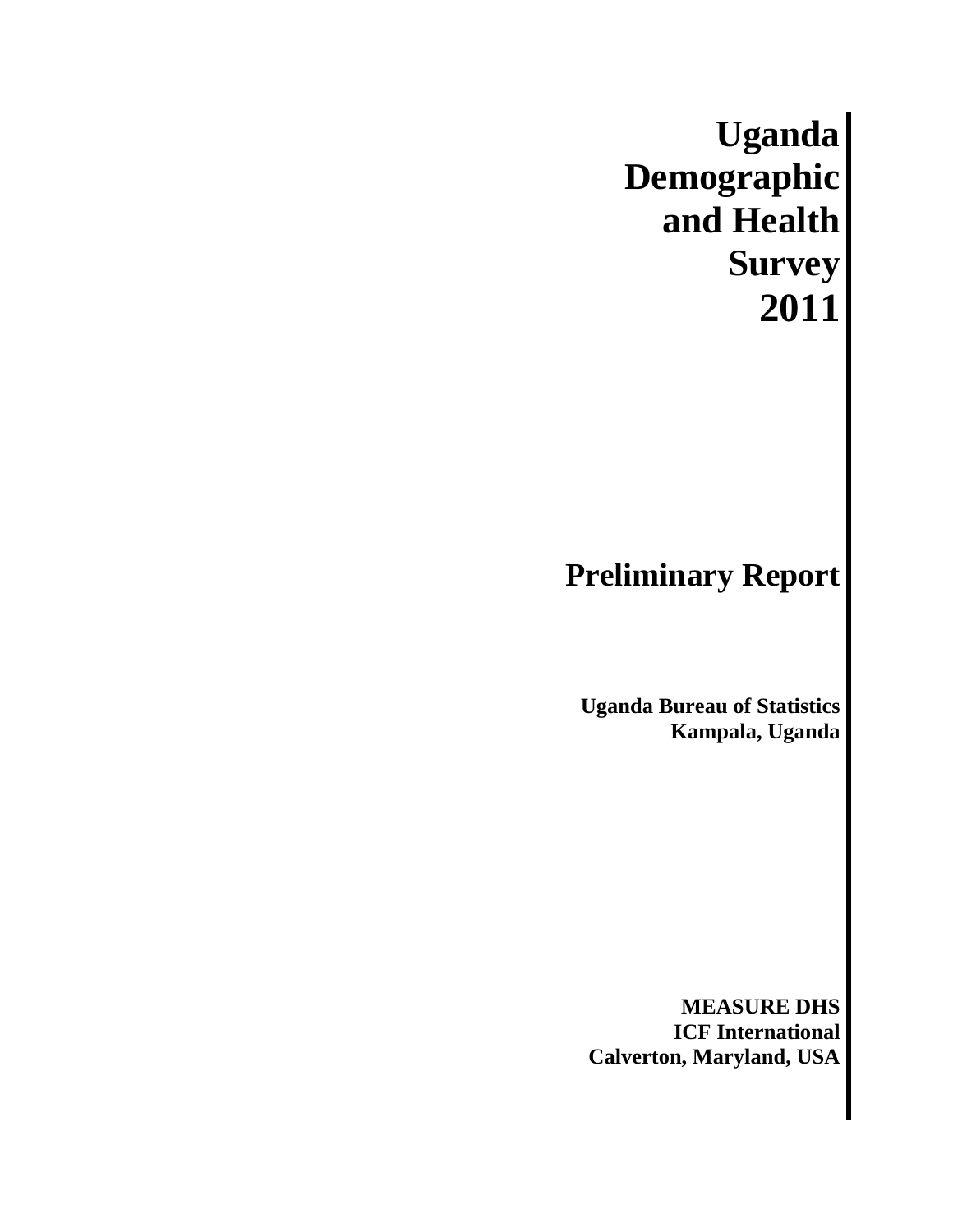**Uganda Demographic and Health Survey 2011** 

## **Preliminary Report**

**Uganda Bureau of Statistics Kampala, Uganda**

**MEASURE DHS ICF International Calverton, Maryland, USA**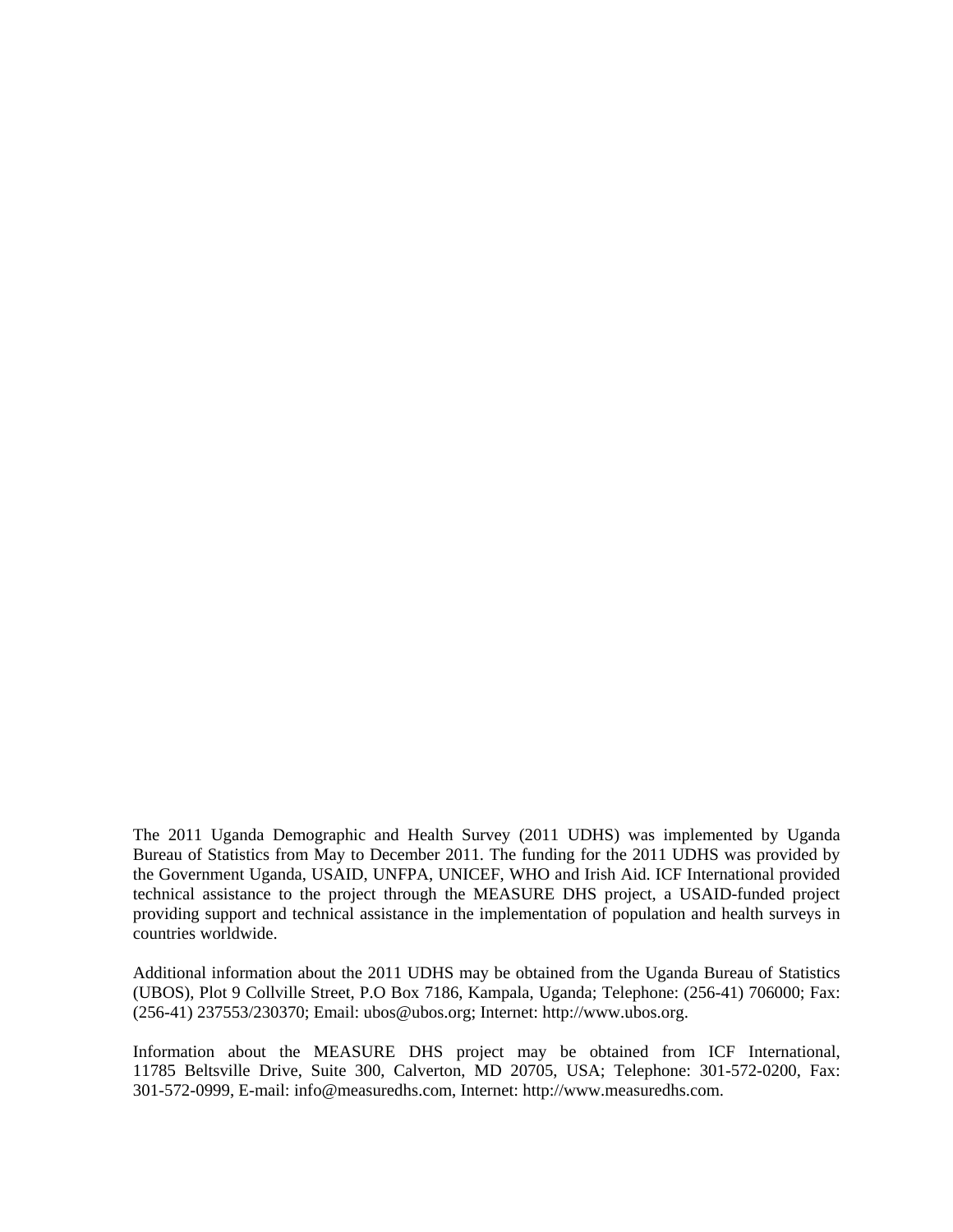The 2011 Uganda Demographic and Health Survey (2011 UDHS) was implemented by Uganda Bureau of Statistics from May to December 2011. The funding for the 2011 UDHS was provided by the Government Uganda, USAID, UNFPA, UNICEF, WHO and Irish Aid. ICF International provided technical assistance to the project through the MEASURE DHS project, a USAID-funded project providing support and technical assistance in the implementation of population and health surveys in countries worldwide.

Additional information about the 2011 UDHS may be obtained from the Uganda Bureau of Statistics (UBOS), Plot 9 Collville Street, P.O Box 7186, Kampala, Uganda; Telephone: (256-41) 706000; Fax: (256-41) 237553/230370; Email: ubos@ubos.org; Internet: http://www.ubos.org.

Information about the MEASURE DHS project may be obtained from ICF International, 11785 Beltsville Drive, Suite 300, Calverton, MD 20705, USA; Telephone: 301-572-0200, Fax: 301-572-0999, E-mail: info@measuredhs.com, Internet: http://www.measuredhs.com.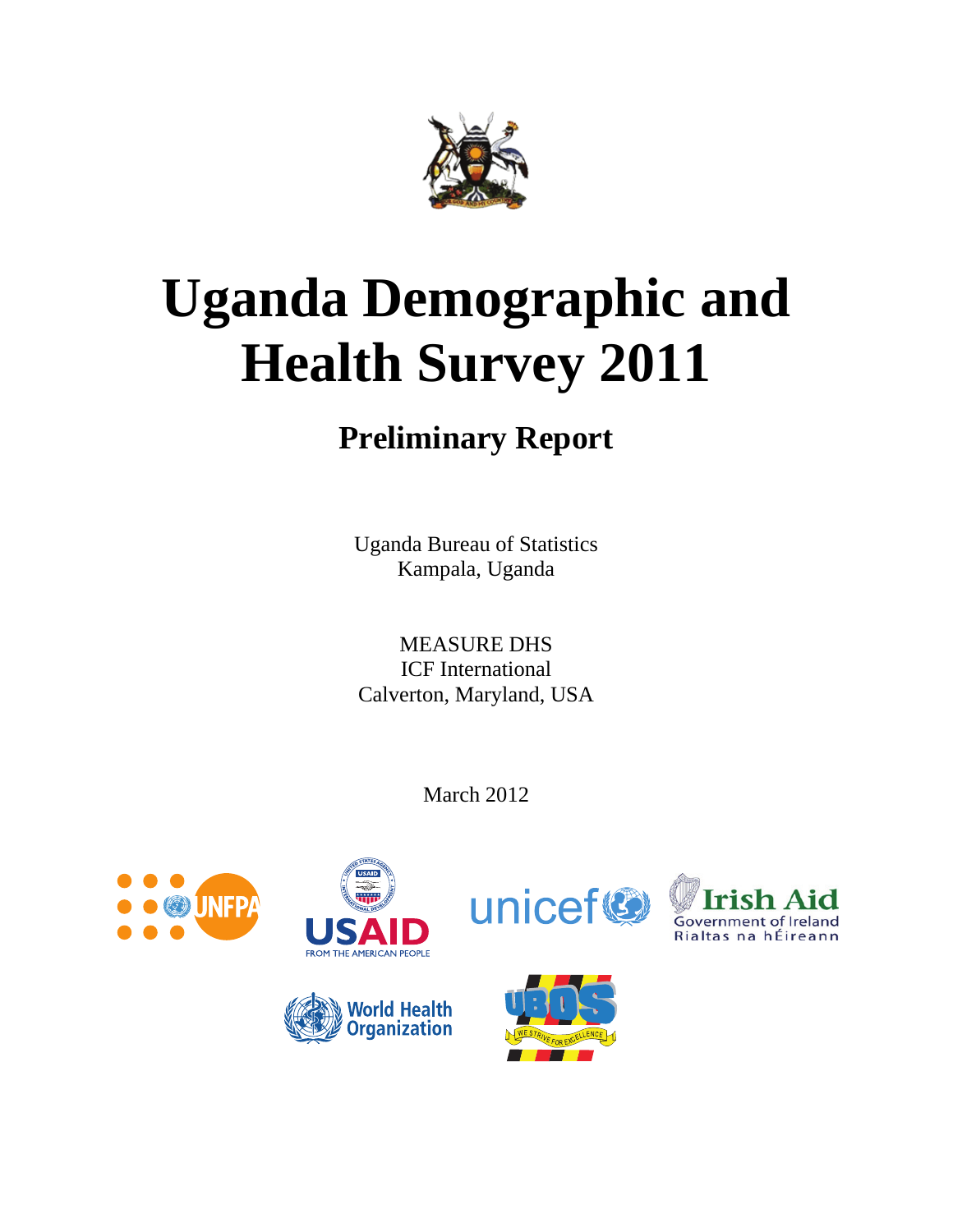

# **Uganda Demographic and Health Survey 2011**

## **Preliminary Report**

Uganda Bureau of Statistics Kampala, Uganda

MEASURE DHS ICF International Calverton, Maryland, USA

March 2012





**World Health<br>Organization** 





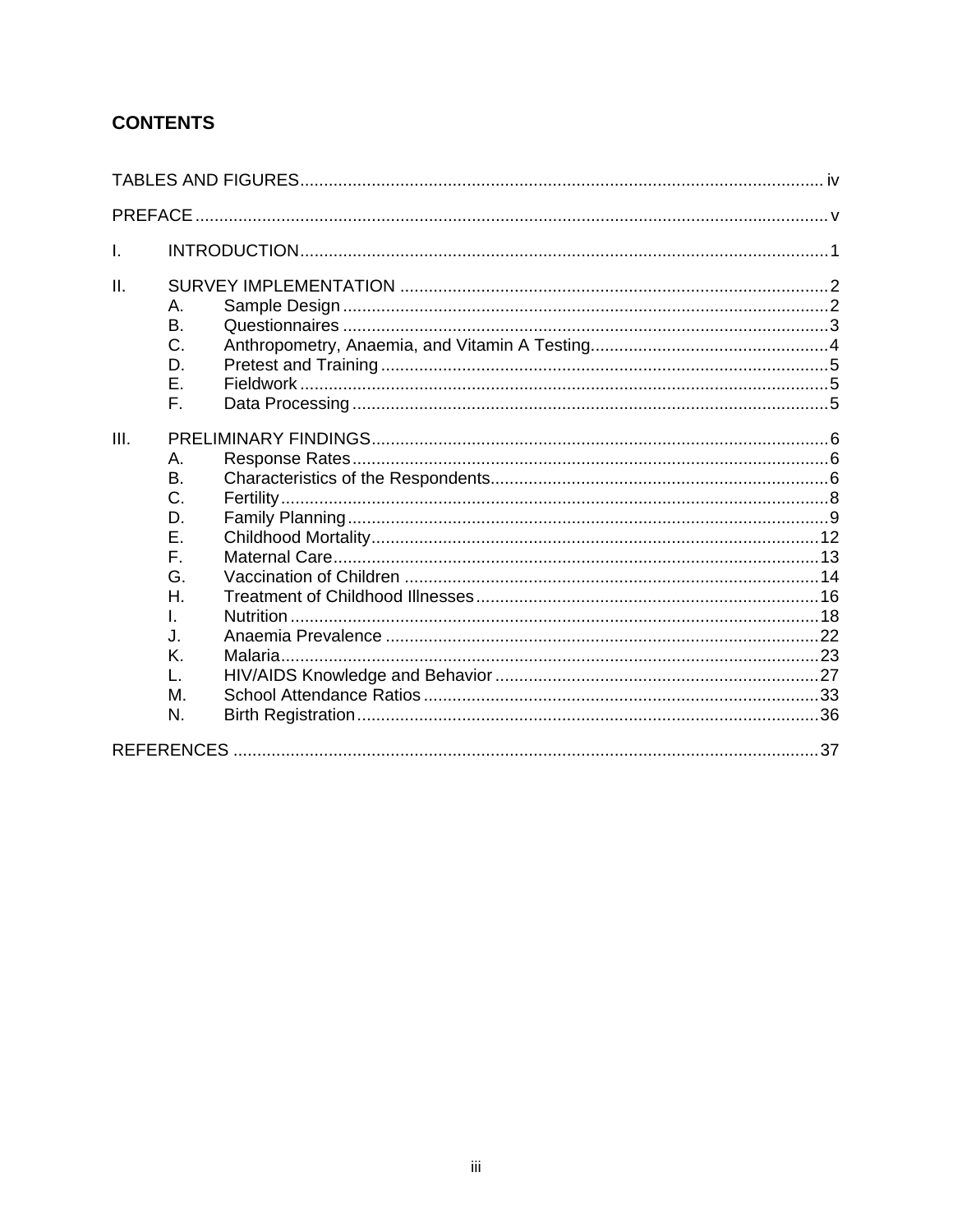## **CONTENTS**

| $\mathbf{I}$ .                                             |                            |  |
|------------------------------------------------------------|----------------------------|--|
| II.<br>Α.<br>В.<br>D.<br>F.                                | C.<br>Ε.                   |  |
| III.<br>Α.<br>B.<br>Е.<br>F.<br>L.<br>J.<br>K.<br>L.<br>N. | C.<br>D.<br>G.<br>Η.<br>M. |  |
|                                                            |                            |  |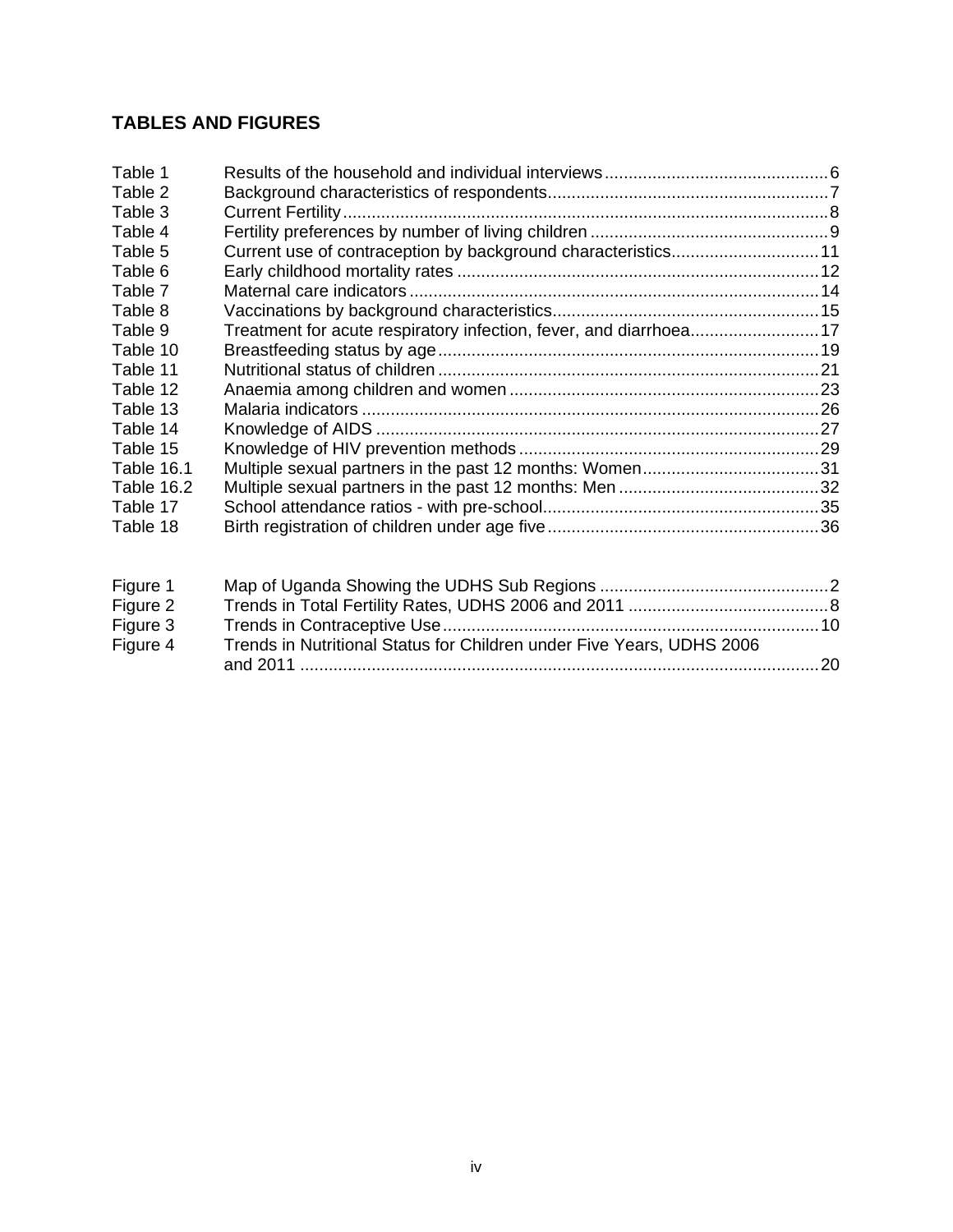## **TABLES AND FIGURES**

| Table 1    |                                                                       |  |
|------------|-----------------------------------------------------------------------|--|
| Table 2    |                                                                       |  |
| Table 3    |                                                                       |  |
| Table 4    |                                                                       |  |
| Table 5    | Current use of contraception by background characteristics11          |  |
| Table 6    |                                                                       |  |
| Table 7    |                                                                       |  |
| Table 8    |                                                                       |  |
| Table 9    | Treatment for acute respiratory infection, fever, and diarrhoea17     |  |
| Table 10   |                                                                       |  |
| Table 11   |                                                                       |  |
| Table 12   |                                                                       |  |
| Table 13   |                                                                       |  |
| Table 14   |                                                                       |  |
| Table 15   |                                                                       |  |
| Table 16.1 |                                                                       |  |
| Table 16.2 |                                                                       |  |
| Table 17   |                                                                       |  |
| Table 18   |                                                                       |  |
| Figure 1   |                                                                       |  |
| Figure 2   |                                                                       |  |
| Figure 3   |                                                                       |  |
| Figure 4   | Trends in Nutritional Status for Children under Five Years, UDHS 2006 |  |

and 2011 ............................................................................................................. 20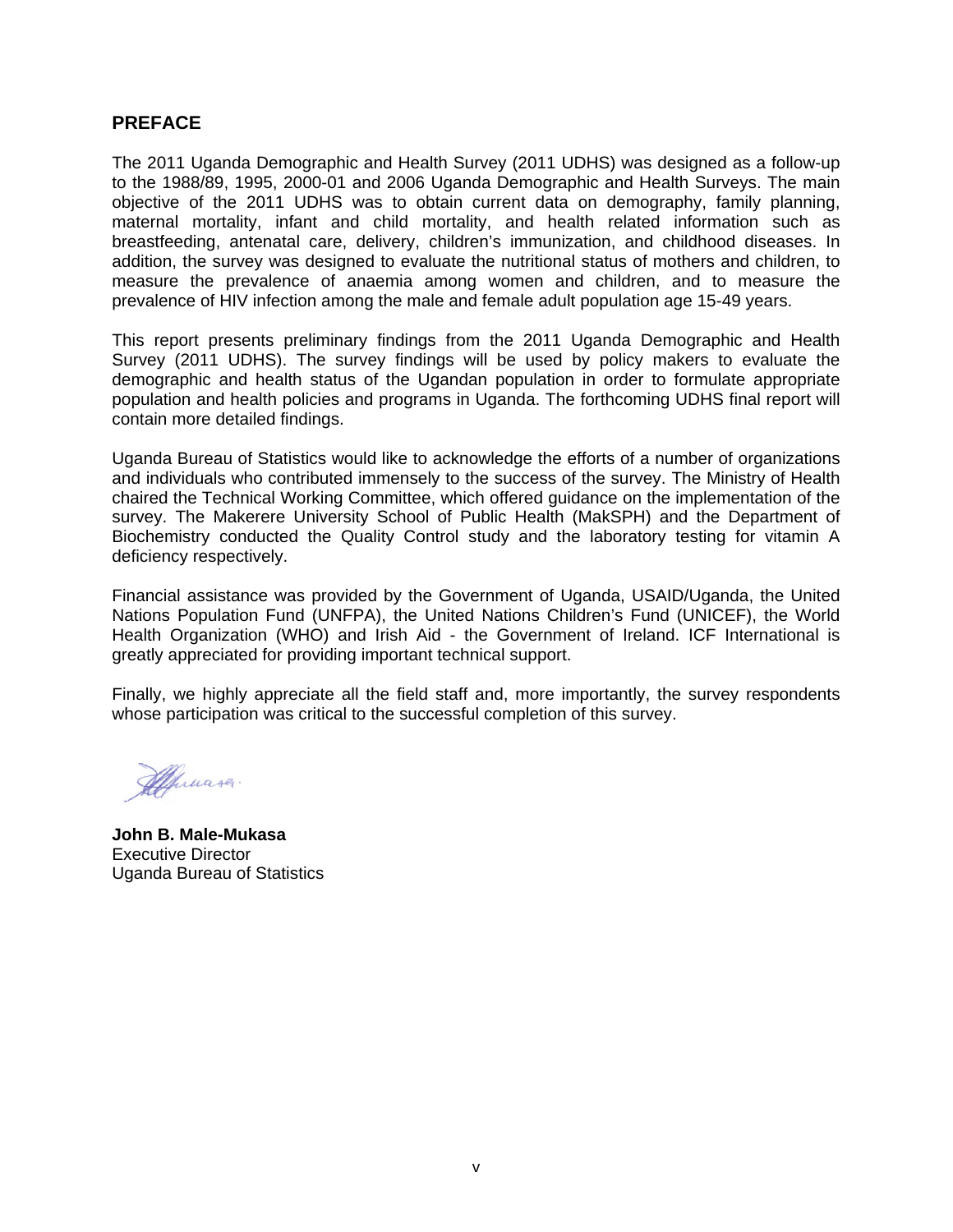## **PREFACE**

The 2011 Uganda Demographic and Health Survey (2011 UDHS) was designed as a follow-up to the 1988/89, 1995, 2000-01 and 2006 Uganda Demographic and Health Surveys. The main objective of the 2011 UDHS was to obtain current data on demography, family planning, maternal mortality, infant and child mortality, and health related information such as breastfeeding, antenatal care, delivery, children's immunization, and childhood diseases. In addition, the survey was designed to evaluate the nutritional status of mothers and children, to measure the prevalence of anaemia among women and children, and to measure the prevalence of HIV infection among the male and female adult population age 15-49 years.

This report presents preliminary findings from the 2011 Uganda Demographic and Health Survey (2011 UDHS). The survey findings will be used by policy makers to evaluate the demographic and health status of the Ugandan population in order to formulate appropriate population and health policies and programs in Uganda. The forthcoming UDHS final report will contain more detailed findings.

Uganda Bureau of Statistics would like to acknowledge the efforts of a number of organizations and individuals who contributed immensely to the success of the survey. The Ministry of Health chaired the Technical Working Committee, which offered guidance on the implementation of the survey. The Makerere University School of Public Health (MakSPH) and the Department of Biochemistry conducted the Quality Control study and the laboratory testing for vitamin A deficiency respectively.

Financial assistance was provided by the Government of Uganda, USAID/Uganda, the United Nations Population Fund (UNFPA), the United Nations Children's Fund (UNICEF), the World Health Organization (WHO) and Irish Aid - the Government of Ireland. ICF International is greatly appreciated for providing important technical support.

Finally, we highly appreciate all the field staff and, more importantly, the survey respondents whose participation was critical to the successful completion of this survey.

Muasa.

**John B. Male-Mukasa** Executive Director Uganda Bureau of Statistics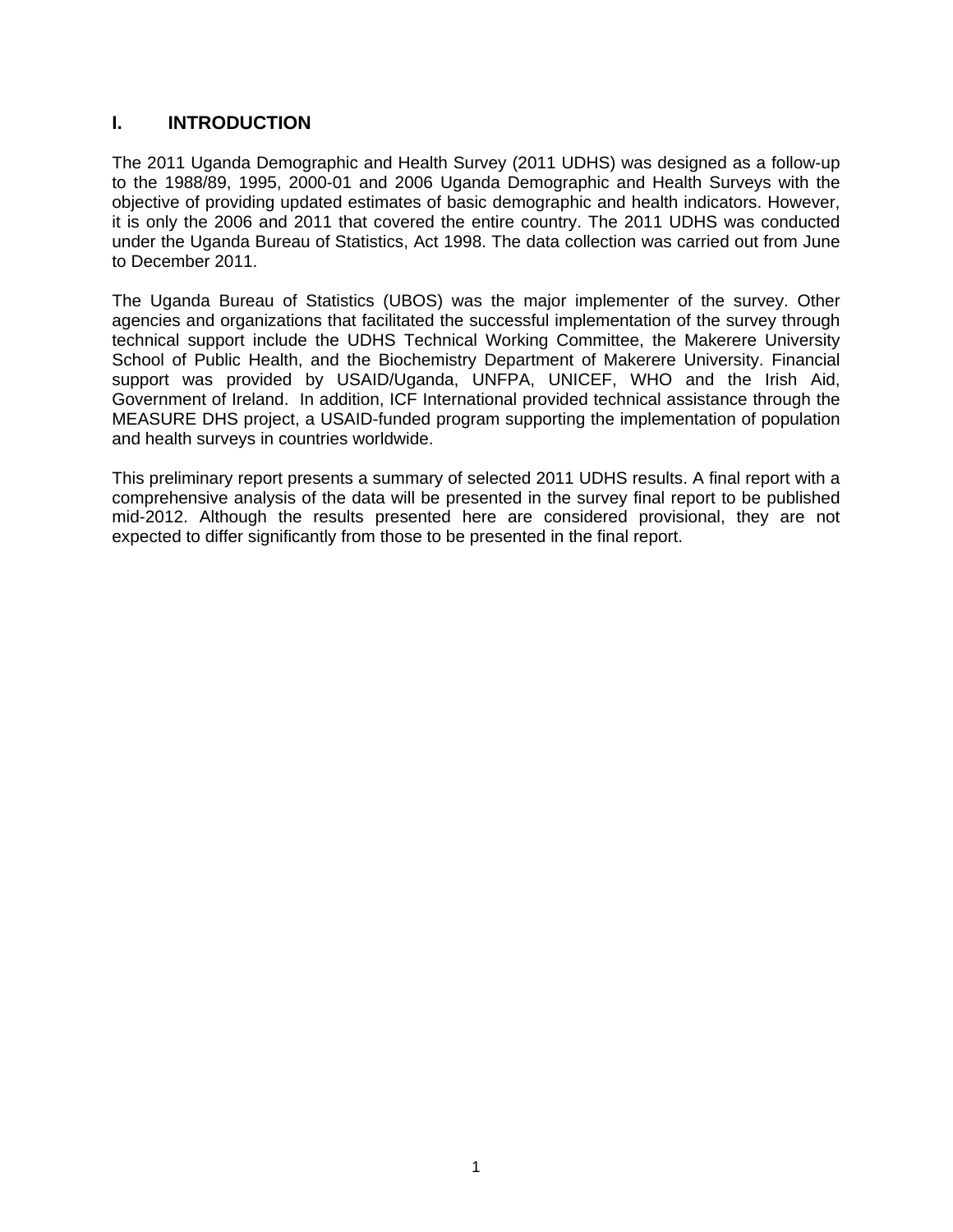## **I. INTRODUCTION**

The 2011 Uganda Demographic and Health Survey (2011 UDHS) was designed as a follow-up to the 1988/89, 1995, 2000-01 and 2006 Uganda Demographic and Health Surveys with the objective of providing updated estimates of basic demographic and health indicators. However, it is only the 2006 and 2011 that covered the entire country. The 2011 UDHS was conducted under the Uganda Bureau of Statistics, Act 1998. The data collection was carried out from June to December 2011.

The Uganda Bureau of Statistics (UBOS) was the major implementer of the survey. Other agencies and organizations that facilitated the successful implementation of the survey through technical support include the UDHS Technical Working Committee, the Makerere University School of Public Health, and the Biochemistry Department of Makerere University. Financial support was provided by USAID/Uganda, UNFPA, UNICEF, WHO and the Irish Aid, Government of Ireland. In addition, ICF International provided technical assistance through the MEASURE DHS project, a USAID-funded program supporting the implementation of population and health surveys in countries worldwide.

This preliminary report presents a summary of selected 2011 UDHS results. A final report with a comprehensive analysis of the data will be presented in the survey final report to be published mid-2012. Although the results presented here are considered provisional, they are not expected to differ significantly from those to be presented in the final report.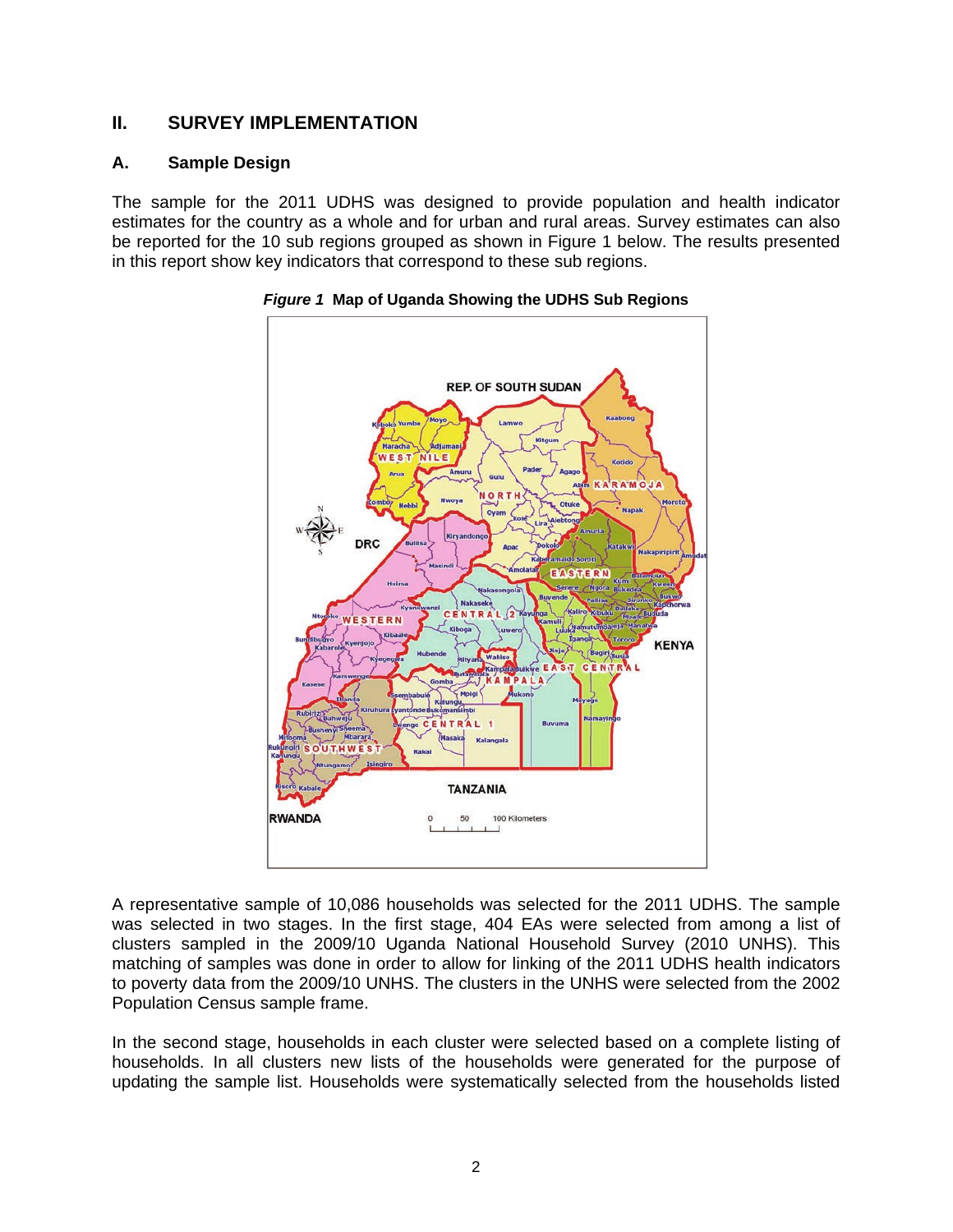## **II. SURVEY IMPLEMENTATION**

## **A. Sample Design**

The sample for the 2011 UDHS was designed to provide population and health indicator estimates for the country as a whole and for urban and rural areas. Survey estimates can also be reported for the 10 sub regions grouped as shown in Figure 1 below. The results presented in this report show key indicators that correspond to these sub regions.





A representative sample of 10,086 households was selected for the 2011 UDHS. The sample was selected in two stages. In the first stage, 404 EAs were selected from among a list of clusters sampled in the 2009/10 Uganda National Household Survey (2010 UNHS). This matching of samples was done in order to allow for linking of the 2011 UDHS health indicators to poverty data from the 2009/10 UNHS. The clusters in the UNHS were selected from the 2002 Population Census sample frame.

In the second stage, households in each cluster were selected based on a complete listing of households. In all clusters new lists of the households were generated for the purpose of updating the sample list. Households were systematically selected from the households listed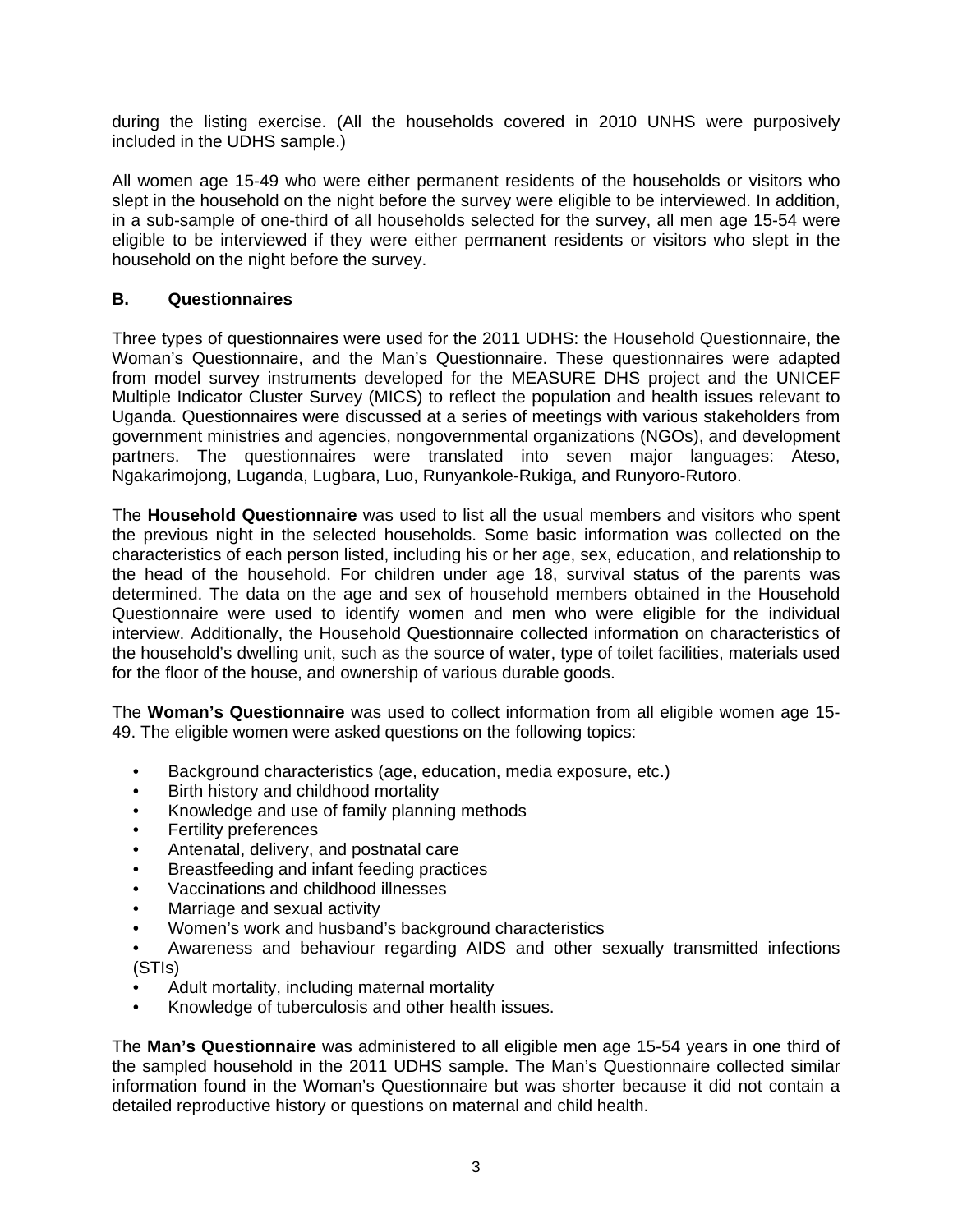during the listing exercise. (All the households covered in 2010 UNHS were purposively included in the UDHS sample.)

All women age 15-49 who were either permanent residents of the households or visitors who slept in the household on the night before the survey were eligible to be interviewed. In addition, in a sub-sample of one-third of all households selected for the survey, all men age 15-54 were eligible to be interviewed if they were either permanent residents or visitors who slept in the household on the night before the survey.

## **B. Questionnaires**

Three types of questionnaires were used for the 2011 UDHS: the Household Questionnaire, the Woman's Questionnaire, and the Man's Questionnaire. These questionnaires were adapted from model survey instruments developed for the MEASURE DHS project and the UNICEF Multiple Indicator Cluster Survey (MICS) to reflect the population and health issues relevant to Uganda. Questionnaires were discussed at a series of meetings with various stakeholders from government ministries and agencies, nongovernmental organizations (NGOs), and development partners. The questionnaires were translated into seven major languages: Ateso, Ngakarimojong, Luganda, Lugbara, Luo, Runyankole-Rukiga, and Runyoro-Rutoro.

The **Household Questionnaire** was used to list all the usual members and visitors who spent the previous night in the selected households. Some basic information was collected on the characteristics of each person listed, including his or her age, sex, education, and relationship to the head of the household. For children under age 18, survival status of the parents was determined. The data on the age and sex of household members obtained in the Household Questionnaire were used to identify women and men who were eligible for the individual interview. Additionally, the Household Questionnaire collected information on characteristics of the household's dwelling unit, such as the source of water, type of toilet facilities, materials used for the floor of the house, and ownership of various durable goods.

The **Woman's Questionnaire** was used to collect information from all eligible women age 15- 49. The eligible women were asked questions on the following topics:

- Background characteristics (age, education, media exposure, etc.)
- Birth history and childhood mortality
- Knowledge and use of family planning methods
- Fertility preferences
- Antenatal, delivery, and postnatal care
- Breastfeeding and infant feeding practices
- Vaccinations and childhood illnesses
- Marriage and sexual activity
- Women's work and husband's background characteristics
- Awareness and behaviour regarding AIDS and other sexually transmitted infections (STIs)
- Adult mortality, including maternal mortality
- Knowledge of tuberculosis and other health issues.

The **Man's Questionnaire** was administered to all eligible men age 15-54 years in one third of the sampled household in the 2011 UDHS sample. The Man's Questionnaire collected similar information found in the Woman's Questionnaire but was shorter because it did not contain a detailed reproductive history or questions on maternal and child health.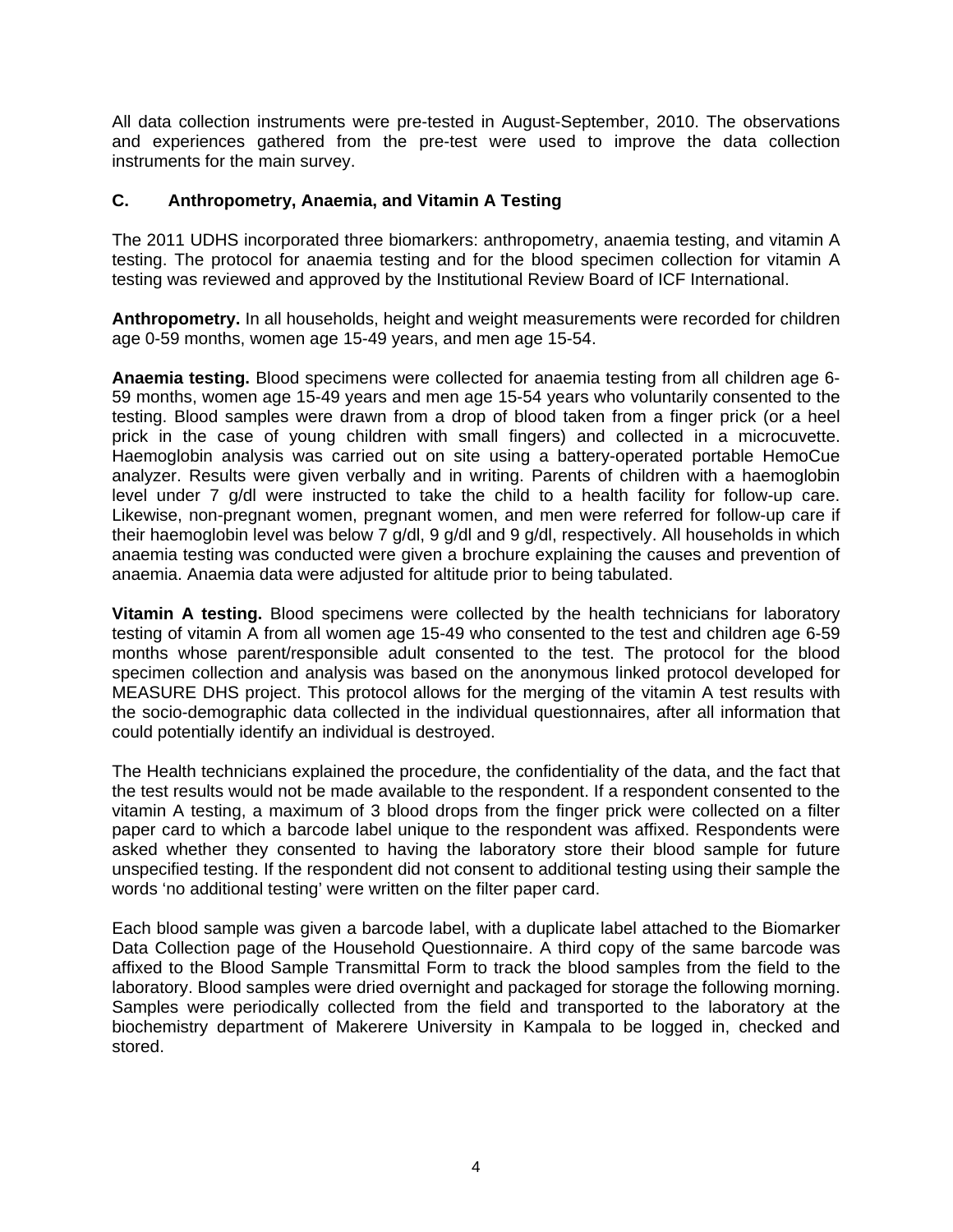All data collection instruments were pre-tested in August-September, 2010. The observations and experiences gathered from the pre-test were used to improve the data collection instruments for the main survey.

## **C. Anthropometry, Anaemia, and Vitamin A Testing**

The 2011 UDHS incorporated three biomarkers: anthropometry, anaemia testing, and vitamin A testing. The protocol for anaemia testing and for the blood specimen collection for vitamin A testing was reviewed and approved by the Institutional Review Board of ICF International.

**Anthropometry.** In all households, height and weight measurements were recorded for children age 0-59 months, women age 15-49 years, and men age 15-54.

**Anaemia testing.** Blood specimens were collected for anaemia testing from all children age 6- 59 months, women age 15-49 years and men age 15-54 years who voluntarily consented to the testing. Blood samples were drawn from a drop of blood taken from a finger prick (or a heel prick in the case of young children with small fingers) and collected in a microcuvette. Haemoglobin analysis was carried out on site using a battery-operated portable HemoCue analyzer. Results were given verbally and in writing. Parents of children with a haemoglobin level under 7 g/dl were instructed to take the child to a health facility for follow-up care. Likewise, non-pregnant women, pregnant women, and men were referred for follow-up care if their haemoglobin level was below 7 g/dl, 9 g/dl and 9 g/dl, respectively. All households in which anaemia testing was conducted were given a brochure explaining the causes and prevention of anaemia. Anaemia data were adjusted for altitude prior to being tabulated.

**Vitamin A testing.** Blood specimens were collected by the health technicians for laboratory testing of vitamin A from all women age 15-49 who consented to the test and children age 6-59 months whose parent/responsible adult consented to the test. The protocol for the blood specimen collection and analysis was based on the anonymous linked protocol developed for MEASURE DHS project. This protocol allows for the merging of the vitamin A test results with the socio-demographic data collected in the individual questionnaires, after all information that could potentially identify an individual is destroyed.

The Health technicians explained the procedure, the confidentiality of the data, and the fact that the test results would not be made available to the respondent. If a respondent consented to the vitamin A testing, a maximum of 3 blood drops from the finger prick were collected on a filter paper card to which a barcode label unique to the respondent was affixed. Respondents were asked whether they consented to having the laboratory store their blood sample for future unspecified testing. If the respondent did not consent to additional testing using their sample the words 'no additional testing' were written on the filter paper card.

Each blood sample was given a barcode label, with a duplicate label attached to the Biomarker Data Collection page of the Household Questionnaire. A third copy of the same barcode was affixed to the Blood Sample Transmittal Form to track the blood samples from the field to the laboratory. Blood samples were dried overnight and packaged for storage the following morning. Samples were periodically collected from the field and transported to the laboratory at the biochemistry department of Makerere University in Kampala to be logged in, checked and stored.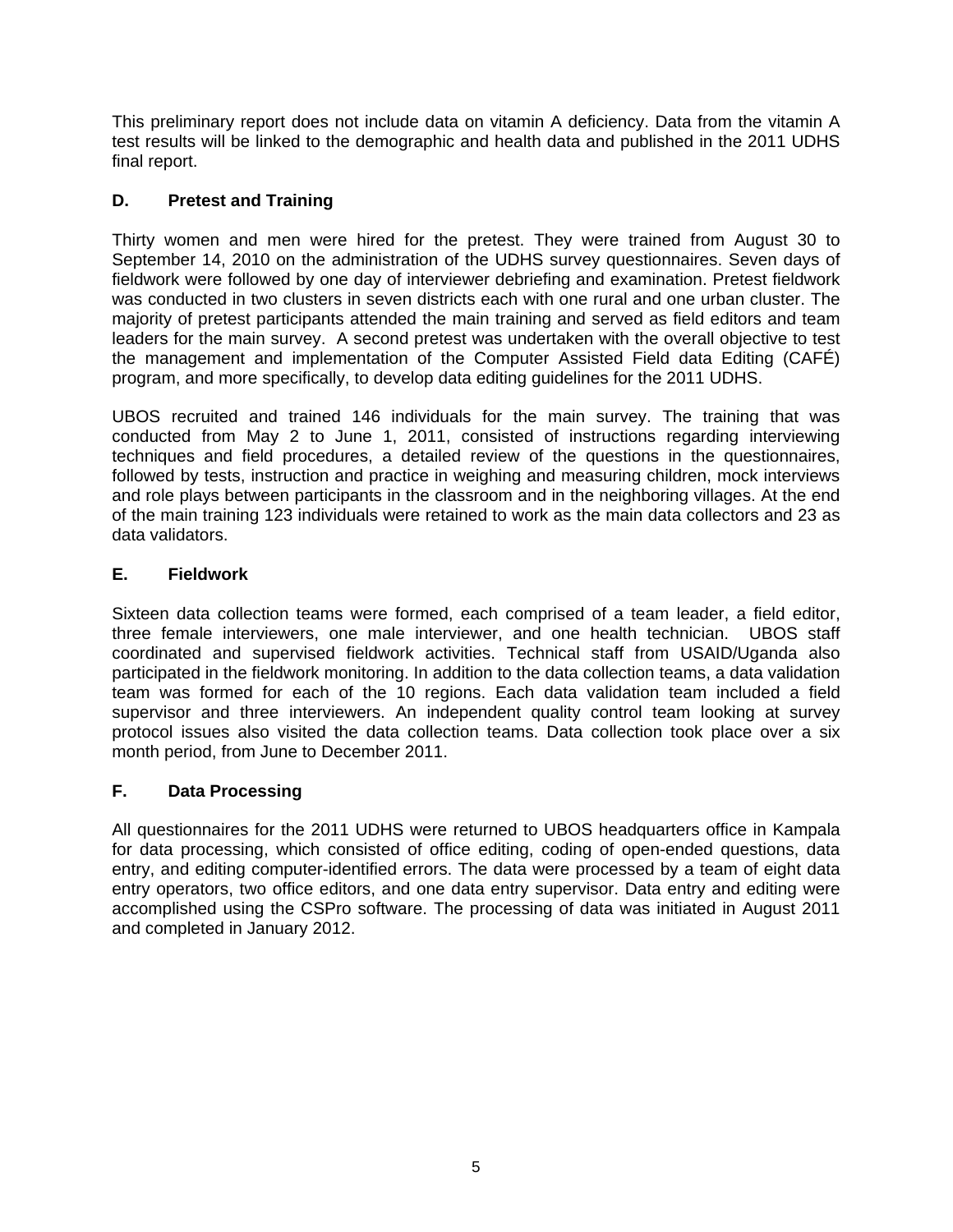This preliminary report does not include data on vitamin A deficiency. Data from the vitamin A test results will be linked to the demographic and health data and published in the 2011 UDHS final report.

## **D. Pretest and Training**

Thirty women and men were hired for the pretest. They were trained from August 30 to September 14, 2010 on the administration of the UDHS survey questionnaires. Seven days of fieldwork were followed by one day of interviewer debriefing and examination. Pretest fieldwork was conducted in two clusters in seven districts each with one rural and one urban cluster. The majority of pretest participants attended the main training and served as field editors and team leaders for the main survey. A second pretest was undertaken with the overall objective to test the management and implementation of the Computer Assisted Field data Editing (CAFÉ) program, and more specifically, to develop data editing guidelines for the 2011 UDHS.

UBOS recruited and trained 146 individuals for the main survey. The training that was conducted from May 2 to June 1, 2011, consisted of instructions regarding interviewing techniques and field procedures, a detailed review of the questions in the questionnaires, followed by tests, instruction and practice in weighing and measuring children, mock interviews and role plays between participants in the classroom and in the neighboring villages. At the end of the main training 123 individuals were retained to work as the main data collectors and 23 as data validators.

## **E. Fieldwork**

Sixteen data collection teams were formed, each comprised of a team leader, a field editor, three female interviewers, one male interviewer, and one health technician. UBOS staff coordinated and supervised fieldwork activities. Technical staff from USAID/Uganda also participated in the fieldwork monitoring. In addition to the data collection teams, a data validation team was formed for each of the 10 regions. Each data validation team included a field supervisor and three interviewers. An independent quality control team looking at survey protocol issues also visited the data collection teams. Data collection took place over a six month period, from June to December 2011.

## **F. Data Processing**

All questionnaires for the 2011 UDHS were returned to UBOS headquarters office in Kampala for data processing, which consisted of office editing, coding of open-ended questions, data entry, and editing computer-identified errors. The data were processed by a team of eight data entry operators, two office editors, and one data entry supervisor. Data entry and editing were accomplished using the CSPro software. The processing of data was initiated in August 2011 and completed in January 2012.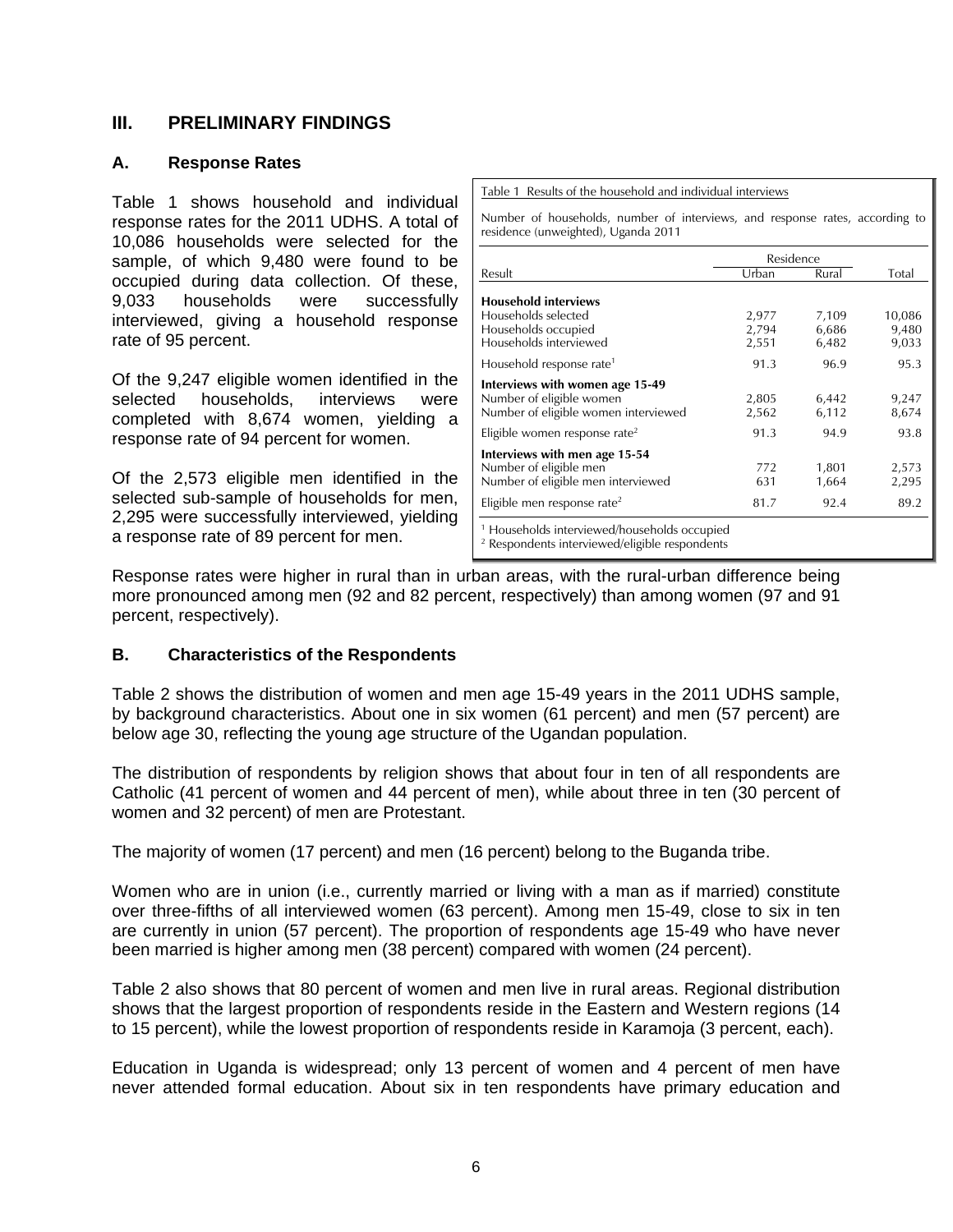## **III. PRELIMINARY FINDINGS**

## **A. Response Rates**

Table 1 shows household and individual response rates for the 2011 UDHS. A total of 10,086 households were selected for the sample, of which 9,480 were found to be occupied during data collection. Of these, 9,033 households were successfully interviewed, giving a household response rate of 95 percent.

Of the 9,247 eligible women identified in the selected households, interviews were completed with 8,674 women, yielding a response rate of 94 percent for women.

Of the 2,573 eligible men identified in the selected sub-sample of households for men, 2,295 were successfully interviewed, yielding a response rate of 89 percent for men.

Table 1 Results of the household and individual interviews

Number of households, number of interviews, and response rates, according to residence (unweighted), Uganda 2011

|                                                         | Residence |       |        |
|---------------------------------------------------------|-----------|-------|--------|
| Result                                                  | Urban     | Rural | Total  |
| <b>Household interviews</b>                             |           |       |        |
| Households selected                                     | 2,977     | 7,109 | 10,086 |
| Households occupied                                     | 2,794     | 6,686 | 9,480  |
| Households interviewed                                  | 2,551     | 6,482 | 9,033  |
| Household response rate <sup>1</sup>                    | 91.3      | 96.9  | 95.3   |
| Interviews with women age 15-49                         |           |       |        |
| Number of eligible women                                | 2,805     | 6,442 | 9,247  |
| Number of eligible women interviewed                    | 2,562     | 6,112 | 8,674  |
| Eligible women response rate <sup>2</sup>               | 91.3      | 94.9  | 93.8   |
| Interviews with men age 15-54                           |           |       |        |
| Number of eligible men                                  | 772       | 1,801 | 2,573  |
| Number of eligible men interviewed                      | 631       | 1,664 | 2,295  |
| Eligible men response rate <sup>2</sup>                 | 81.7      | 92.4  | 89.2   |
| <sup>1</sup> Households interviewed/households occupied |           |       |        |

<sup>1</sup> Households interviewed/households occupied <sup>2</sup> Respondents interviewed/eligible respondents

Response rates were higher in rural than in urban areas, with the rural-urban difference being more pronounced among men (92 and 82 percent, respectively) than among women (97 and 91 percent, respectively).

## **B. Characteristics of the Respondents**

Table 2 shows the distribution of women and men age 15-49 years in the 2011 UDHS sample, by background characteristics. About one in six women (61 percent) and men (57 percent) are below age 30, reflecting the young age structure of the Ugandan population.

The distribution of respondents by religion shows that about four in ten of all respondents are Catholic (41 percent of women and 44 percent of men), while about three in ten (30 percent of women and 32 percent) of men are Protestant.

The majority of women (17 percent) and men (16 percent) belong to the Buganda tribe.

Women who are in union (i.e., currently married or living with a man as if married) constitute over three-fifths of all interviewed women (63 percent). Among men 15-49, close to six in ten are currently in union (57 percent). The proportion of respondents age 15-49 who have never been married is higher among men (38 percent) compared with women (24 percent).

Table 2 also shows that 80 percent of women and men live in rural areas. Regional distribution shows that the largest proportion of respondents reside in the Eastern and Western regions (14 to 15 percent), while the lowest proportion of respondents reside in Karamoja (3 percent, each).

Education in Uganda is widespread; only 13 percent of women and 4 percent of men have never attended formal education. About six in ten respondents have primary education and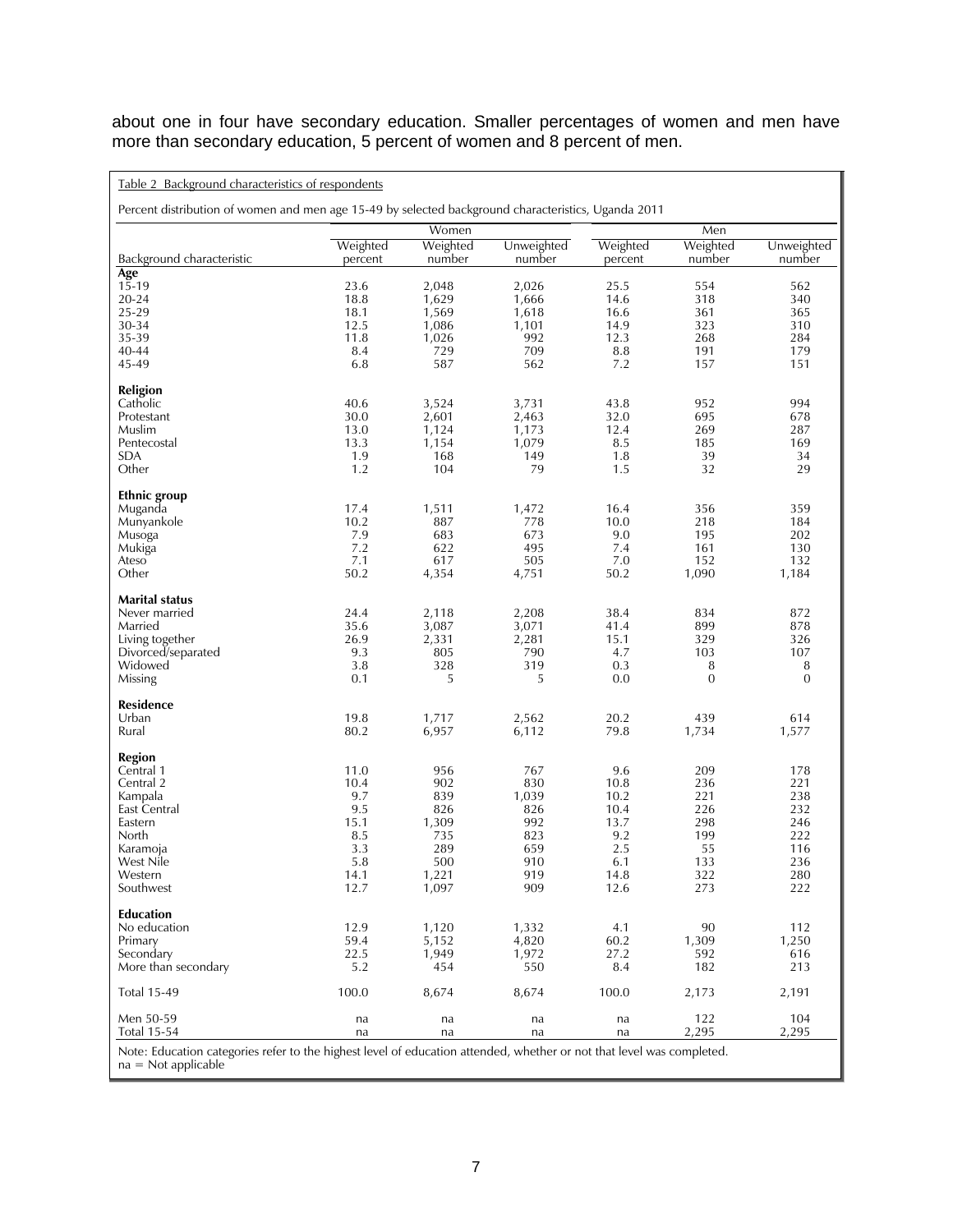about one in four have secondary education. Smaller percentages of women and men have more than secondary education, 5 percent of women and 8 percent of men.

| Table 2 Background characteristics of respondents                                                                     |                     |                    |                      |                     |                     |                      |  |  |
|-----------------------------------------------------------------------------------------------------------------------|---------------------|--------------------|----------------------|---------------------|---------------------|----------------------|--|--|
| Percent distribution of women and men age 15-49 by selected background characteristics, Uganda 2011                   |                     |                    |                      |                     |                     |                      |  |  |
|                                                                                                                       |                     | Women              |                      |                     | Men                 |                      |  |  |
| Background characteristic                                                                                             | Weighted<br>percent | Weighted<br>number | Unweighted<br>number | Weighted<br>percent | Weighted<br>number  | Unweighted<br>number |  |  |
| Age                                                                                                                   |                     |                    |                      |                     |                     |                      |  |  |
| $15 - 19$<br>$20 - 24$                                                                                                | 23.6<br>18.8        | 2,048<br>1,629     | 2,026<br>1,666       | 25.5<br>14.6        | 554<br>318          | 562<br>340           |  |  |
| 25-29                                                                                                                 | 18.1                | 1,569              | 1,618                | 16.6                | 361                 | 365                  |  |  |
| 30-34                                                                                                                 | 12.5                | 1,086              | 1,101                | 14.9                | 323                 | 310                  |  |  |
| 35-39                                                                                                                 | 11.8                | 1,026              | 992                  | 12.3                | 268                 | 284                  |  |  |
| 40-44                                                                                                                 | 8.4                 | 729                | 709                  | 8.8                 | 191                 | 179                  |  |  |
| 45-49                                                                                                                 | 6.8                 | 587                | 562                  | 7.2                 | 157                 | 151                  |  |  |
| <b>Religion</b>                                                                                                       |                     |                    |                      |                     |                     |                      |  |  |
| Catholic                                                                                                              | 40.6                | 3,524              | 3,731                | 43.8                | 952                 | 994                  |  |  |
| Protestant                                                                                                            | 30.0                | 2,601              | 2,463                | 32.0                | 695                 | 678                  |  |  |
| Muslim                                                                                                                | 13.0                | 1,124              | 1,173                | 12.4                | 269                 | 287                  |  |  |
| Pentecostal                                                                                                           | 13.3                | 1,154              | 1,079                | 8.5                 | 185                 | 169                  |  |  |
| <b>SDA</b>                                                                                                            | 1.9                 | 168                | 149                  | 1.8                 | 39                  | 34                   |  |  |
| Other                                                                                                                 | 1.2                 | 104                | 79                   | 1.5                 | 32                  | 29                   |  |  |
| <b>Ethnic group</b>                                                                                                   |                     |                    |                      |                     |                     |                      |  |  |
| Muganda                                                                                                               | 17.4                | 1,511              | 1,472                | 16.4                | 356                 | 359                  |  |  |
| Munyankole                                                                                                            | 10.2                | 887                | 778                  | 10.0                | 218                 | 184                  |  |  |
| Musoga                                                                                                                | 7.9                 | 683                | 673                  | 9.0                 | 195                 | 202                  |  |  |
| Mukiga                                                                                                                | 7.2                 | 622                | 495                  | 7.4                 | 161                 | 130                  |  |  |
| Ateso<br>Other                                                                                                        | 7.1<br>50.2         | 617<br>4,354       | 505<br>4,751         | 7.0<br>50.2         | 152<br>1,090        | 132<br>1,184         |  |  |
|                                                                                                                       |                     |                    |                      |                     |                     |                      |  |  |
| <b>Marital status</b>                                                                                                 |                     |                    |                      |                     |                     |                      |  |  |
| Never married                                                                                                         | 24.4                | 2,118              | 2,208                | 38.4                | 834                 | 872                  |  |  |
| Married                                                                                                               | 35.6                | 3,087              | 3,071                | 41.4                | 899                 | 878                  |  |  |
| Living together                                                                                                       | 26.9                | 2,331              | 2,281                | 15.1                | 329                 | 326                  |  |  |
| Divorced/separated                                                                                                    | 9.3                 | 805                | 790                  | 4.7                 | 103                 | 107                  |  |  |
| Widowed                                                                                                               | 3.8<br>0.1          | 328<br>5           | 319<br>5             | 0.3<br>0.0          | 8<br>$\overline{0}$ | 8<br>$\overline{0}$  |  |  |
| Missing                                                                                                               |                     |                    |                      |                     |                     |                      |  |  |
| <b>Residence</b>                                                                                                      |                     |                    |                      |                     |                     |                      |  |  |
| Urban                                                                                                                 | 19.8                | 1,717              | 2,562                | 20.2                | 439                 | 614                  |  |  |
| Rural                                                                                                                 | 80.2                | 6,957              | 6,112                | 79.8                | 1,734               | 1,577                |  |  |
| <b>Region</b>                                                                                                         |                     |                    |                      |                     |                     |                      |  |  |
| Central 1                                                                                                             | 11.0                | 956                | 767                  | 9.6                 | 209                 | 178                  |  |  |
| Central 2                                                                                                             | 10.4                | 902                | 830                  | 10.8                | 236                 | 221                  |  |  |
| Kampala                                                                                                               | 9.7                 | 839                | 1,039                | 10.2                | 221                 | 238                  |  |  |
| East Central<br>Eastern                                                                                               | 9.5                 | 826                | 826                  | 10.4                | 226                 | 232                  |  |  |
| North                                                                                                                 | 15.1<br>8.5         | 1,309<br>735       | 992<br>823           | 13.7<br>9.2         | 298<br>199          | 246<br>222           |  |  |
| Karamoja                                                                                                              | 3.3                 | 289                | 659                  | 2.5                 | 55                  | 116                  |  |  |
| West Nile                                                                                                             | 5.8                 | 500                | 910                  | 6.1                 | 133                 | 236                  |  |  |
| Western                                                                                                               | 14.1                | 1,221              | 919                  | 14.8                | 322                 | 280                  |  |  |
| Southwest                                                                                                             | 12.7                | 1,097              | 909                  | 12.6                | 273                 | 222                  |  |  |
| <b>Education</b>                                                                                                      |                     |                    |                      |                     |                     |                      |  |  |
| No education                                                                                                          | 12.9                | 1,120              | 1,332                | 4.1                 | 90                  | 112                  |  |  |
| Primary                                                                                                               | 59.4                | 5,152              | 4,820                | 60.2                | 1,309               | 1,250                |  |  |
| Secondary                                                                                                             | 22.5                | 1,949              | 1,972                | 27.2                | 592                 | 616                  |  |  |
| More than secondary                                                                                                   | 5.2                 | 454                | 550                  | 8.4                 | 182                 | 213                  |  |  |
| <b>Total 15-49</b>                                                                                                    | 100.0               | 8,674              | 8,674                | 100.0               | 2,173               | 2,191                |  |  |
| Men 50-59                                                                                                             | na                  | na                 | na                   | na                  | 122                 | 104                  |  |  |
| <b>Total 15-54</b>                                                                                                    | na                  | na                 | na                   | na                  | 2,295               | 2,295                |  |  |
| Note: Education categories refer to the highest level of education attended, whether or not that level was completed. |                     |                    |                      |                     |                     |                      |  |  |

na = Not applicable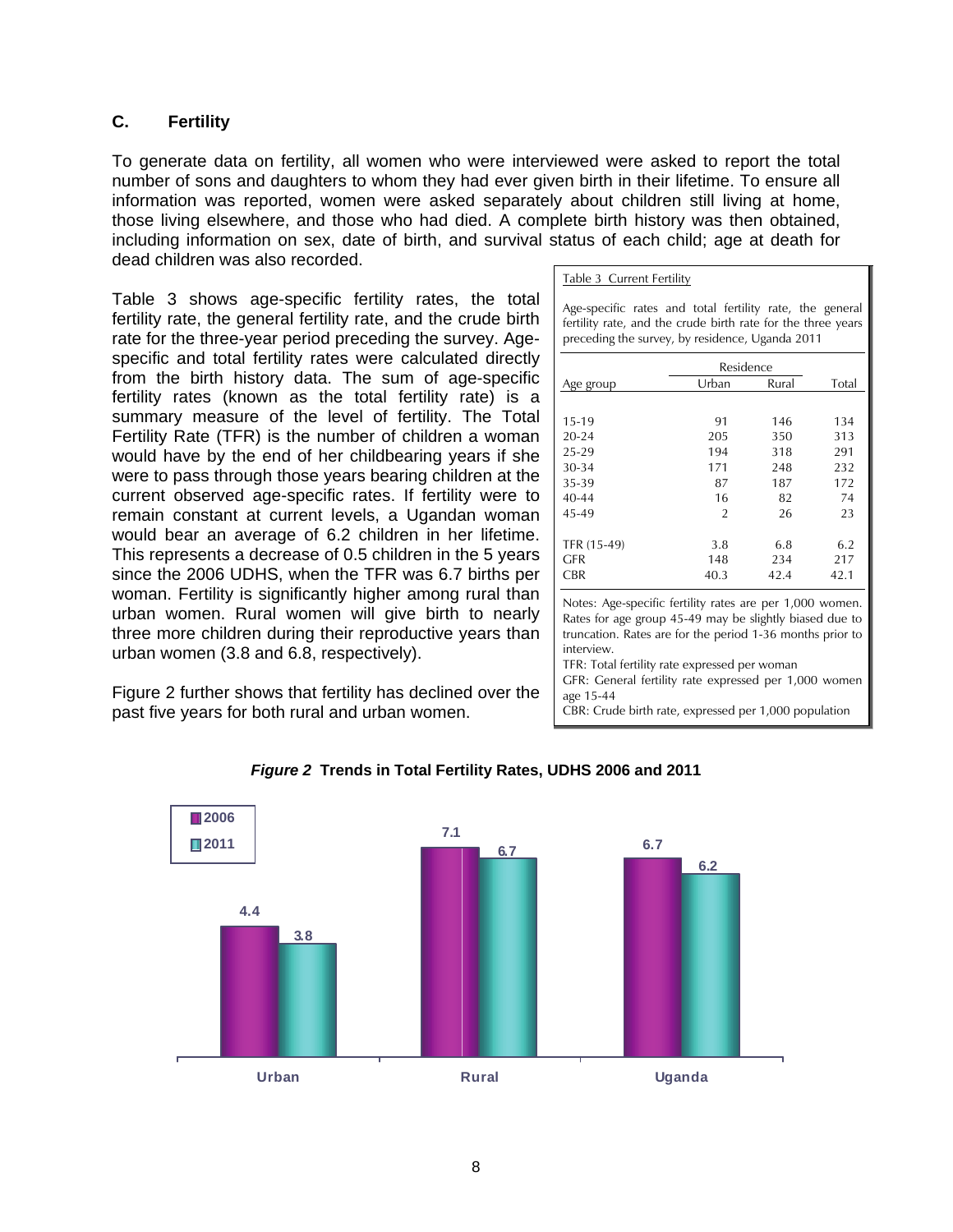## **C. Fertility**

To generate data on fertility, all women who were interviewed were asked to report the total number of sons and daughters to whom they had ever given birth in their lifetime. To ensure all information was reported, women were asked separately about children still living at home, those living elsewhere, and those who had died. A complete birth history was then obtained, including information on sex, date of birth, and survival status of each child; age at death for dead children was also recorded.

Table 3 shows age-specific fertility rates, the total fertility rate, the general fertility rate, and the crude birth rate for the three-year period preceding the survey. Agespecific and total fertility rates were calculated directly from the birth history data. The sum of age-specific fertility rates (known as the total fertility rate) is a summary measure of the level of fertility. The Total Fertility Rate (TFR) is the number of children a woman would have by the end of her childbearing years if she were to pass through those years bearing children at the current observed age-specific rates. If fertility were to remain constant at current levels, a Ugandan woman would bear an average of 6.2 children in her lifetime. This represents a decrease of 0.5 children in the 5 years since the 2006 UDHS, when the TFR was 6.7 births per woman. Fertility is significantly higher among rural than urban women. Rural women will give birth to nearly three more children during their reproductive years than urban women (3.8 and 6.8, respectively).

Figure 2 further shows that fertility has declined over the past five years for both rural and urban women.

| Table 3 Current Fertility |  |
|---------------------------|--|
|                           |  |

Age-specific rates and total fertility rate, the general fertility rate, and the crude birth rate for the three years preceding the survey, by residence, Uganda 2011

|             | Residence      |       |       |
|-------------|----------------|-------|-------|
| Age group   | Urban          | Rural | Total |
|             |                |       |       |
| $15 - 19$   | 91             | 146   | 134   |
| $20 - 24$   | 205            | 350   | 313   |
| 25-29       | 194            | 318   | 291   |
| $30 - 34$   | 171            | 248   | 232   |
| 35-39       | 87             | 187   | 172   |
| $40 - 44$   | 16             | 82    | 74    |
| 45-49       | $\overline{2}$ | 26    | 23    |
|             |                |       |       |
| TFR (15-49) | 3.8            | 6.8   | 6.2   |
| GFR         | 148            | 234   | 217   |
| <b>CBR</b>  | 40.3           | 42.4  | 42.1  |

Notes: Age-specific fertility rates are per 1,000 women. Rates for age group 45-49 may be slightly biased due to truncation. Rates are for the period 1-36 months prior to interview.

TFR: Total fertility rate expressed per woman

GFR: General fertility rate expressed per 1,000 women age 15-44

CBR: Crude birth rate, expressed per 1,000 population



## *Figure 2* **Trends in Total Fertility Rates, UDHS 2006 and 2011**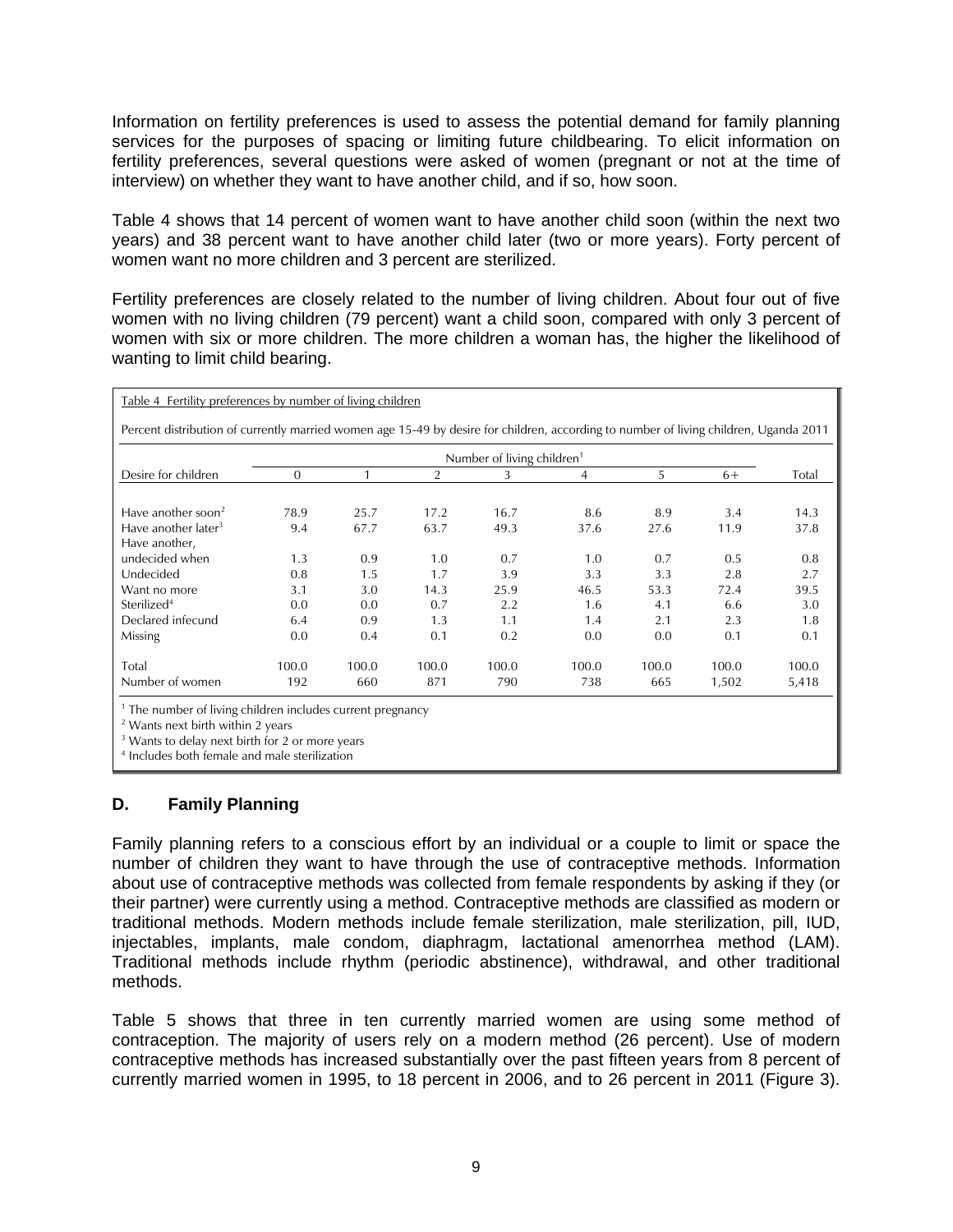Information on fertility preferences is used to assess the potential demand for family planning services for the purposes of spacing or limiting future childbearing. To elicit information on fertility preferences, several questions were asked of women (pregnant or not at the time of interview) on whether they want to have another child, and if so, how soon.

Table 4 shows that 14 percent of women want to have another child soon (within the next two years) and 38 percent want to have another child later (two or more years). Forty percent of women want no more children and 3 percent are sterilized.

Fertility preferences are closely related to the number of living children. About four out of five women with no living children (79 percent) want a child soon, compared with only 3 percent of women with six or more children. The more children a woman has, the higher the likelihood of wanting to limit child bearing.

|                                 |          |       |                | Number of living children <sup>1</sup> |       |       |       |       |
|---------------------------------|----------|-------|----------------|----------------------------------------|-------|-------|-------|-------|
| Desire for children             | $\Omega$ |       | $\overline{2}$ | 3                                      | 4     | 5     | $6+$  | Total |
| Have another soon <sup>2</sup>  | 78.9     | 25.7  | 17.2           | 16.7                                   | 8.6   | 8.9   | 3.4   | 14.3  |
| Have another later <sup>3</sup> | 9.4      | 67.7  | 63.7           | 49.3                                   | 37.6  | 27.6  | 11.9  | 37.8  |
| Have another,                   |          |       |                |                                        |       |       |       |       |
| undecided when                  | 1.3      | 0.9   | 1.0            | 0.7                                    | 1.0   | 0.7   | 0.5   | 0.8   |
| Undecided                       | 0.8      | 1.5   | 1.7            | 3.9                                    | 3.3   | 3.3   | 2.8   | 2.7   |
| Want no more                    | 3.1      | 3.0   | 14.3           | 25.9                                   | 46.5  | 53.3  | 72.4  | 39.5  |
| Sterilized <sup>4</sup>         | 0.0      | 0.0   | 0.7            | 2.2                                    | 1.6   | 4.1   | 6.6   | 3.0   |
| Declared infecund               | 6.4      | 0.9   | 1.3            | 1.1                                    | 1.4   | 2.1   | 2.3   | 1.8   |
| Missing                         | 0.0      | 0.4   | 0.1            | 0.2                                    | 0.0   | 0.0   | 0.1   | 0.1   |
| Total                           | 100.0    | 100.0 | 100.0          | 100.0                                  | 100.0 | 100.0 | 100.0 | 100.0 |
| Number of women                 | 192      | 660   | 871            | 790                                    | 738   | 665   | 1,502 | 5,418 |

2 Wants next birth within 2 years

<sup>3</sup> Wants to delay next birth for 2 or more years

4 Includes both female and male sterilization

## **D. Family Planning**

Family planning refers to a conscious effort by an individual or a couple to limit or space the number of children they want to have through the use of contraceptive methods. Information about use of contraceptive methods was collected from female respondents by asking if they (or their partner) were currently using a method. Contraceptive methods are classified as modern or traditional methods. Modern methods include female sterilization, male sterilization, pill, IUD, injectables, implants, male condom, diaphragm, lactational amenorrhea method (LAM). Traditional methods include rhythm (periodic abstinence), withdrawal, and other traditional methods.

Table 5 shows that three in ten currently married women are using some method of contraception. The majority of users rely on a modern method (26 percent). Use of modern contraceptive methods has increased substantially over the past fifteen years from 8 percent of currently married women in 1995, to 18 percent in 2006, and to 26 percent in 2011 (Figure 3).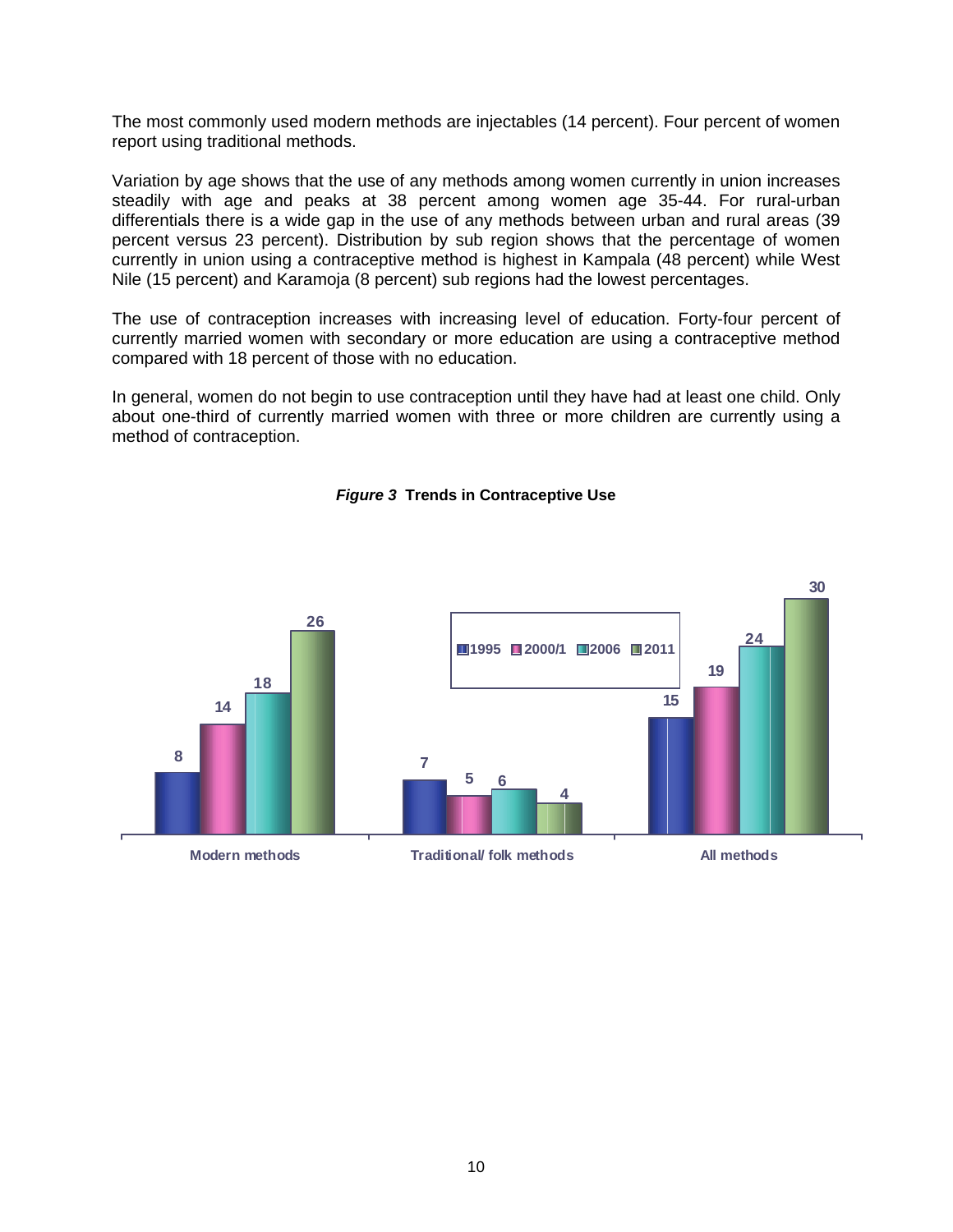The most commonly used modern methods are injectables (14 percent). Four percent of women report using traditional methods.

Variation by age shows that the use of any methods among women currently in union increases steadily with age and peaks at 38 percent among women age 35-44. For rural-urban differentials there is a wide gap in the use of any methods between urban and rural areas (39 percent versus 23 percent). Distribution by sub region shows that the percentage of women currently in union using a contraceptive method is highest in Kampala (48 percent) while West Nile (15 percent) and Karamoja (8 percent) sub regions had the lowest percentages.

The use of contraception increases with increasing level of education. Forty-four percent of currently married women with secondary or more education are using a contraceptive method compared with 18 percent of those with no education.

In general, women do not begin to use contraception until they have had at least one child. Only about one-third of currently married women with three or more children are currently using a method of contraception.



### *Figure 3* **Trends in Contraceptive Use**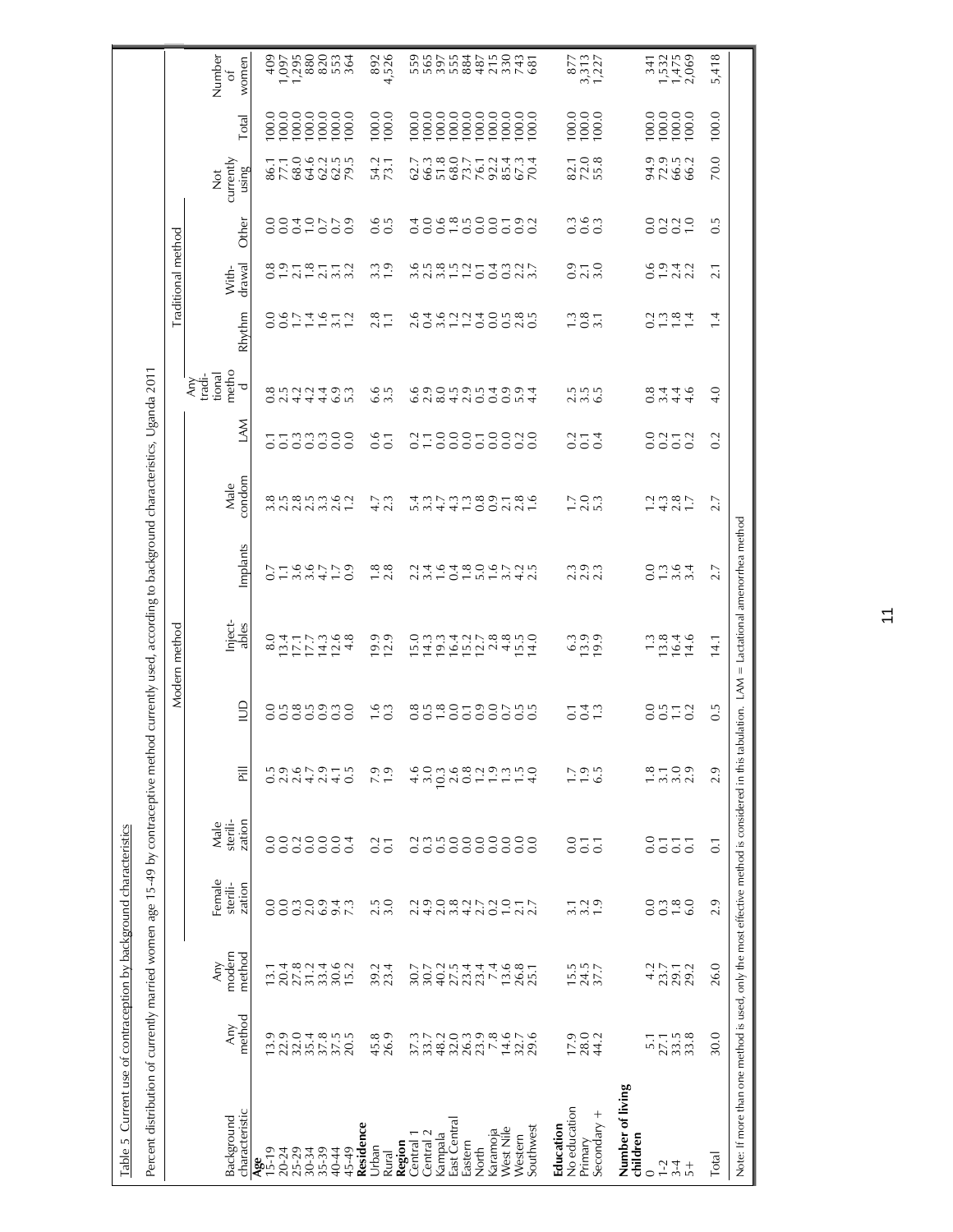| Percent distribution of currently married women age 15-49 by contraceptive method<br>Table 5 Current use of contraception by background characteristics |                                                                                   |                                                  |                                           |                                                                        |                                                   |                         | currently used, according to background characteristics, Uganda 2011 |                          |                                  |                               |                                       |                                                |                    |                                                  |                                                              |                                                                                                                                                                                                                                                                                                                                                                                  |                                                             |
|---------------------------------------------------------------------------------------------------------------------------------------------------------|-----------------------------------------------------------------------------------|--------------------------------------------------|-------------------------------------------|------------------------------------------------------------------------|---------------------------------------------------|-------------------------|----------------------------------------------------------------------|--------------------------|----------------------------------|-------------------------------|---------------------------------------|------------------------------------------------|--------------------|--------------------------------------------------|--------------------------------------------------------------|----------------------------------------------------------------------------------------------------------------------------------------------------------------------------------------------------------------------------------------------------------------------------------------------------------------------------------------------------------------------------------|-------------------------------------------------------------|
|                                                                                                                                                         |                                                                                   |                                                  |                                           |                                                                        |                                                   |                         | Modern method                                                        |                          |                                  |                               |                                       |                                                | Traditional method |                                                  |                                                              |                                                                                                                                                                                                                                                                                                                                                                                  |                                                             |
| characteristic<br>Background                                                                                                                            | method<br>Any                                                                     | modern<br>method<br><b>Any</b>                   | Female<br>sterili-<br>zation              | sterili-<br>zation<br>Male                                             | $\overline{a}$                                    | $\supseteq$             | Inject-<br>ables                                                     | Implants                 | condom<br>Male                   | MN                            | metho<br>tional<br>tradi-<br>Any<br>乊 | Rhythm                                         | drawal<br>With-    | Other                                            | currently<br>using<br>$\breve{\rm z}$                        | Total                                                                                                                                                                                                                                                                                                                                                                            | Number<br>women<br>ō                                        |
| 20-24<br>25-29<br>30-35<br>35-35<br>$A_{5-19}$<br>40-44                                                                                                 | りの 0 4 8 5 5<br>ご 2 2 5 7 7 0<br>1 2 2 5 5 5 0                                    | $27.8$<br>$31.2$<br>33.4<br>30.6<br>20.4<br>13.1 | OUNQOK<br>OUNQOK<br>0.0                   | 0.0<br>0.0                                                             | $2.6$<br>4.7<br>2.9<br>$0.5$<br>2.9<br>4.1        | angnang<br>Sasasas      | 8.0                                                                  | 01366719<br>0136410      | 8558536<br>858585                | atammee                       | oudadou<br>oudadou                    | 0011912                                        | 0.97877            | 0000000<br>00000000                              | 77.1<br>$3290$<br>$329$<br>86.1                              | $\begin{array}{c} 100.0 \\ 100.0 \\ 100.0 \\ 100.0 \\ \end{array}$<br>100.0<br>100.0                                                                                                                                                                                                                                                                                             | 1,095<br>1,096<br>1,090<br>1,097<br>409                     |
| Residence<br>Urban<br>45-49<br>Rural                                                                                                                    | $45.8$<br>26.9                                                                    | 15.2<br>39.4                                     | $\frac{2.5}{3.0}$                         | 0.4<br>0.7                                                             | $7.9$<br>1.9<br>0.5                               | $\frac{16}{0.3}$        | 4.8<br>$19.9$<br>$12.9$                                              | $1.8$<br>2.8             | 1.2<br>$4.7$<br>2.3              | 0.1                           | 6.5<br>3.5                            | 2.8                                            | 3.3<br>3.2         | 0.5                                              | 54.2<br>73.1                                                 | 100.0<br>100.0                                                                                                                                                                                                                                                                                                                                                                   | 892<br>4,526<br>364                                         |
| East Central<br>West Nile<br>Karamoja<br>Central <sub>2</sub><br>Central 1<br>Kampala<br>Western<br>Region<br>Eastern<br>North                          |                                                                                   | 222222222222222222222222<br>30.7                 | 21008272057<br>2200420572                 | annooooooo<br>ooooooooo                                                | 0.80190<br>4.6<br>3.0<br>10.3<br>$\frac{1}{4}$ .0 |                         | 19.3<br>16.4<br>$15.288$<br>$12.788$<br>15.0<br>14.3<br>15.5         | 2464806725<br>2464806725 | 5344100221 1 3 2 4 4 1 0 0 1 8 0 | TO00T00N0<br>TO0000000<br>0.2 | 6905954994) c 200500 4                | d 4 9 9 9 4 9 9 9 9 9<br>0 9 9 9 9 9 9 9 9 9 9 | 0.58577<br>0.027   | 0.4<br>0.0                                       | 51.8<br>68.0<br>73.7<br>76.1<br>92.2<br>67.3<br>66.3<br>62.7 | 100.0<br>$\begin{bmatrix} 0 & 0 & 0 \\ 0 & 0 & 0 \\ 0 & 0 & 0 \\ 0 & 0 & 0 \\ 0 & 0 & 0 \\ 0 & 0 & 0 \\ 0 & 0 & 0 \\ 0 & 0 & 0 \\ 0 & 0 & 0 \\ 0 & 0 & 0 \\ 0 & 0 & 0 \\ 0 & 0 & 0 \\ 0 & 0 & 0 \\ 0 & 0 & 0 \\ 0 & 0 & 0 \\ 0 & 0 & 0 \\ 0 & 0 & 0 \\ 0 & 0 & 0 & 0 \\ 0 & 0 & 0 & 0 \\ 0 & 0 & 0 & 0 \\ 0 & 0 & 0 & 0 \\ 0 & 0 & 0 & 0 & $<br>100.0<br>100.0<br>100.0<br>100.0 | 565<br>555<br>884<br>215<br>330<br>559<br>397<br>487<br>743 |
| No education<br>Secondary +<br>Education<br>Southwest<br>Primary                                                                                        | $\frac{17.9}{28.1}$<br>29.6                                                       | $15.5$<br>$24.5$<br>$37.7$                       | $\frac{1}{3}$ $\frac{3}{1}$ $\frac{1}{9}$ | 0.0<br>$\overline{0}$ .<br>$\overline{0}$ :                            | $\frac{0.5}{6.5}$                                 | 0.4<br>$\overline{0}$ . | 14.0<br>$13.9$<br>$19.9$<br>6.3                                      | 3 9 9<br>2 9 2           | 7.000                            | 0.74                          | n n n<br>$\sim$ $\sim$                | $\frac{3}{1}$ $\frac{3}{1}$ $\frac{3}{1}$      | 0.70               | $\begin{array}{c} 0.9 \\ 0.9 \\ 0.9 \end{array}$ | 82.1<br>72.8<br>70.4                                         | 100.0<br>100.0<br>100.0<br>100.0                                                                                                                                                                                                                                                                                                                                                 | $\begin{array}{c} 877 \\ 3,313 \\ 1,227 \end{array}$<br>681 |
| Number of living<br>children<br>$1-2$<br>$3 + 4$<br>$\circ$                                                                                             | $\frac{5}{2}$<br>$\frac{7}{2}$<br>$\frac{1}{3}$<br>$\frac{3}{3}$<br>$\frac{3}{3}$ | $4.2$<br>23.7<br>29.1                            |                                           | $_{\rm 0.0}$<br>$\overline{0}$ .<br>$\overline{C}$<br>$\overline{0}$ . | $7.00$<br>$7.00$<br>$\frac{8}{1}$                 | 0.572                   | $13.8$<br>$16.4$<br>1.3<br>14.6                                      | 0 m i 0 4<br>0 m i 0 m   | $7.495$<br>$7.795$               | 0252<br>0000                  | 0.8<br>4.4<br>4.6                     | 0.0004                                         | sorta<br>Oraia     | 0339                                             | 99952<br>92962                                               | 100.0<br>100.0<br>100.0                                                                                                                                                                                                                                                                                                                                                          | $7, 7, 60$<br>$7, 7, 60$<br>$7, 7, 60$                      |
| Total                                                                                                                                                   | 30.0                                                                              | 26.0                                             | 2.9                                       | $\overline{0}$ .                                                       | 2.9                                               | 0.5                     | 14.1                                                                 | 2.7                      | 2.7                              | 0.2                           | 4.0                                   | 1.4                                            | 2.1                | $0.\overline{5}$                                 | 70.0                                                         | 100.0                                                                                                                                                                                                                                                                                                                                                                            | 5,418                                                       |
| Note: If more than one method is used, only the most effective method is considered in this tabulation. LAM = Lactational amenorthea method             |                                                                                   |                                                  |                                           |                                                                        |                                                   |                         |                                                                      |                          |                                  |                               |                                       |                                                |                    |                                                  |                                                              |                                                                                                                                                                                                                                                                                                                                                                                  |                                                             |

 $\overline{1}$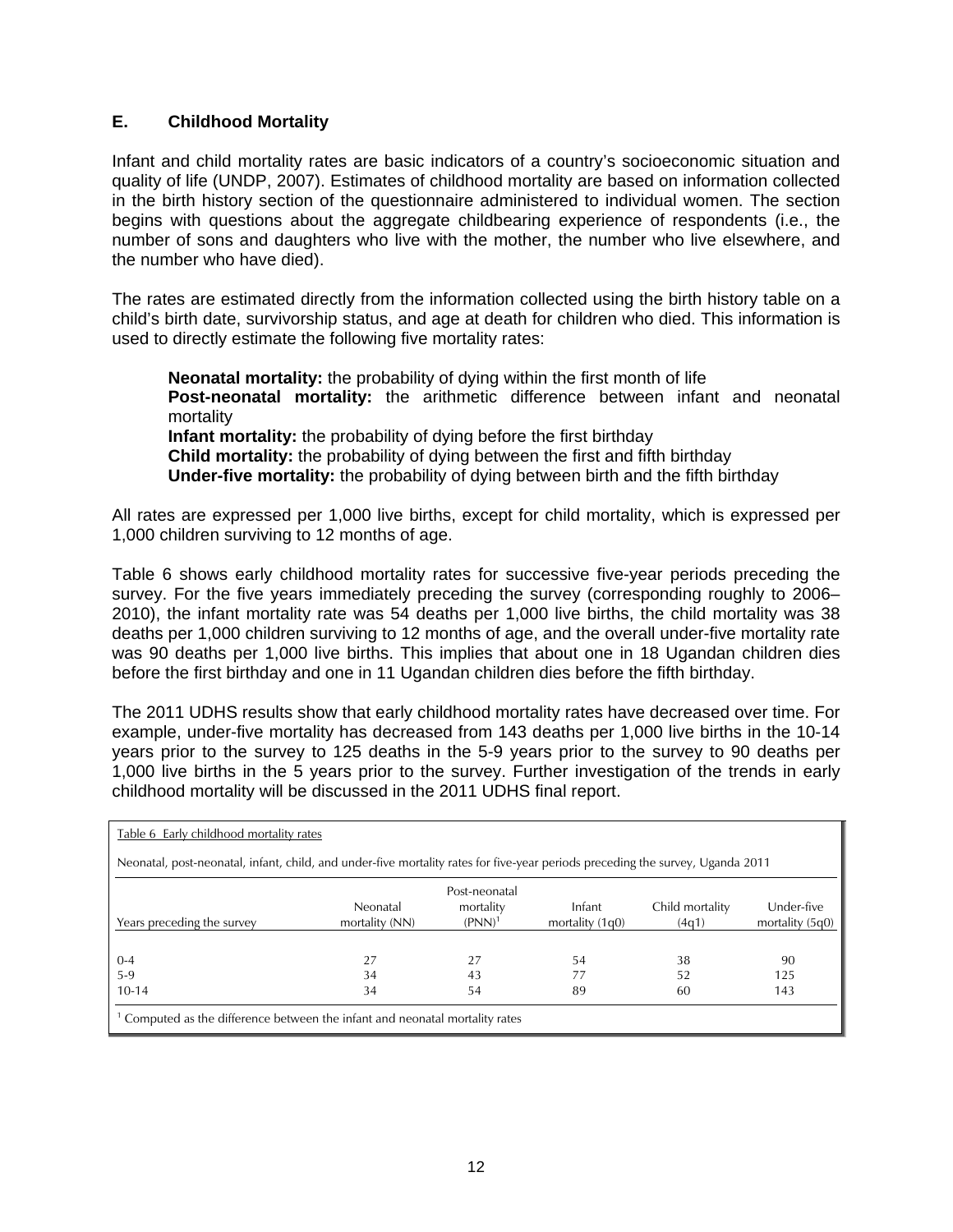## **E. Childhood Mortality**

Infant and child mortality rates are basic indicators of a country's socioeconomic situation and quality of life (UNDP, 2007). Estimates of childhood mortality are based on information collected in the birth history section of the questionnaire administered to individual women. The section begins with questions about the aggregate childbearing experience of respondents (i.e., the number of sons and daughters who live with the mother, the number who live elsewhere, and the number who have died).

The rates are estimated directly from the information collected using the birth history table on a child's birth date, survivorship status, and age at death for children who died. This information is used to directly estimate the following five mortality rates:

**Neonatal mortality:** the probability of dying within the first month of life **Post-neonatal mortality:** the arithmetic difference between infant and neonatal mortality **Infant mortality:** the probability of dying before the first birthday **Child mortality:** the probability of dying between the first and fifth birthday **Under-five mortality:** the probability of dying between birth and the fifth birthday

All rates are expressed per 1,000 live births, except for child mortality, which is expressed per 1,000 children surviving to 12 months of age.

Table 6 shows early childhood mortality rates for successive five-year periods preceding the survey. For the five years immediately preceding the survey (corresponding roughly to 2006– 2010), the infant mortality rate was 54 deaths per 1,000 live births, the child mortality was 38 deaths per 1,000 children surviving to 12 months of age, and the overall under-five mortality rate was 90 deaths per 1,000 live births. This implies that about one in 18 Ugandan children dies before the first birthday and one in 11 Ugandan children dies before the fifth birthday.

The 2011 UDHS results show that early childhood mortality rates have decreased over time. For example, under-five mortality has decreased from 143 deaths per 1,000 live births in the 10-14 years prior to the survey to 125 deaths in the 5-9 years prior to the survey to 90 deaths per 1,000 live births in the 5 years prior to the survey. Further investigation of the trends in early childhood mortality will be discussed in the 2011 UDHS final report.

| Table 6 Early childhood mortality rates                                                                                        |                            |                                                  |                             |                          |                                 |
|--------------------------------------------------------------------------------------------------------------------------------|----------------------------|--------------------------------------------------|-----------------------------|--------------------------|---------------------------------|
| Neonatal, post-neonatal, infant, child, and under-five mortality rates for five-year periods preceding the survey, Uganda 2011 |                            |                                                  |                             |                          |                                 |
| Years preceding the survey                                                                                                     | Neonatal<br>mortality (NN) | Post-neonatal<br>mortality<br>(PNN) <sup>1</sup> | Infant<br>mortality $(1q0)$ | Child mortality<br>(4q1) | Under-five<br>mortality $(5q0)$ |
| $0 - 4$                                                                                                                        | 27                         | 27                                               | 54                          | 38                       | 90                              |
| $5-9$                                                                                                                          | 34                         | 43                                               |                             | 52                       | 125                             |
| $10 - 14$                                                                                                                      | 34                         | 54                                               | 89                          | 60                       | 143                             |
| <sup>1</sup> Computed as the difference between the infant and neonatal mortality rates                                        |                            |                                                  |                             |                          |                                 |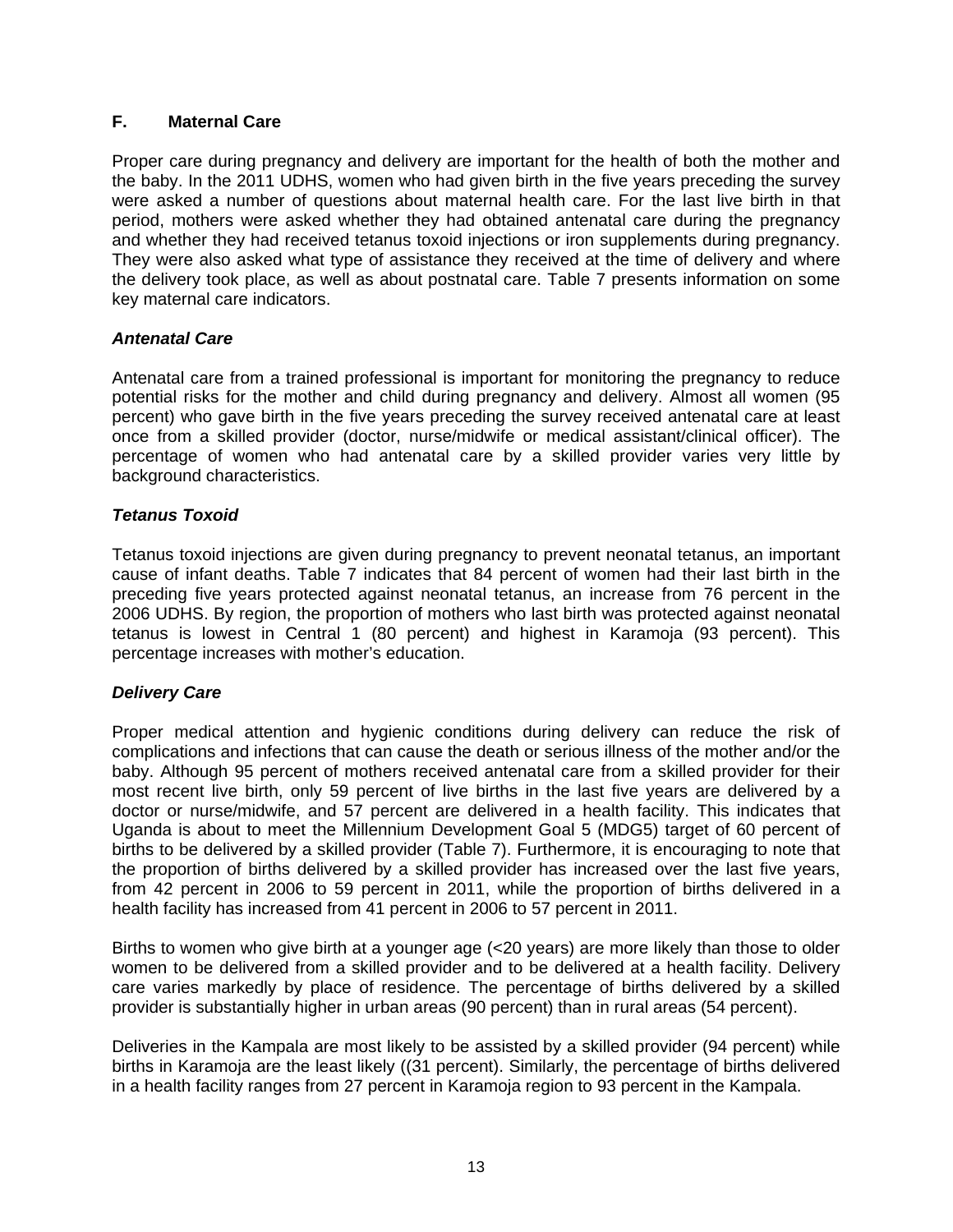## **F. Maternal Care**

Proper care during pregnancy and delivery are important for the health of both the mother and the baby. In the 2011 UDHS, women who had given birth in the five years preceding the survey were asked a number of questions about maternal health care. For the last live birth in that period, mothers were asked whether they had obtained antenatal care during the pregnancy and whether they had received tetanus toxoid injections or iron supplements during pregnancy. They were also asked what type of assistance they received at the time of delivery and where the delivery took place, as well as about postnatal care. Table 7 presents information on some key maternal care indicators.

## *Antenatal Care*

Antenatal care from a trained professional is important for monitoring the pregnancy to reduce potential risks for the mother and child during pregnancy and delivery. Almost all women (95 percent) who gave birth in the five years preceding the survey received antenatal care at least once from a skilled provider (doctor, nurse/midwife or medical assistant/clinical officer). The percentage of women who had antenatal care by a skilled provider varies very little by background characteristics.

## *Tetanus Toxoid*

Tetanus toxoid injections are given during pregnancy to prevent neonatal tetanus, an important cause of infant deaths. Table 7 indicates that 84 percent of women had their last birth in the preceding five years protected against neonatal tetanus, an increase from 76 percent in the 2006 UDHS. By region, the proportion of mothers who last birth was protected against neonatal tetanus is lowest in Central 1 (80 percent) and highest in Karamoja (93 percent). This percentage increases with mother's education.

## *Delivery Care*

Proper medical attention and hygienic conditions during delivery can reduce the risk of complications and infections that can cause the death or serious illness of the mother and/or the baby. Although 95 percent of mothers received antenatal care from a skilled provider for their most recent live birth, only 59 percent of live births in the last five years are delivered by a doctor or nurse/midwife, and 57 percent are delivered in a health facility. This indicates that Uganda is about to meet the Millennium Development Goal 5 (MDG5) target of 60 percent of births to be delivered by a skilled provider (Table 7). Furthermore, it is encouraging to note that the proportion of births delivered by a skilled provider has increased over the last five years, from 42 percent in 2006 to 59 percent in 2011, while the proportion of births delivered in a health facility has increased from 41 percent in 2006 to 57 percent in 2011.

Births to women who give birth at a younger age (<20 years) are more likely than those to older women to be delivered from a skilled provider and to be delivered at a health facility. Delivery care varies markedly by place of residence. The percentage of births delivered by a skilled provider is substantially higher in urban areas (90 percent) than in rural areas (54 percent).

Deliveries in the Kampala are most likely to be assisted by a skilled provider (94 percent) while births in Karamoja are the least likely ((31 percent). Similarly, the percentage of births delivered in a health facility ranges from 27 percent in Karamoja region to 93 percent in the Kampala.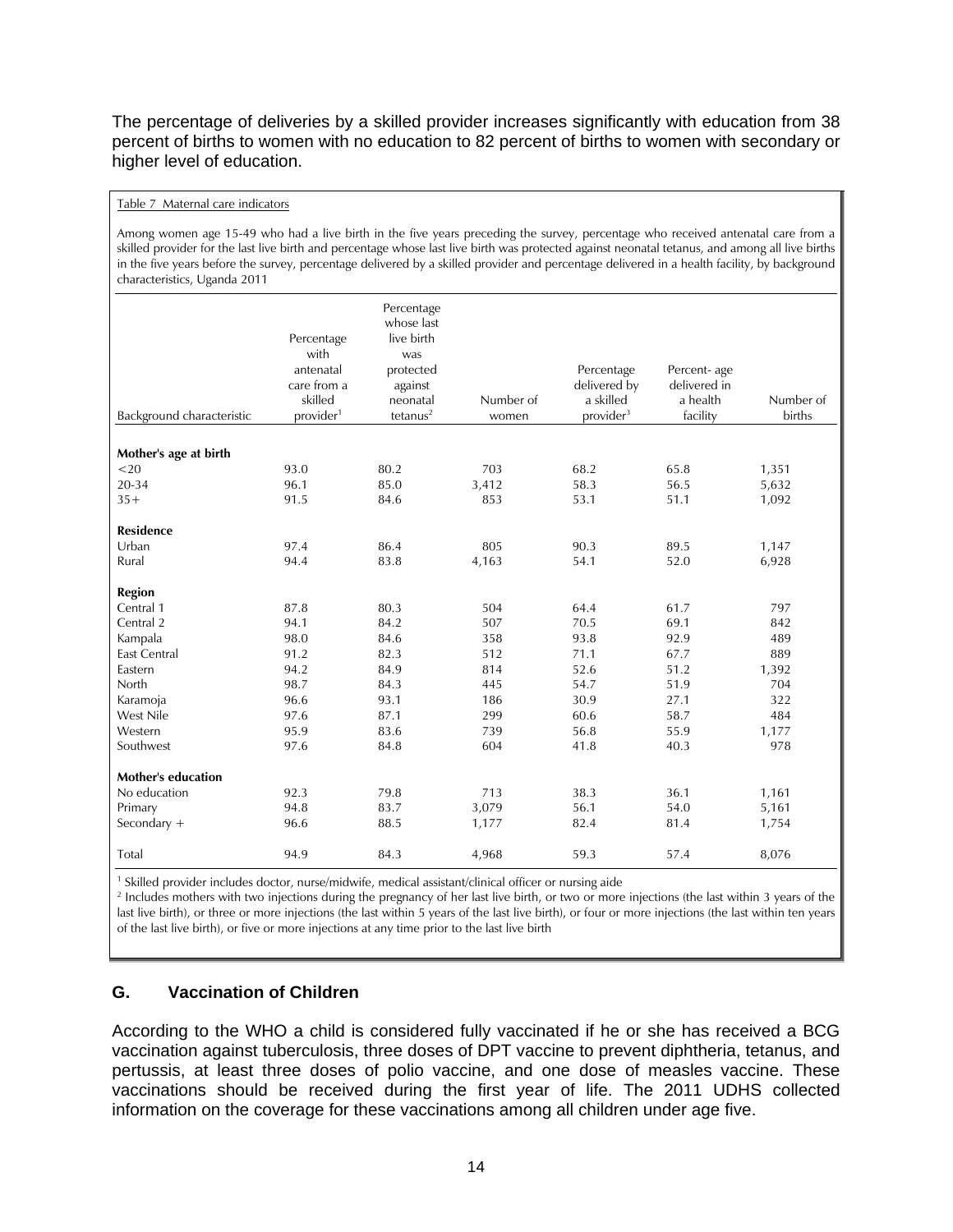The percentage of deliveries by a skilled provider increases significantly with education from 38 percent of births to women with no education to 82 percent of births to women with secondary or higher level of education.

#### Table 7 Maternal care indicators

Among women age 15-49 who had a live birth in the five years preceding the survey, percentage who received antenatal care from a skilled provider for the last live birth and percentage whose last live birth was protected against neonatal tetanus, and among all live births in the five years before the survey, percentage delivered by a skilled provider and percentage delivered in a health facility, by background characteristics, Uganda 2011

| Background characteristic | Percentage<br>with<br>antenatal<br>care from a<br>skilled<br>provider <sup>1</sup> | Percentage<br>whose last<br>live birth<br>was<br>protected<br>against<br>neonatal<br>tetanus <sup>2</sup> | Number of<br>women | Percentage<br>delivered by<br>a skilled<br>provider <sup>3</sup> | Percent-age<br>delivered in<br>a health<br>facility | Number of<br>births |
|---------------------------|------------------------------------------------------------------------------------|-----------------------------------------------------------------------------------------------------------|--------------------|------------------------------------------------------------------|-----------------------------------------------------|---------------------|
|                           |                                                                                    |                                                                                                           |                    |                                                                  |                                                     |                     |
| Mother's age at birth     |                                                                                    |                                                                                                           |                    |                                                                  |                                                     |                     |
| $<$ 20                    | 93.0                                                                               | 80.2                                                                                                      | 703                | 68.2                                                             | 65.8                                                | 1,351               |
| $20 - 34$                 | 96.1                                                                               | 85.0                                                                                                      | 3,412              | 58.3                                                             | 56.5                                                | 5,632               |
| $35+$                     | 91.5                                                                               | 84.6                                                                                                      | 853                | 53.1                                                             | 51.1                                                | 1,092               |
| <b>Residence</b>          |                                                                                    |                                                                                                           |                    |                                                                  |                                                     |                     |
| Urban                     | 97.4                                                                               | 86.4                                                                                                      | 805                | 90.3                                                             | 89.5                                                | 1,147               |
| Rural                     | 94.4                                                                               | 83.8                                                                                                      | 4,163              | 54.1                                                             | 52.0                                                | 6,928               |
| <b>Region</b>             |                                                                                    |                                                                                                           |                    |                                                                  |                                                     |                     |
| Central 1                 | 87.8                                                                               | 80.3                                                                                                      | 504                | 64.4                                                             | 61.7                                                | 797                 |
| Central 2                 | 94.1                                                                               | 84.2                                                                                                      | 507                | 70.5                                                             | 69.1                                                | 842                 |
| Kampala                   | 98.0                                                                               | 84.6                                                                                                      | 358                | 93.8                                                             | 92.9                                                | 489                 |
| <b>East Central</b>       | 91.2                                                                               | 82.3                                                                                                      | 512                | 71.1                                                             | 67.7                                                | 889                 |
| Eastern                   | 94.2                                                                               | 84.9                                                                                                      | 814                | 52.6                                                             | 51.2                                                | 1,392               |
| North                     | 98.7                                                                               | 84.3                                                                                                      | 445                | 54.7                                                             | 51.9                                                | 704                 |
| Karamoja                  | 96.6                                                                               | 93.1                                                                                                      | 186                | 30.9                                                             | 27.1                                                | 322                 |
| West Nile                 | 97.6                                                                               | 87.1                                                                                                      | 299                | 60.6                                                             | 58.7                                                | 484                 |
| Western                   | 95.9                                                                               | 83.6                                                                                                      | 739                | 56.8                                                             | 55.9                                                | 1,177               |
| Southwest                 | 97.6                                                                               | 84.8                                                                                                      | 604                | 41.8                                                             | 40.3                                                | 978                 |
| <b>Mother's education</b> |                                                                                    |                                                                                                           |                    |                                                                  |                                                     |                     |
| No education              | 92.3                                                                               | 79.8                                                                                                      | 713                | 38.3                                                             | 36.1                                                | 1,161               |
| Primary                   | 94.8                                                                               | 83.7                                                                                                      | 3,079              | 56.1                                                             | 54.0                                                | 5,161               |
| Secondary +               | 96.6                                                                               | 88.5                                                                                                      | 1,177              | 82.4                                                             | 81.4                                                | 1,754               |
| Total                     | 94.9                                                                               | 84.3                                                                                                      | 4,968              | 59.3                                                             | 57.4                                                | 8,076               |

<sup>1</sup> Skilled provider includes doctor, nurse/midwife, medical assistant/clinical officer or nursing aide<br><sup>2</sup> lacludes mothers with two injections during the pregnancy of her last live birth, or two or more

<sup>2</sup> Includes mothers with two injections during the pregnancy of her last live birth, or two or more injections (the last within 3 years of the last live birth), or three or more injections (the last within 5 years of the last live birth), or four or more injections (the last within ten years of the last live birth), or five or more injections at any time prior to the last live birth

## **G. Vaccination of Children**

According to the WHO a child is considered fully vaccinated if he or she has received a BCG vaccination against tuberculosis, three doses of DPT vaccine to prevent diphtheria, tetanus, and pertussis, at least three doses of polio vaccine, and one dose of measles vaccine. These vaccinations should be received during the first year of life. The 2011 UDHS collected information on the coverage for these vaccinations among all children under age five.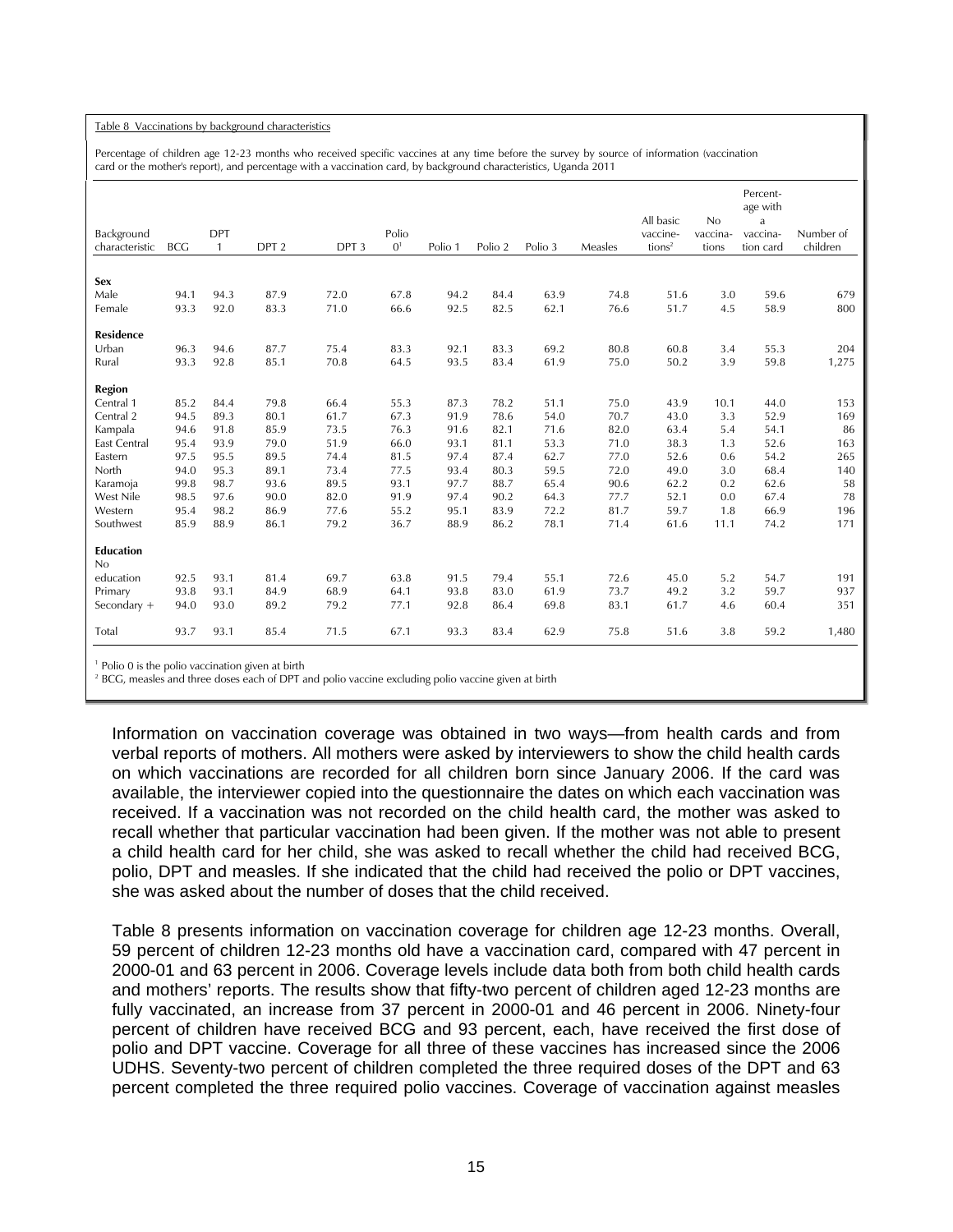#### Table 8 Vaccinations by background characteristics

Percentage of children age 12-23 months who received specific vaccines at any time before the survey by source of information (vaccination card or the mother's report), and percentage with a vaccination card, by background characteristics, Uganda 2011

|                  |            |              |                  |                  |                |         |         |         |         |                    |          | Percent-<br>age with |           |
|------------------|------------|--------------|------------------|------------------|----------------|---------|---------|---------|---------|--------------------|----------|----------------------|-----------|
|                  |            |              |                  |                  |                |         |         |         |         | All basic          | No       | a                    |           |
| Background       |            | <b>DPT</b>   |                  |                  | Polio          |         |         |         |         | vaccine-           | vaccina- | vaccina-             | Number of |
| characteristic   | <b>BCC</b> | $\mathbf{1}$ | DPT <sub>2</sub> | DPT <sub>3</sub> | 0 <sup>1</sup> | Polio 1 | Polio 2 | Polio 3 | Measles | tions <sup>2</sup> | tions    | tion card            | children  |
|                  |            |              |                  |                  |                |         |         |         |         |                    |          |                      |           |
| <b>Sex</b>       |            |              |                  |                  |                |         |         |         |         |                    |          |                      |           |
| Male             | 94.1       | 94.3         | 87.9             | 72.0             | 67.8           | 94.2    | 84.4    | 63.9    | 74.8    | 51.6               | 3.0      | 59.6                 | 679       |
| Female           | 93.3       | 92.0         | 83.3             | 71.0             | 66.6           | 92.5    | 82.5    | 62.1    | 76.6    | 51.7               | 4.5      | 58.9                 | 800       |
| Residence        |            |              |                  |                  |                |         |         |         |         |                    |          |                      |           |
| Urban            | 96.3       | 94.6         | 87.7             | 75.4             | 83.3           | 92.1    | 83.3    | 69.2    | 80.8    | 60.8               | 3.4      | 55.3                 | 204       |
| Rural            | 93.3       | 92.8         | 85.1             | 70.8             | 64.5           | 93.5    | 83.4    | 61.9    | 75.0    | 50.2               | 3.9      | 59.8                 | 1,275     |
| Region           |            |              |                  |                  |                |         |         |         |         |                    |          |                      |           |
| Central 1        | 85.2       | 84.4         | 79.8             | 66.4             | 55.3           | 87.3    | 78.2    | 51.1    | 75.0    | 43.9               | 10.1     | 44.0                 | 153       |
| Central 2        | 94.5       | 89.3         | 80.1             | 61.7             | 67.3           | 91.9    | 78.6    | 54.0    | 70.7    | 43.0               | 3.3      | 52.9                 | 169       |
| Kampala          | 94.6       | 91.8         | 85.9             | 73.5             | 76.3           | 91.6    | 82.1    | 71.6    | 82.0    | 63.4               | 5.4      | 54.1                 | 86        |
| East Central     | 95.4       | 93.9         | 79.0             | 51.9             | 66.0           | 93.1    | 81.1    | 53.3    | 71.0    | 38.3               | 1.3      | 52.6                 | 163       |
| Eastern          | 97.5       | 95.5         | 89.5             | 74.4             | 81.5           | 97.4    | 87.4    | 62.7    | 77.0    | 52.6               | 0.6      | 54.2                 | 265       |
| North            | 94.0       | 95.3         | 89.1             | 73.4             | 77.5           | 93.4    | 80.3    | 59.5    | 72.0    | 49.0               | 3.0      | 68.4                 | 140       |
| Karamoja         | 99.8       | 98.7         | 93.6             | 89.5             | 93.1           | 97.7    | 88.7    | 65.4    | 90.6    | 62.2               | 0.2      | 62.6                 | 58        |
| West Nile        | 98.5       | 97.6         | 90.0             | 82.0             | 91.9           | 97.4    | 90.2    | 64.3    | 77.7    | 52.1               | 0.0      | 67.4                 | 78        |
| Western          | 95.4       | 98.2         | 86.9             | 77.6             | 55.2           | 95.1    | 83.9    | 72.2    | 81.7    | 59.7               | 1.8      | 66.9                 | 196       |
| Southwest        | 85.9       | 88.9         | 86.1             | 79.2             | 36.7           | 88.9    | 86.2    | 78.1    | 71.4    | 61.6               | 11.1     | 74.2                 | 171       |
| <b>Education</b> |            |              |                  |                  |                |         |         |         |         |                    |          |                      |           |
| No               |            |              |                  |                  |                |         |         |         |         |                    |          |                      |           |
| education        | 92.5       | 93.1         | 81.4             | 69.7             | 63.8           | 91.5    | 79.4    | 55.1    | 72.6    | 45.0               | 5.2      | 54.7                 | 191       |
| Primary          | 93.8       | 93.1         | 84.9             | 68.9             | 64.1           | 93.8    | 83.0    | 61.9    | 73.7    | 49.2               | 3.2      | 59.7                 | 937       |
| Secondary +      | 94.0       | 93.0         | 89.2             | 79.2             | 77.1           | 92.8    | 86.4    | 69.8    | 83.1    | 61.7               | 4.6      | 60.4                 | 351       |
|                  |            |              |                  |                  |                |         |         |         |         |                    |          |                      |           |
| Total            | 93.7       | 93.1         | 85.4             | 71.5             | 67.1           | 93.3    | 83.4    | 62.9    | 75.8    | 51.6               | 3.8      | 59.2                 | 1,480     |
|                  |            |              |                  |                  |                |         |         |         |         |                    |          |                      |           |

<sup>1</sup> Polio 0 is the polio vaccination given at birth  $\frac{1}{2}$  *PCC*, moreles and three doses each of DPT a

<sup>2</sup> BCG, measles and three doses each of DPT and polio vaccine excluding polio vaccine given at birth

Information on vaccination coverage was obtained in two ways—from health cards and from verbal reports of mothers. All mothers were asked by interviewers to show the child health cards on which vaccinations are recorded for all children born since January 2006. If the card was available, the interviewer copied into the questionnaire the dates on which each vaccination was received. If a vaccination was not recorded on the child health card, the mother was asked to recall whether that particular vaccination had been given. If the mother was not able to present a child health card for her child, she was asked to recall whether the child had received BCG, polio, DPT and measles. If she indicated that the child had received the polio or DPT vaccines, she was asked about the number of doses that the child received.

Table 8 presents information on vaccination coverage for children age 12-23 months. Overall, 59 percent of children 12-23 months old have a vaccination card, compared with 47 percent in 2000-01 and 63 percent in 2006. Coverage levels include data both from both child health cards and mothers' reports. The results show that fifty-two percent of children aged 12-23 months are fully vaccinated, an increase from 37 percent in 2000-01 and 46 percent in 2006. Ninety-four percent of children have received BCG and 93 percent, each, have received the first dose of polio and DPT vaccine. Coverage for all three of these vaccines has increased since the 2006 UDHS. Seventy-two percent of children completed the three required doses of the DPT and 63 percent completed the three required polio vaccines. Coverage of vaccination against measles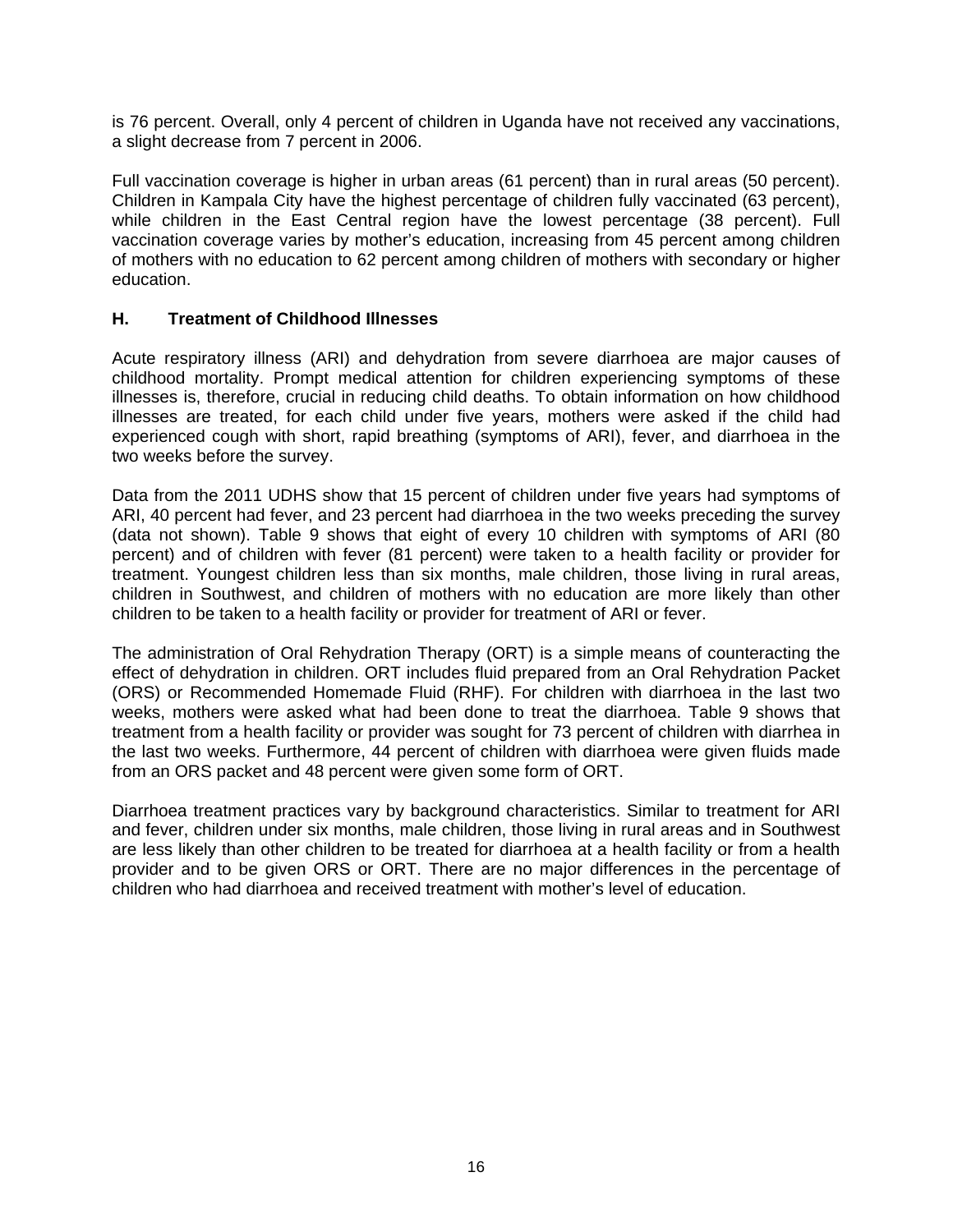is 76 percent. Overall, only 4 percent of children in Uganda have not received any vaccinations, a slight decrease from 7 percent in 2006.

Full vaccination coverage is higher in urban areas (61 percent) than in rural areas (50 percent). Children in Kampala City have the highest percentage of children fully vaccinated (63 percent), while children in the East Central region have the lowest percentage (38 percent). Full vaccination coverage varies by mother's education, increasing from 45 percent among children of mothers with no education to 62 percent among children of mothers with secondary or higher education.

## **H. Treatment of Childhood Illnesses**

Acute respiratory illness (ARI) and dehydration from severe diarrhoea are major causes of childhood mortality. Prompt medical attention for children experiencing symptoms of these illnesses is, therefore, crucial in reducing child deaths. To obtain information on how childhood illnesses are treated, for each child under five years, mothers were asked if the child had experienced cough with short, rapid breathing (symptoms of ARI), fever, and diarrhoea in the two weeks before the survey.

Data from the 2011 UDHS show that 15 percent of children under five years had symptoms of ARI, 40 percent had fever, and 23 percent had diarrhoea in the two weeks preceding the survey (data not shown). Table 9 shows that eight of every 10 children with symptoms of ARI (80 percent) and of children with fever (81 percent) were taken to a health facility or provider for treatment. Youngest children less than six months, male children, those living in rural areas, children in Southwest, and children of mothers with no education are more likely than other children to be taken to a health facility or provider for treatment of ARI or fever.

The administration of Oral Rehydration Therapy (ORT) is a simple means of counteracting the effect of dehydration in children. ORT includes fluid prepared from an Oral Rehydration Packet (ORS) or Recommended Homemade Fluid (RHF). For children with diarrhoea in the last two weeks, mothers were asked what had been done to treat the diarrhoea. Table 9 shows that treatment from a health facility or provider was sought for 73 percent of children with diarrhea in the last two weeks. Furthermore, 44 percent of children with diarrhoea were given fluids made from an ORS packet and 48 percent were given some form of ORT.

Diarrhoea treatment practices vary by background characteristics. Similar to treatment for ARI and fever, children under six months, male children, those living in rural areas and in Southwest are less likely than other children to be treated for diarrhoea at a health facility or from a health provider and to be given ORS or ORT. There are no major differences in the percentage of children who had diarrhoea and received treatment with mother's level of education.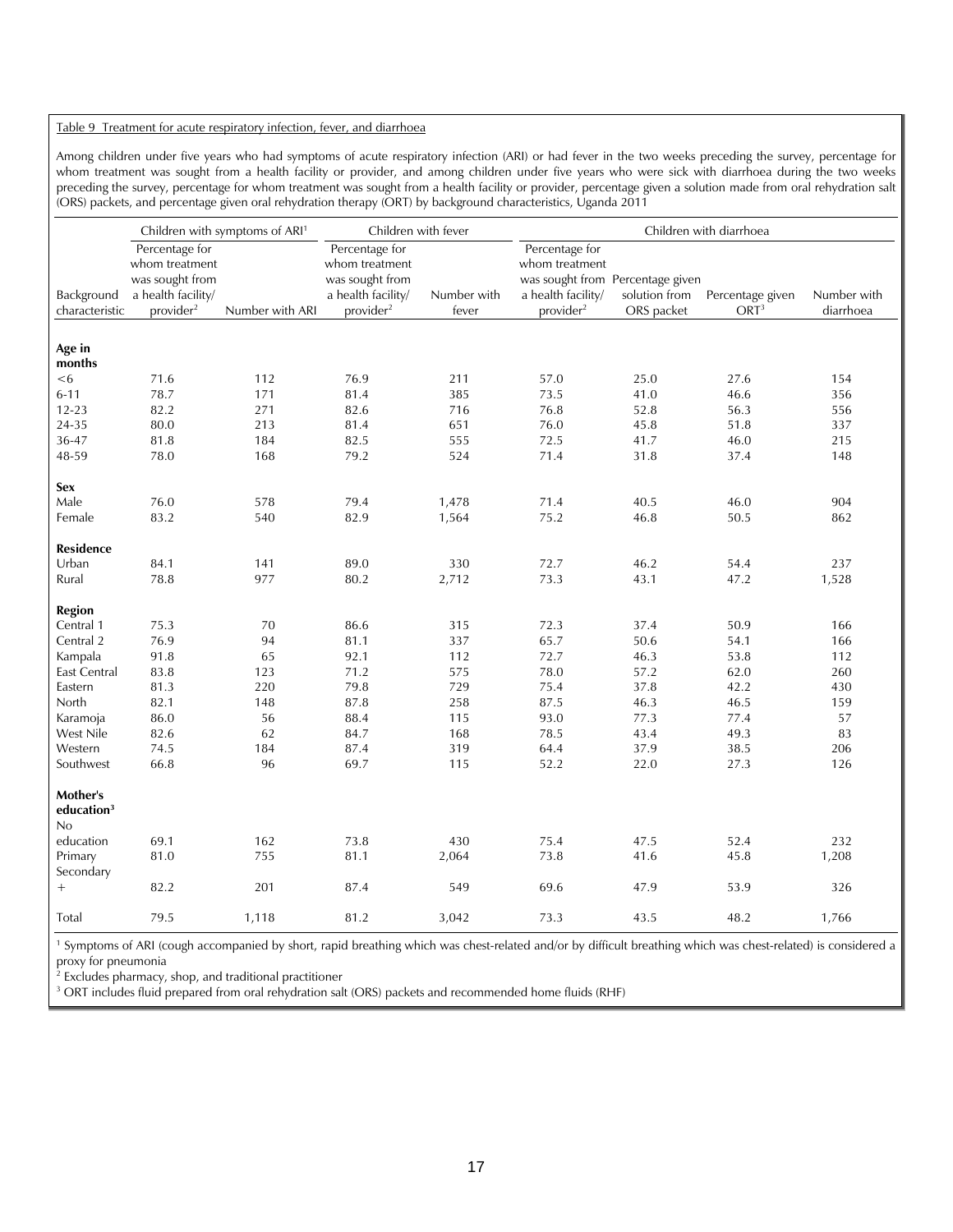#### Table 9 Treatment for acute respiratory infection, fever, and diarrhoea

Among children under five years who had symptoms of acute respiratory infection (ARI) or had fever in the two weeks preceding the survey, percentage for whom treatment was sought from a health facility or provider, and among children under five years who were sick with diarrhoea during the two weeks preceding the survey, percentage for whom treatment was sought from a health facility or provider, percentage given a solution made from oral rehydration salt (ORS) packets, and percentage given oral rehydration therapy (ORT) by background characteristics, Uganda 2011

|                                 |                                  | Children with symptoms of ARI <sup>1</sup> | Children with fever              |             | Children with diarrhoea          |                                  |                  |             |
|---------------------------------|----------------------------------|--------------------------------------------|----------------------------------|-------------|----------------------------------|----------------------------------|------------------|-------------|
|                                 | Percentage for<br>whom treatment |                                            | Percentage for<br>whom treatment |             | Percentage for<br>whom treatment |                                  |                  |             |
|                                 | was sought from                  |                                            | was sought from                  |             |                                  | was sought from Percentage given |                  |             |
| Background                      | a health facility/               |                                            | a health facility/               | Number with | a health facility/               | solution from                    | Percentage given | Number with |
| characteristic                  | provider <sup>2</sup>            | Number with ARI                            | provider <sup>2</sup>            | fever       | provider <sup>2</sup>            | ORS packet                       | ORT <sup>3</sup> | diarrhoea   |
|                                 |                                  |                                            |                                  |             |                                  |                                  |                  |             |
| Age in                          |                                  |                                            |                                  |             |                                  |                                  |                  |             |
| months                          |                                  |                                            |                                  |             |                                  |                                  |                  |             |
| <6                              | 71.6                             | 112                                        | 76.9                             | 211         | 57.0                             | 25.0                             | 27.6             | 154         |
| $6 - 11$                        | 78.7                             | 171                                        | 81.4                             | 385         | 73.5                             | 41.0                             | 46.6             | 356         |
| $12 - 23$                       | 82.2                             | 271                                        | 82.6                             | 716         | 76.8                             | 52.8                             | 56.3             | 556         |
| 24-35                           | 80.0                             | 213                                        | 81.4                             | 651         | 76.0                             | 45.8                             | 51.8             | 337         |
| 36-47                           | 81.8                             | 184                                        | 82.5                             | 555         | 72.5                             | 41.7                             | 46.0             | 215         |
| 48-59                           | 78.0                             | 168                                        | 79.2                             | 524         | 71.4                             | 31.8                             | 37.4             | 148         |
| Sex                             |                                  |                                            |                                  |             |                                  |                                  |                  |             |
| Male                            | 76.0                             | 578                                        | 79.4                             | 1,478       | 71.4                             | 40.5                             | 46.0             | 904         |
| Female                          | 83.2                             | 540                                        | 82.9                             | 1,564       | 75.2                             | 46.8                             | 50.5             | 862         |
|                                 |                                  |                                            |                                  |             |                                  |                                  |                  |             |
| <b>Residence</b>                |                                  |                                            |                                  |             |                                  |                                  |                  |             |
| Urban                           | 84.1                             | 141                                        | 89.0                             | 330         | 72.7                             | 46.2                             | 54.4             | 237         |
| Rural                           | 78.8                             | 977                                        | 80.2                             | 2,712       | 73.3                             | 43.1                             | 47.2             | 1,528       |
|                                 |                                  |                                            |                                  |             |                                  |                                  |                  |             |
| <b>Region</b>                   |                                  |                                            |                                  |             |                                  |                                  |                  |             |
| Central 1                       | 75.3                             | 70                                         | 86.6                             | 315         | 72.3                             | 37.4                             | 50.9             | 166         |
| Central 2                       | 76.9                             | 94                                         | 81.1                             | 337         | 65.7                             | 50.6                             | 54.1             | 166         |
| Kampala                         | 91.8                             | 65                                         | 92.1                             | 112         | 72.7                             | 46.3                             | 53.8             | 112         |
| <b>East Central</b>             | 83.8                             | 123                                        | 71.2                             | 575         | 78.0                             | 57.2                             | 62.0             | 260         |
| Eastern                         | 81.3                             | 220                                        | 79.8                             | 729         | 75.4                             | 37.8                             | 42.2             | 430         |
| North                           | 82.1                             | 148                                        | 87.8                             | 258         | 87.5                             | 46.3                             | 46.5             | 159         |
| Karamoja                        | 86.0                             | 56                                         | 88.4                             | 115         | 93.0                             | 77.3                             | 77.4             | 57          |
| West Nile                       | 82.6                             | 62                                         | 84.7                             | 168         | 78.5                             | 43.4                             | 49.3             | 83          |
| Western                         | 74.5                             | 184                                        | 87.4                             | 319         | 64.4                             | 37.9                             | 38.5             | 206         |
| Southwest                       | 66.8                             | 96                                         | 69.7                             | 115         | 52.2                             | 22.0                             | 27.3             | 126         |
| Mother's<br>education $3$<br>No |                                  |                                            |                                  |             |                                  |                                  |                  |             |
| education                       | 69.1                             | 162                                        | 73.8                             | 430         | 75.4                             | 47.5                             | 52.4             | 232         |
| Primary                         | 81.0                             | 755                                        | 81.1                             | 2,064       | 73.8                             | 41.6                             | 45.8             | 1,208       |
| Secondary                       |                                  |                                            |                                  |             |                                  |                                  |                  |             |
| $^+$                            | 82.2                             | 201                                        | 87.4                             | 549         | 69.6                             | 47.9                             | 53.9             | 326         |
|                                 |                                  |                                            |                                  |             |                                  |                                  |                  |             |
| Total                           | 79.5                             | 1,118                                      | 81.2                             | 3,042       | 73.3                             | 43.5                             | 48.2             | 1,766       |

<sup>1</sup> Symptoms of ARI (cough accompanied by short, rapid breathing which was chest-related and/or by difficult breathing which was chest-related) is considered a proxy for pneumonia

2 Excludes pharmacy, shop, and traditional practitioner

<sup>3</sup> ORT includes fluid prepared from oral rehydration salt (ORS) packets and recommended home fluids (RHF)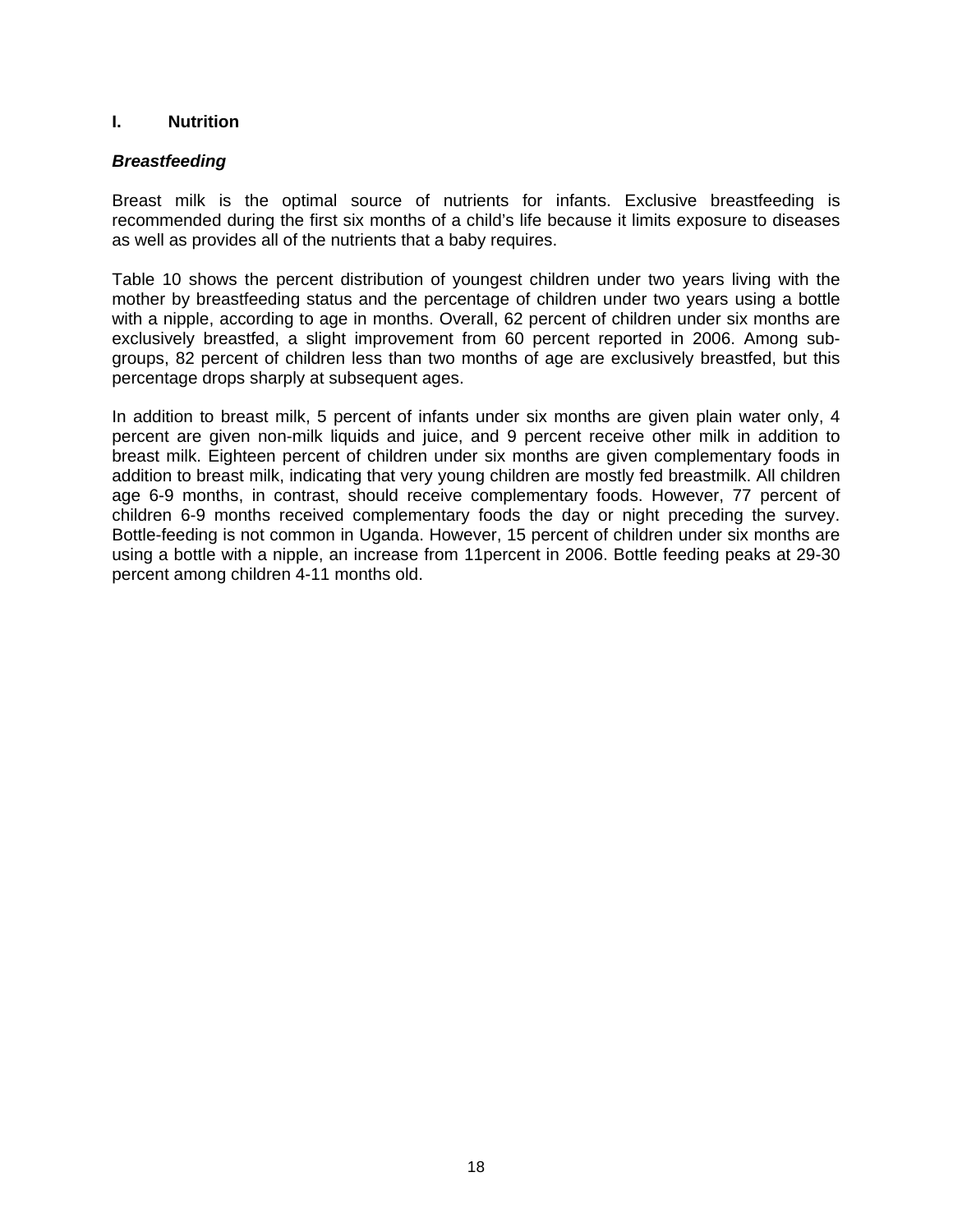## **I. Nutrition**

## *Breastfeeding*

Breast milk is the optimal source of nutrients for infants. Exclusive breastfeeding is recommended during the first six months of a child's life because it limits exposure to diseases as well as provides all of the nutrients that a baby requires.

Table 10 shows the percent distribution of youngest children under two years living with the mother by breastfeeding status and the percentage of children under two years using a bottle with a nipple, according to age in months. Overall, 62 percent of children under six months are exclusively breastfed, a slight improvement from 60 percent reported in 2006. Among subgroups, 82 percent of children less than two months of age are exclusively breastfed, but this percentage drops sharply at subsequent ages.

In addition to breast milk, 5 percent of infants under six months are given plain water only, 4 percent are given non-milk liquids and juice, and 9 percent receive other milk in addition to breast milk. Eighteen percent of children under six months are given complementary foods in addition to breast milk, indicating that very young children are mostly fed breastmilk. All children age 6-9 months, in contrast, should receive complementary foods. However, 77 percent of children 6-9 months received complementary foods the day or night preceding the survey. Bottle-feeding is not common in Uganda. However, 15 percent of children under six months are using a bottle with a nipple, an increase from 11percent in 2006. Bottle feeding peaks at 29-30 percent among children 4-11 months old.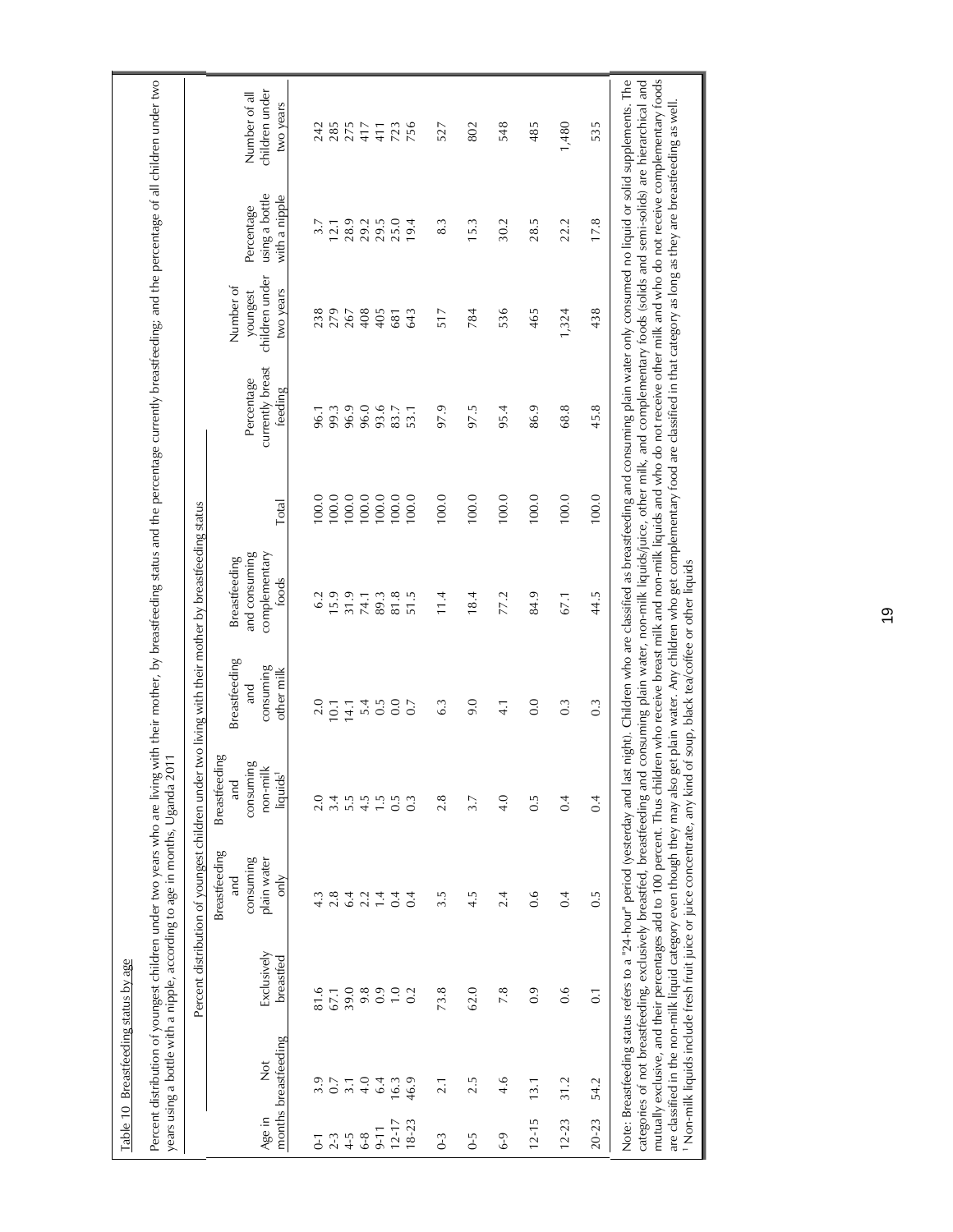|                  |                                       |                          | years using a bottle with a nipple, according to age in months, Uganda 2011                                                                                        |                                                                       |                                                 | Percent distribution of youngest children under two living with their mother by breastfeeding status |       |                                                                                                                                                                                                                                                                                                                                                                                                                                                                                                                                                                                                                                                                                                                                                                            |                                                      |                                               |                                              |
|------------------|---------------------------------------|--------------------------|--------------------------------------------------------------------------------------------------------------------------------------------------------------------|-----------------------------------------------------------------------|-------------------------------------------------|------------------------------------------------------------------------------------------------------|-------|----------------------------------------------------------------------------------------------------------------------------------------------------------------------------------------------------------------------------------------------------------------------------------------------------------------------------------------------------------------------------------------------------------------------------------------------------------------------------------------------------------------------------------------------------------------------------------------------------------------------------------------------------------------------------------------------------------------------------------------------------------------------------|------------------------------------------------------|-----------------------------------------------|----------------------------------------------|
| Age in           | months breastfeeding<br>$\frac{1}{2}$ | Exclusively<br>breastfed | Breastfeeding<br>consuming<br>plain water<br>only<br>and                                                                                                           | Breastfeeding<br>consuming<br>non-milk<br>liquids <sup>1</sup><br>and | Breastfeeding<br>consuming<br>other milk<br>and | and consuming<br>complementary<br>Breastfeeding<br>foods                                             | Total | currently breast<br>Percentage<br>feeding                                                                                                                                                                                                                                                                                                                                                                                                                                                                                                                                                                                                                                                                                                                                  | children under<br>Number of<br>two years<br>youngest | using a bottle<br>with a nipple<br>Percentage | children under<br>Number of all<br>two years |
| $\overline{0}$ - | 3.9                                   | 81.6                     | 4.3                                                                                                                                                                | 2.0                                                                   | 2.0                                             | 6.2                                                                                                  | 100.0 | 96.1                                                                                                                                                                                                                                                                                                                                                                                                                                                                                                                                                                                                                                                                                                                                                                       | 238                                                  | 3.7                                           | 242                                          |
| $2 - 3$          | 0.7                                   | 67.1                     | 2.8                                                                                                                                                                | 3.4                                                                   | 10.1                                            | 15.9                                                                                                 | 100.0 | 99.3                                                                                                                                                                                                                                                                                                                                                                                                                                                                                                                                                                                                                                                                                                                                                                       | 279                                                  | 12.1                                          | 285                                          |
| $4 - 5$          | 3.1                                   | 39.0                     | 6.4                                                                                                                                                                | 5.5                                                                   | 14.1                                            | 31.9                                                                                                 | 100.0 | 96.9                                                                                                                                                                                                                                                                                                                                                                                                                                                                                                                                                                                                                                                                                                                                                                       | 267                                                  | 28.9                                          | 275                                          |
| $6-8$            | 4.0                                   | 9.8                      | 2.2                                                                                                                                                                | 4.5                                                                   | 5.4                                             | 74.1                                                                                                 | 100.0 | 96.0                                                                                                                                                                                                                                                                                                                                                                                                                                                                                                                                                                                                                                                                                                                                                                       | 408                                                  | 29.2                                          | 417                                          |
| $9 - 11$         | 6.4                                   | 0.9                      | 1.4                                                                                                                                                                | $\ddot{1}$                                                            | $0.\overline{5}$                                | 89.3                                                                                                 | 100.0 | 93.6                                                                                                                                                                                                                                                                                                                                                                                                                                                                                                                                                                                                                                                                                                                                                                       | 405                                                  | 29.5                                          | 411                                          |
| $12 - 17$        | 16.3                                  | $\overline{1}$ .0        | 0.4                                                                                                                                                                | 0.5                                                                   | 0.0                                             | 81.8                                                                                                 | 100.0 | 83.7                                                                                                                                                                                                                                                                                                                                                                                                                                                                                                                                                                                                                                                                                                                                                                       | 681                                                  | 25.0                                          | 723                                          |
| $18 - 23$        | 46.9                                  | 0.2                      | 0.4                                                                                                                                                                | $\overline{0}$                                                        | 0.7                                             | 51.5                                                                                                 | 100.0 | 53.1                                                                                                                                                                                                                                                                                                                                                                                                                                                                                                                                                                                                                                                                                                                                                                       | 643                                                  | 19.4                                          |                                              |
| $0-3$            | 2.1                                   | 73.8                     | 3.5                                                                                                                                                                | 2.8                                                                   | 6.3                                             | 11.4                                                                                                 | 100.0 | 97.9                                                                                                                                                                                                                                                                                                                                                                                                                                                                                                                                                                                                                                                                                                                                                                       | 517                                                  | 8.3                                           | 527                                          |
| $0-5$            | 2.5                                   | 62.0                     | 4.5                                                                                                                                                                | 3.7                                                                   | 9.0                                             | 18.4                                                                                                 | 100.0 | 97.5                                                                                                                                                                                                                                                                                                                                                                                                                                                                                                                                                                                                                                                                                                                                                                       | 784                                                  | 15.3                                          | 802                                          |
| $6-9$            | 4.6                                   | 7.8                      | 2.4                                                                                                                                                                | 4.0                                                                   | $\frac{1}{4}$                                   | 77.2                                                                                                 | 100.0 | 95.4                                                                                                                                                                                                                                                                                                                                                                                                                                                                                                                                                                                                                                                                                                                                                                       | 536                                                  | 30.2                                          | 548                                          |
| $12 - 15$        | 13.1                                  | 0.9                      | 0.6                                                                                                                                                                | $0.\overline{5}$                                                      | 0.0                                             | 84.9                                                                                                 | 100.0 | 86.9                                                                                                                                                                                                                                                                                                                                                                                                                                                                                                                                                                                                                                                                                                                                                                       | 465                                                  | 28.5                                          | 485                                          |
| $12 - 23$        | 31.2                                  | 0.6                      | 0.4                                                                                                                                                                | 0.4                                                                   | $0.\overline{3}$                                | 67.1                                                                                                 | 100.0 | 68.8                                                                                                                                                                                                                                                                                                                                                                                                                                                                                                                                                                                                                                                                                                                                                                       | 1,324                                                | 22.2                                          | 1,480                                        |
| $20 - 23$        | 54.2                                  | $\overline{0}$ .         | $0.\overline{5}$                                                                                                                                                   | 0.4                                                                   | $0.\overline{3}$                                | 44.5                                                                                                 | 100.0 | 45.8                                                                                                                                                                                                                                                                                                                                                                                                                                                                                                                                                                                                                                                                                                                                                                       | 438                                                  | 17.8                                          | 535                                          |
|                  |                                       |                          | <sup>1</sup> Non-milk liquids include fresh fruit juice or juice concentrate, any kind<br>are classified in the non-milk liquid category even though they may also |                                                                       | of soup, black tea/coffee or other liquids      |                                                                                                      |       | mutually exclusive, and their percentages add to 100 percent. Thus children who receive breast milk and non-milk liquids and who do not receive other milk and who do not receive complementary foods<br>Note: Breastfeeding status refers to a "24-hour" period (yesterday and last night). Children who are classified as breastfeeding and consuming plain water only consumed no liquid or solid supplements. The<br>categories of not breastfeeding, exclusively breastfeed, breastfeeding and consuming plain water, non-milk liquids/juice, other milk, and complementary foods (solids and semi-solids) are hierarchical and<br>get plain water. Any children who get complementary food are classified in that category as long as they are breastfeeding as well |                                                      |                                               |                                              |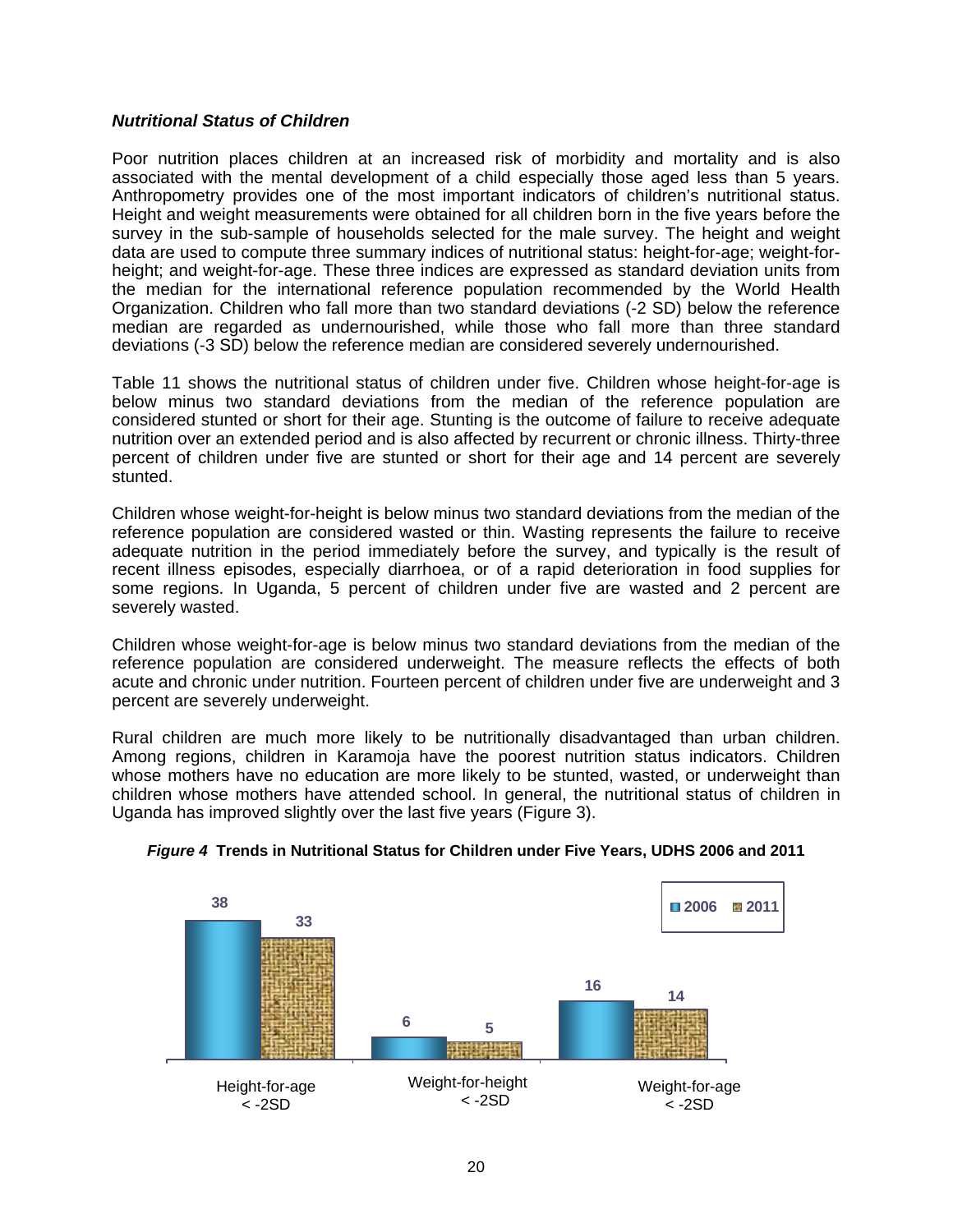## *Nutritional Status of Children*

Poor nutrition places children at an increased risk of morbidity and mortality and is also associated with the mental development of a child especially those aged less than 5 years. Anthropometry provides one of the most important indicators of children's nutritional status. Height and weight measurements were obtained for all children born in the five years before the survey in the sub-sample of households selected for the male survey. The height and weight data are used to compute three summary indices of nutritional status: height-for-age; weight-forheight; and weight-for-age. These three indices are expressed as standard deviation units from the median for the international reference population recommended by the World Health Organization. Children who fall more than two standard deviations (-2 SD) below the reference median are regarded as undernourished, while those who fall more than three standard deviations (-3 SD) below the reference median are considered severely undernourished.

Table 11 shows the nutritional status of children under five. Children whose height-for-age is below minus two standard deviations from the median of the reference population are considered stunted or short for their age. Stunting is the outcome of failure to receive adequate nutrition over an extended period and is also affected by recurrent or chronic illness. Thirty-three percent of children under five are stunted or short for their age and 14 percent are severely stunted.

Children whose weight-for-height is below minus two standard deviations from the median of the reference population are considered wasted or thin. Wasting represents the failure to receive adequate nutrition in the period immediately before the survey, and typically is the result of recent illness episodes, especially diarrhoea, or of a rapid deterioration in food supplies for some regions. In Uganda, 5 percent of children under five are wasted and 2 percent are severely wasted.

Children whose weight-for-age is below minus two standard deviations from the median of the reference population are considered underweight. The measure reflects the effects of both acute and chronic under nutrition. Fourteen percent of children under five are underweight and 3 percent are severely underweight.

Rural children are much more likely to be nutritionally disadvantaged than urban children. Among regions, children in Karamoja have the poorest nutrition status indicators. Children whose mothers have no education are more likely to be stunted, wasted, or underweight than children whose mothers have attended school. In general, the nutritional status of children in Uganda has improved slightly over the last five years (Figure 3).



## *Figure 4* **Trends in Nutritional Status for Children under Five Years, UDHS 2006 and 2011**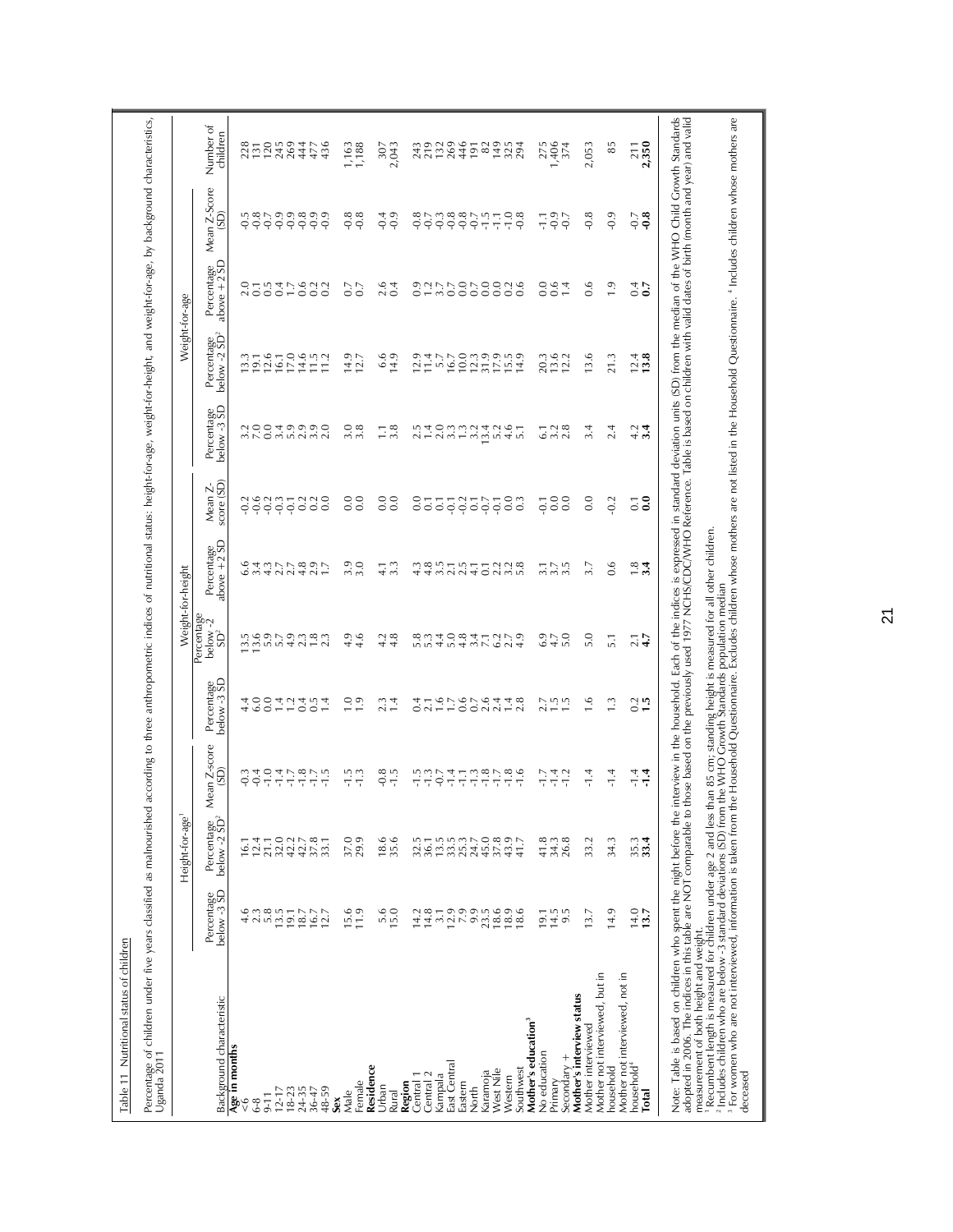| Percentage of children under five years classified as malnourished<br>Uganda 2011                                                                                                                                                          |                                      |                                        |                      |                           |                                           |                           |                         | according to three anthropometric indices of nutritional status: height-for-age, weight-for-height, and weight-for-age, by background characteristics,       |                                        |                                                      |                      |                       |
|--------------------------------------------------------------------------------------------------------------------------------------------------------------------------------------------------------------------------------------------|--------------------------------------|----------------------------------------|----------------------|---------------------------|-------------------------------------------|---------------------------|-------------------------|--------------------------------------------------------------------------------------------------------------------------------------------------------------|----------------------------------------|------------------------------------------------------|----------------------|-----------------------|
|                                                                                                                                                                                                                                            |                                      | Height-for-age <sup>1</sup>            |                      |                           | Weight-for-height                         |                           |                         |                                                                                                                                                              |                                        | Weight-for-age                                       |                      |                       |
| Background characteristic                                                                                                                                                                                                                  | Percentage<br>below -3 SD<br>below-3 | Percentage<br>below -2 SD <sup>2</sup> | Mean Z-score<br>(GD) | Percentage<br>below -3 SD | Percentage<br>below -2<br>SD <sup>2</sup> | Percentage<br>above +2 SD | Mean Z-<br>score (SD)   | Percentage<br>below -3 SD                                                                                                                                    | Percentage<br>below -2 SD <sup>2</sup> | Percentage<br>above +2 SD<br>above $+2$ <sup>'</sup> | Mean Z-Score<br>(SD) | Number of<br>children |
| Age in months                                                                                                                                                                                                                              |                                      |                                        |                      |                           |                                           |                           |                         |                                                                                                                                                              |                                        |                                                      |                      |                       |
| $6-8$<br>$\frac{6}{5}$                                                                                                                                                                                                                     | 4.6<br>2.3                           | 12.4<br><u>ات</u>                      | $-0.4$<br>Ó          | $400$<br>$400$            | ng ng ng ng<br>ng ng ng ng                | cantricon.<br>Cantricon.  | $\sim$<br>¢             | sico di viano<br>Unico di viano                                                                                                                              | $13.3$<br>$19.1$<br>$12.6$             | 01547633                                             | 7.8                  | 228<br>131<br>120     |
| $9 - 11$                                                                                                                                                                                                                                   |                                      | 21.1                                   | $-1.0$               |                           |                                           |                           | $\ddot{q}$              |                                                                                                                                                              |                                        |                                                      | $-0.7$               |                       |
| $12 - 17$                                                                                                                                                                                                                                  | $5.8$<br>13.5                        |                                        | $-1.4$               |                           |                                           |                           | $-0.3$                  |                                                                                                                                                              | 16.1                                   |                                                      | $-0.9$               | 245                   |
| $18 - 23$                                                                                                                                                                                                                                  |                                      | $0.278$<br>$0.2778$<br>$0.4778$        | $-1.7$               |                           |                                           |                           | $-0.1$                  |                                                                                                                                                              | 17.0                                   |                                                      | $-0.9$               | 269                   |
| 24-35                                                                                                                                                                                                                                      | $19.1$<br>$18.7$                     |                                        | $-1.8$               |                           |                                           |                           |                         |                                                                                                                                                              | 14.6                                   |                                                      | $-0.8$               | 444                   |
| $36 - 47$                                                                                                                                                                                                                                  | 16.7                                 |                                        | $-1.7$               | 77007                     | 1.8                                       |                           |                         |                                                                                                                                                              | 1.5                                    |                                                      | $-0.9$               | 477                   |
| 48-59                                                                                                                                                                                                                                      | 12.7                                 | 33.1                                   | $-1.5$               |                           | 2.3                                       |                           |                         |                                                                                                                                                              | 11.2                                   |                                                      | $-0.9$               | 436                   |
| Male<br>Sex                                                                                                                                                                                                                                | 5.6                                  | 37.0                                   | $-1.5$               | 1.0                       | Ō<br>4                                    |                           | 0.0                     |                                                                                                                                                              |                                        |                                                      | $-0.8$               | 1,163                 |
| Female                                                                                                                                                                                                                                     | 11.9                                 | 29.9                                   | $-1.3$               | 1.9                       | 4.6                                       | 3.0                       | 0.0                     | $3.\overline{3}$                                                                                                                                             | $14.9$<br>$12.7$                       | 0.7                                                  | $-0.8$               | 1,188                 |
| Residence                                                                                                                                                                                                                                  |                                      |                                        |                      |                           |                                           |                           |                         |                                                                                                                                                              |                                        |                                                      |                      |                       |
| Urban                                                                                                                                                                                                                                      | $\frac{6}{15.0}$                     | 18.6                                   | $-0.8$               | 2.3                       | 4.2                                       | $\frac{1}{4}$ 3.3         | 0.0                     | $\Box$                                                                                                                                                       | 6.6                                    | 2.6                                                  | $-0.4$               | 307                   |
| Rural                                                                                                                                                                                                                                      |                                      | 35.6                                   |                      | 1.4                       | 4.8                                       |                           | 0.0                     | 3.8                                                                                                                                                          | 14.9                                   | 0.4                                                  | $-0.9$               | 2,043                 |
| Region                                                                                                                                                                                                                                     | 14.2                                 | 32.5                                   |                      | 0.4                       |                                           |                           | 0.0                     | 2.5                                                                                                                                                          | 12.9                                   |                                                      | $-0.8$               |                       |
| Central 1<br>Central 2                                                                                                                                                                                                                     | 14.8                                 | 36.1                                   | $\frac{15}{17}$      | 2.1                       | $5.\overline{3}$                          |                           | $\overline{0}$ .        | 1.4                                                                                                                                                          | 11.4                                   |                                                      | $-0.7$               | 243<br>219            |
| Kampala                                                                                                                                                                                                                                    | 3.1                                  |                                        | $-0.7$               | $\frac{6}{1}$             | 4.4                                       |                           | $\overline{0}$          |                                                                                                                                                              | 5.7                                    |                                                      | $-0.3$               | 132                   |
| East Central                                                                                                                                                                                                                               |                                      | $13.5$<br>$3.3$                        | $-1.4$               |                           | 5.0                                       |                           |                         |                                                                                                                                                              | 16.7                                   |                                                      | $-0.8$               | 269                   |
| Eastern                                                                                                                                                                                                                                    | 12.9                                 | 25.3                                   | ПĪ                   | 7.676                     | 4.8                                       |                           | $-0.2$                  | $\begin{array}{c} 2 & 0 & 0 & 0 & 0 \\ 0 & 0 & 0 & 0 & 0 \\ 0 & 0 & 0 & 0 & 0 \\ 0 & 0 & 0 & 0 & 0 \\ \end{array}$                                           | 10.0                                   |                                                      | $-0.8$               | 446                   |
| North                                                                                                                                                                                                                                      | 9.9                                  |                                        | $-1.3$               |                           |                                           |                           | $\overline{0}$ .        |                                                                                                                                                              | 12.3                                   |                                                      | $-0.7$               | 191                   |
| Karamoja                                                                                                                                                                                                                                   | 23.5                                 | 45.0                                   | $-1.8$               |                           |                                           |                           | $-0.7$                  |                                                                                                                                                              | 31.9                                   |                                                      | $-1.5$               | 82                    |
| West Nile                                                                                                                                                                                                                                  | 18.6                                 | 37.8                                   | $-1.7$               | 2.4                       |                                           |                           | $-0.1$                  | 5.2                                                                                                                                                          | 17.9                                   |                                                      | F.T                  |                       |
| Southwest<br>Western                                                                                                                                                                                                                       | 18.9<br>18.6                         | 43.9<br>41.7                           | $-1.6$<br>$-1.8$     | $1.4$<br>2.8              | $37.079$<br>$47.079$                      | 0.728                     | 0.0<br>$0.\overline{3}$ | 4.6                                                                                                                                                          | 14.9                                   |                                                      | $-1.0$<br>$-0.8$     | $7304$<br>$7304$      |
| Mother's education <sup>3</sup>                                                                                                                                                                                                            |                                      |                                        |                      |                           |                                           |                           |                         |                                                                                                                                                              |                                        |                                                      |                      |                       |
| No education                                                                                                                                                                                                                               | 19.1                                 | 41.8                                   | -T-                  | 2.7                       |                                           |                           | $\overline{Q}$          | $\overline{6}$                                                                                                                                               | 20.3                                   |                                                      | Ξ                    | 275                   |
| Primary                                                                                                                                                                                                                                    | 14.5                                 | 34.3                                   | $-1.4$               | $\frac{15}{15}$           | $6.9$<br>$4.7$                            | $3.75$<br>$3.5$           | 0.0                     | $3.\overline{3}$<br>$2.\overline{8}$                                                                                                                         | 13.6                                   | 0.6                                                  | $-0.9$               | 1,406                 |
| $Secondary +$                                                                                                                                                                                                                              | 9.5                                  | 26.8                                   | $-1.2$               |                           | 5.0                                       |                           | 0.0                     |                                                                                                                                                              | 12.2                                   | 1.4                                                  | $-0.7$               | 374                   |
| Mother's interview status<br>Mother interviewed                                                                                                                                                                                            | 13.7                                 | 33.2                                   | $-1.4$               | 1.6                       | 5.0                                       | 3.7                       | 0.0                     | 3.4                                                                                                                                                          | 13.6                                   | 0.6                                                  | $-0.8$               | 2,053                 |
| Mother not interviewed, but in                                                                                                                                                                                                             |                                      |                                        |                      |                           |                                           |                           |                         |                                                                                                                                                              |                                        |                                                      |                      |                       |
| household                                                                                                                                                                                                                                  | 14.9                                 | 34.3                                   | $-1.4$               | $\ddot{.}$                | $\overline{5}$ .                          | 0.6                       | $-0.2$                  | 2.4                                                                                                                                                          | 21.3                                   | $\overline{1.9}$                                     | $-0.9$               | 85                    |
| Mother not interviewed, not in                                                                                                                                                                                                             |                                      |                                        |                      |                           |                                           |                           |                         |                                                                                                                                                              |                                        |                                                      |                      |                       |
| household <sup>4</sup><br>Total                                                                                                                                                                                                            | $14.0$<br>13.7                       | 35.3                                   | $-1.4$<br>$-1.4$     | $0.2$<br>1.5              | $\frac{7}{4}$ .7                          | $\frac{8}{3}$ .4          | $\overline{0}$<br>0.1   | 4.34                                                                                                                                                         | $\frac{12.4}{13.8}$                    | 0.7                                                  | $-0.7$<br>$^{0.8}$   | 2,350                 |
|                                                                                                                                                                                                                                            |                                      |                                        |                      |                           |                                           |                           |                         |                                                                                                                                                              |                                        |                                                      |                      |                       |
| Note: Table is based on children who spent the night before the                                                                                                                                                                            |                                      |                                        |                      |                           |                                           |                           |                         | interview in the household. Each of the indices is expressed in standard deviation units (SD) from the median of the WHO Child Growth Standards              |                                        |                                                      |                      |                       |
| adopted in 2006. The indices in this table are NOT comparable to<br>measurement of both height and weight.                                                                                                                                 |                                      |                                        |                      |                           |                                           |                           |                         | those based on the previously used 1977 NCHS/CDC/WHO Reference. Table is based on children with valid dates of birth (month and year) and valid              |                                        |                                                      |                      |                       |
| ' Recumbent length is measured for children under age 2 and less than 85 cm; standing height is measured for all other children.<br><sup>2</sup> Includes children who are below -3 standard deviations (SD) from the WHO Growth Standards |                                      |                                        |                      |                           |                                           |                           |                         |                                                                                                                                                              |                                        |                                                      |                      |                       |
| <sup>3</sup> For women who are not interviewed, information is taken from                                                                                                                                                                  |                                      |                                        |                      |                           |                                           |                           |                         | the Household Questionnaire. Excludes children whose mothers are not listed in the Household Questionnaire. <sup>4</sup> Includes children whose mothers are |                                        |                                                      |                      |                       |
| deceased                                                                                                                                                                                                                                   |                                      |                                        |                      |                           |                                           |                           |                         |                                                                                                                                                              |                                        |                                                      |                      |                       |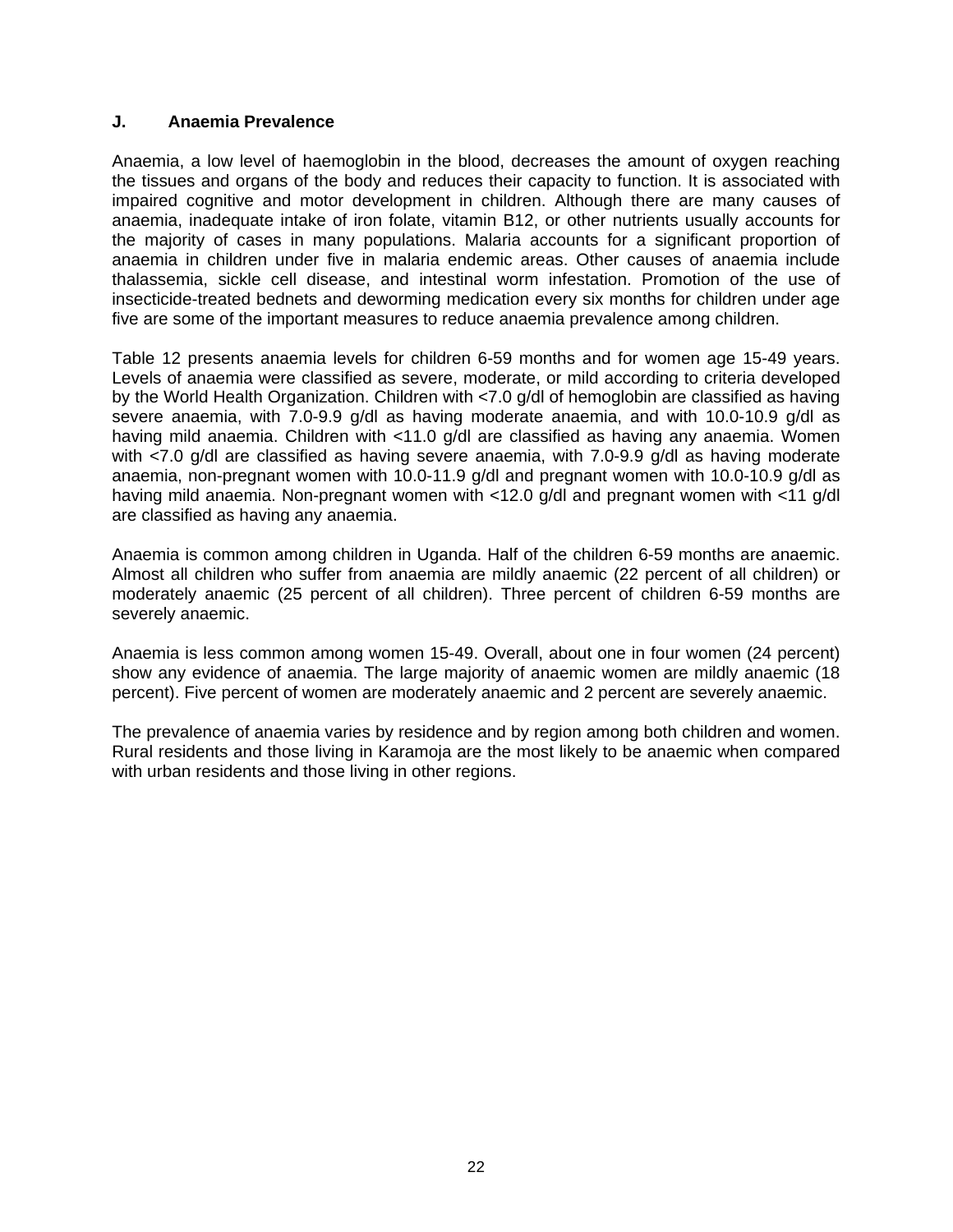## **J. Anaemia Prevalence**

Anaemia, a low level of haemoglobin in the blood, decreases the amount of oxygen reaching the tissues and organs of the body and reduces their capacity to function. It is associated with impaired cognitive and motor development in children. Although there are many causes of anaemia, inadequate intake of iron folate, vitamin B12, or other nutrients usually accounts for the majority of cases in many populations. Malaria accounts for a significant proportion of anaemia in children under five in malaria endemic areas. Other causes of anaemia include thalassemia, sickle cell disease, and intestinal worm infestation. Promotion of the use of insecticide-treated bednets and deworming medication every six months for children under age five are some of the important measures to reduce anaemia prevalence among children.

Table 12 presents anaemia levels for children 6-59 months and for women age 15-49 years. Levels of anaemia were classified as severe, moderate, or mild according to criteria developed by the World Health Organization. Children with <7.0 g/dl of hemoglobin are classified as having severe anaemia, with 7.0-9.9 g/dl as having moderate anaemia, and with 10.0-10.9 g/dl as having mild anaemia. Children with <11.0 g/dl are classified as having any anaemia. Women with <7.0 g/dl are classified as having severe anaemia, with 7.0-9.9 g/dl as having moderate anaemia, non-pregnant women with 10.0-11.9 g/dl and pregnant women with 10.0-10.9 g/dl as having mild anaemia. Non-pregnant women with <12.0 g/dl and pregnant women with <11 g/dl are classified as having any anaemia.

Anaemia is common among children in Uganda. Half of the children 6-59 months are anaemic. Almost all children who suffer from anaemia are mildly anaemic (22 percent of all children) or moderately anaemic (25 percent of all children). Three percent of children 6-59 months are severely anaemic.

Anaemia is less common among women 15-49. Overall, about one in four women (24 percent) show any evidence of anaemia. The large majority of anaemic women are mildly anaemic (18 percent). Five percent of women are moderately anaemic and 2 percent are severely anaemic.

The prevalence of anaemia varies by residence and by region among both children and women. Rural residents and those living in Karamoja are the most likely to be anaemic when compared with urban residents and those living in other regions.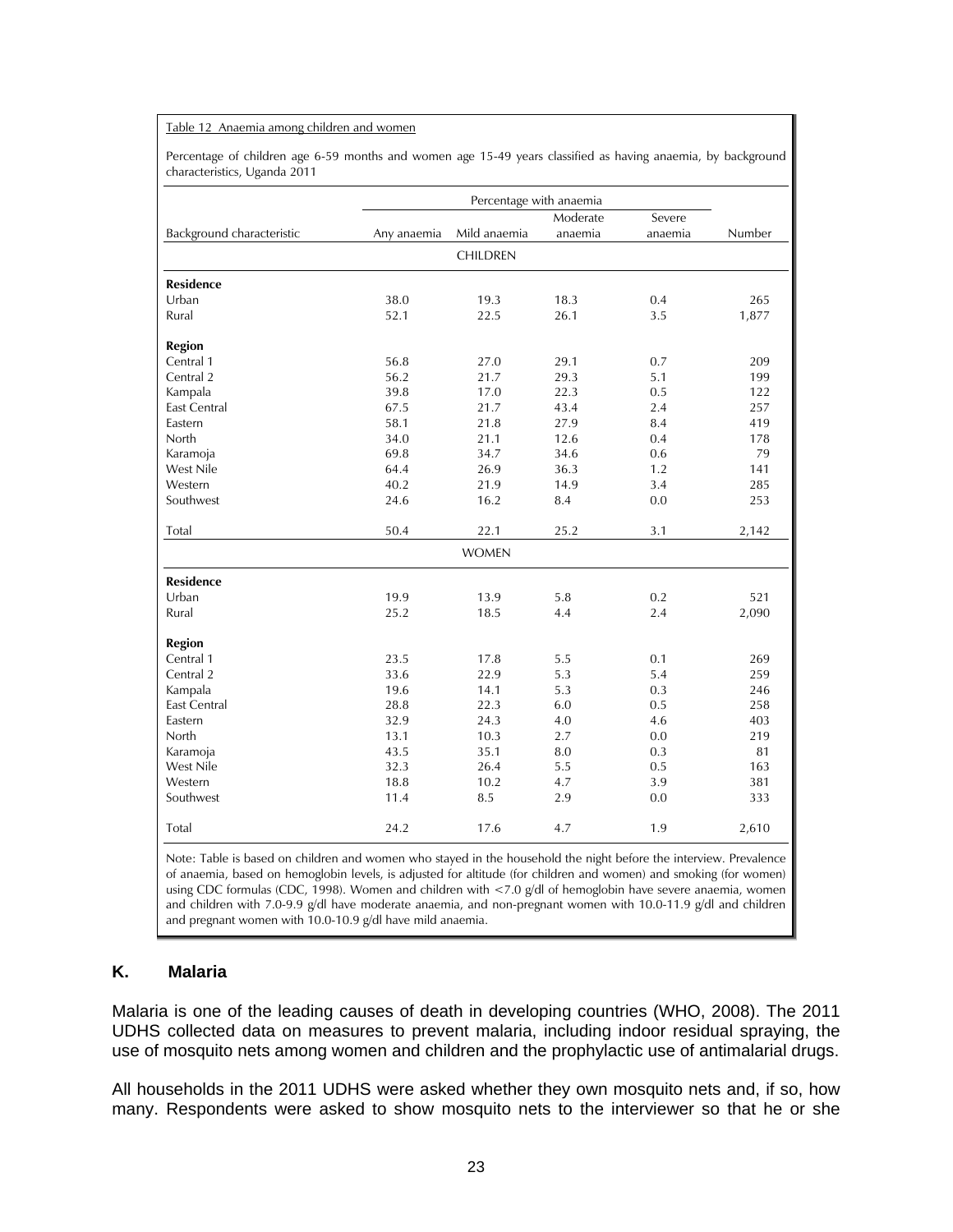#### Table 12 Anaemia among children and women

Percentage of children age 6-59 months and women age 15-49 years classified as having anaemia, by background characteristics, Uganda 2011

|                           |             | Percentage with anaemia |          |         |        |
|---------------------------|-------------|-------------------------|----------|---------|--------|
|                           |             |                         | Moderate | Severe  |        |
| Background characteristic | Any anaemia | Mild anaemia            | anaemia  | anaemia | Number |
|                           |             | <b>CHILDREN</b>         |          |         |        |
| <b>Residence</b>          |             |                         |          |         |        |
| Urban                     | 38.0        | 19.3                    | 18.3     | 0.4     | 265    |
| Rural                     | 52.1        | 22.5                    | 26.1     | 3.5     | 1,877  |
| <b>Region</b>             |             |                         |          |         |        |
| Central 1                 | 56.8        | 27.0                    | 29.1     | 0.7     | 209    |
| Central 2                 | 56.2        | 21.7                    | 29.3     | 5.1     | 199    |
| Kampala                   | 39.8        | 17.0                    | 22.3     | 0.5     | 122    |
| <b>East Central</b>       | 67.5        | 21.7                    | 43.4     | 2.4     | 257    |
| Eastern                   | 58.1        | 21.8                    | 27.9     | 8.4     | 419    |
| North                     | 34.0        | 21.1                    | 12.6     | 0.4     | 178    |
| Karamoja                  | 69.8        | 34.7                    | 34.6     | 0.6     | 79     |
| West Nile                 | 64.4        | 26.9                    | 36.3     | 1.2     | 141    |
| Western                   | 40.2        | 21.9                    | 14.9     | 3.4     | 285    |
| Southwest                 | 24.6        | 16.2                    | 8.4      | 0.0     | 253    |
| Total                     | 50.4        | 22.1                    | 25.2     | 3.1     | 2,142  |
|                           |             | <b>WOMEN</b>            |          |         |        |
| <b>Residence</b>          |             |                         |          |         |        |
| Urban                     | 19.9        | 13.9                    | 5.8      | 0.2     | 521    |
| Rural                     | 25.2        | 18.5                    | 4.4      | 2.4     | 2,090  |
| <b>Region</b>             |             |                         |          |         |        |
| Central 1                 | 23.5        | 17.8                    | 5.5      | 0.1     | 269    |
| Central 2                 | 33.6        | 22.9                    | 5.3      | 5.4     | 259    |
| Kampala                   | 19.6        | 14.1                    | 5.3      | 0.3     | 246    |
| <b>East Central</b>       | 28.8        | 22.3                    | 6.0      | 0.5     | 258    |
| Eastern                   | 32.9        | 24.3                    | 4.0      | 4.6     | 403    |
| North                     | 13.1        | 10.3                    | 2.7      | 0.0     | 219    |
| Karamoja                  | 43.5        | 35.1                    | 8.0      | 0.3     | 81     |
| West Nile                 | 32.3        | 26.4                    | 5.5      | 0.5     | 163    |
| Western                   | 18.8        | 10.2                    | 4.7      | 3.9     | 381    |
| Southwest                 | 11.4        | 8.5                     | 2.9      | 0.0     | 333    |
| Total                     | 24.2        | 17.6                    | 4.7      | 1.9     | 2,610  |

Note: Table is based on children and women who stayed in the household the night before the interview. Prevalence of anaemia, based on hemoglobin levels, is adjusted for altitude (for children and women) and smoking (for women) using CDC formulas (CDC, 1998). Women and children with <7.0 g/dl of hemoglobin have severe anaemia, women and children with 7.0-9.9 g/dl have moderate anaemia, and non-pregnant women with 10.0-11.9 g/dl and children and pregnant women with 10.0-10.9 g/dl have mild anaemia.

## **K. Malaria**

Malaria is one of the leading causes of death in developing countries (WHO, 2008). The 2011 UDHS collected data on measures to prevent malaria, including indoor residual spraying, the use of mosquito nets among women and children and the prophylactic use of antimalarial drugs.

All households in the 2011 UDHS were asked whether they own mosquito nets and, if so, how many. Respondents were asked to show mosquito nets to the interviewer so that he or she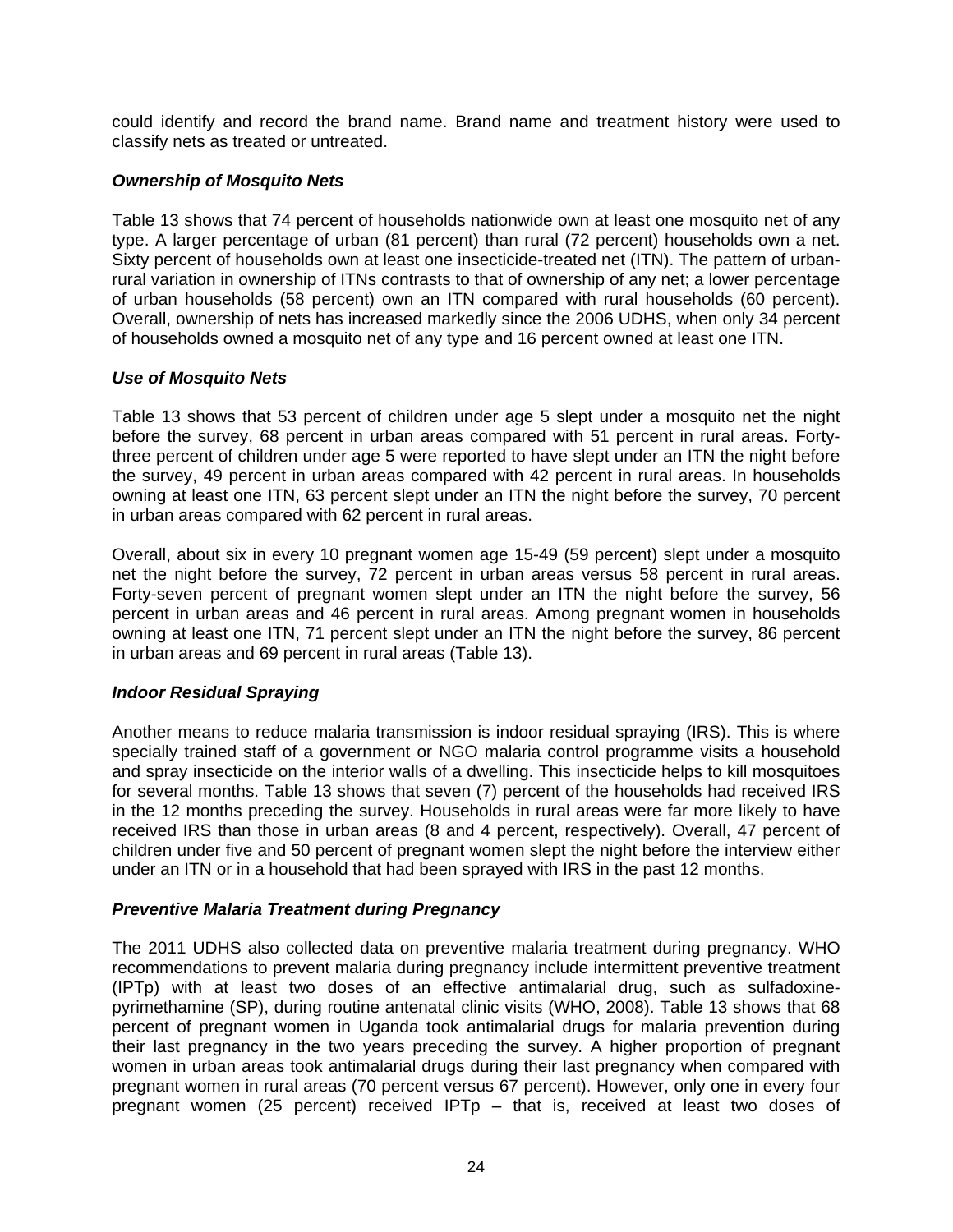could identify and record the brand name. Brand name and treatment history were used to classify nets as treated or untreated.

## *Ownership of Mosquito Nets*

Table 13 shows that 74 percent of households nationwide own at least one mosquito net of any type. A larger percentage of urban (81 percent) than rural (72 percent) households own a net. Sixty percent of households own at least one insecticide-treated net (ITN). The pattern of urbanrural variation in ownership of ITNs contrasts to that of ownership of any net; a lower percentage of urban households (58 percent) own an ITN compared with rural households (60 percent). Overall, ownership of nets has increased markedly since the 2006 UDHS, when only 34 percent of households owned a mosquito net of any type and 16 percent owned at least one ITN.

## *Use of Mosquito Nets*

Table 13 shows that 53 percent of children under age 5 slept under a mosquito net the night before the survey, 68 percent in urban areas compared with 51 percent in rural areas. Fortythree percent of children under age 5 were reported to have slept under an ITN the night before the survey, 49 percent in urban areas compared with 42 percent in rural areas. In households owning at least one ITN, 63 percent slept under an ITN the night before the survey, 70 percent in urban areas compared with 62 percent in rural areas.

Overall, about six in every 10 pregnant women age 15-49 (59 percent) slept under a mosquito net the night before the survey, 72 percent in urban areas versus 58 percent in rural areas. Forty-seven percent of pregnant women slept under an ITN the night before the survey, 56 percent in urban areas and 46 percent in rural areas. Among pregnant women in households owning at least one ITN, 71 percent slept under an ITN the night before the survey, 86 percent in urban areas and 69 percent in rural areas (Table 13).

## *Indoor Residual Spraying*

Another means to reduce malaria transmission is indoor residual spraying (IRS). This is where specially trained staff of a government or NGO malaria control programme visits a household and spray insecticide on the interior walls of a dwelling. This insecticide helps to kill mosquitoes for several months. Table 13 shows that seven (7) percent of the households had received IRS in the 12 months preceding the survey. Households in rural areas were far more likely to have received IRS than those in urban areas (8 and 4 percent, respectively). Overall, 47 percent of children under five and 50 percent of pregnant women slept the night before the interview either under an ITN or in a household that had been sprayed with IRS in the past 12 months.

## *Preventive Malaria Treatment during Pregnancy*

The 2011 UDHS also collected data on preventive malaria treatment during pregnancy. WHO recommendations to prevent malaria during pregnancy include intermittent preventive treatment (IPTp) with at least two doses of an effective antimalarial drug, such as sulfadoxinepyrimethamine (SP), during routine antenatal clinic visits (WHO, 2008). Table 13 shows that 68 percent of pregnant women in Uganda took antimalarial drugs for malaria prevention during their last pregnancy in the two years preceding the survey. A higher proportion of pregnant women in urban areas took antimalarial drugs during their last pregnancy when compared with pregnant women in rural areas (70 percent versus 67 percent). However, only one in every four pregnant women (25 percent) received IPTp – that is, received at least two doses of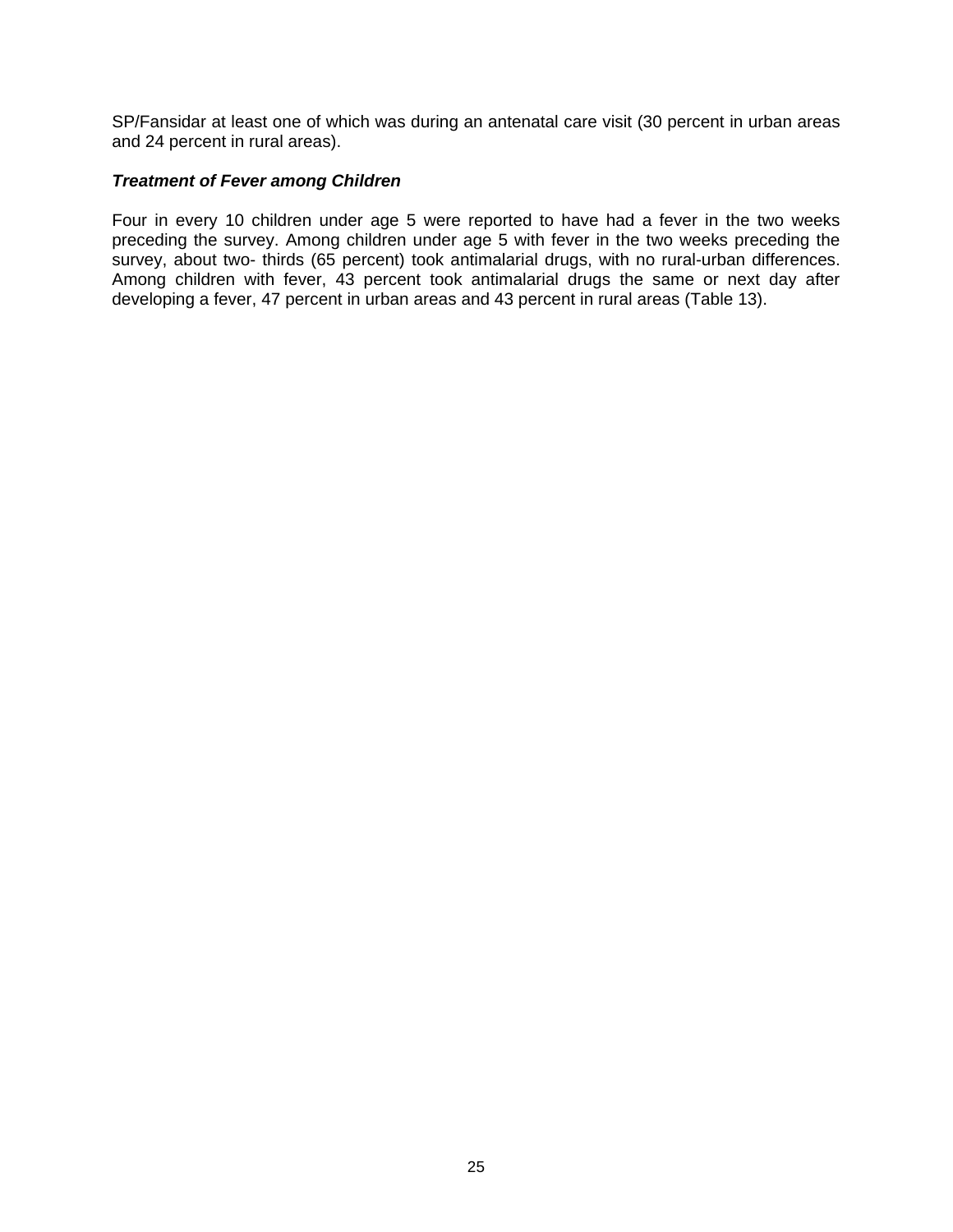SP/Fansidar at least one of which was during an antenatal care visit (30 percent in urban areas and 24 percent in rural areas).

## *Treatment of Fever among Children*

Four in every 10 children under age 5 were reported to have had a fever in the two weeks preceding the survey. Among children under age 5 with fever in the two weeks preceding the survey, about two- thirds (65 percent) took antimalarial drugs, with no rural-urban differences. Among children with fever, 43 percent took antimalarial drugs the same or next day after developing a fever, 47 percent in urban areas and 43 percent in rural areas (Table 13).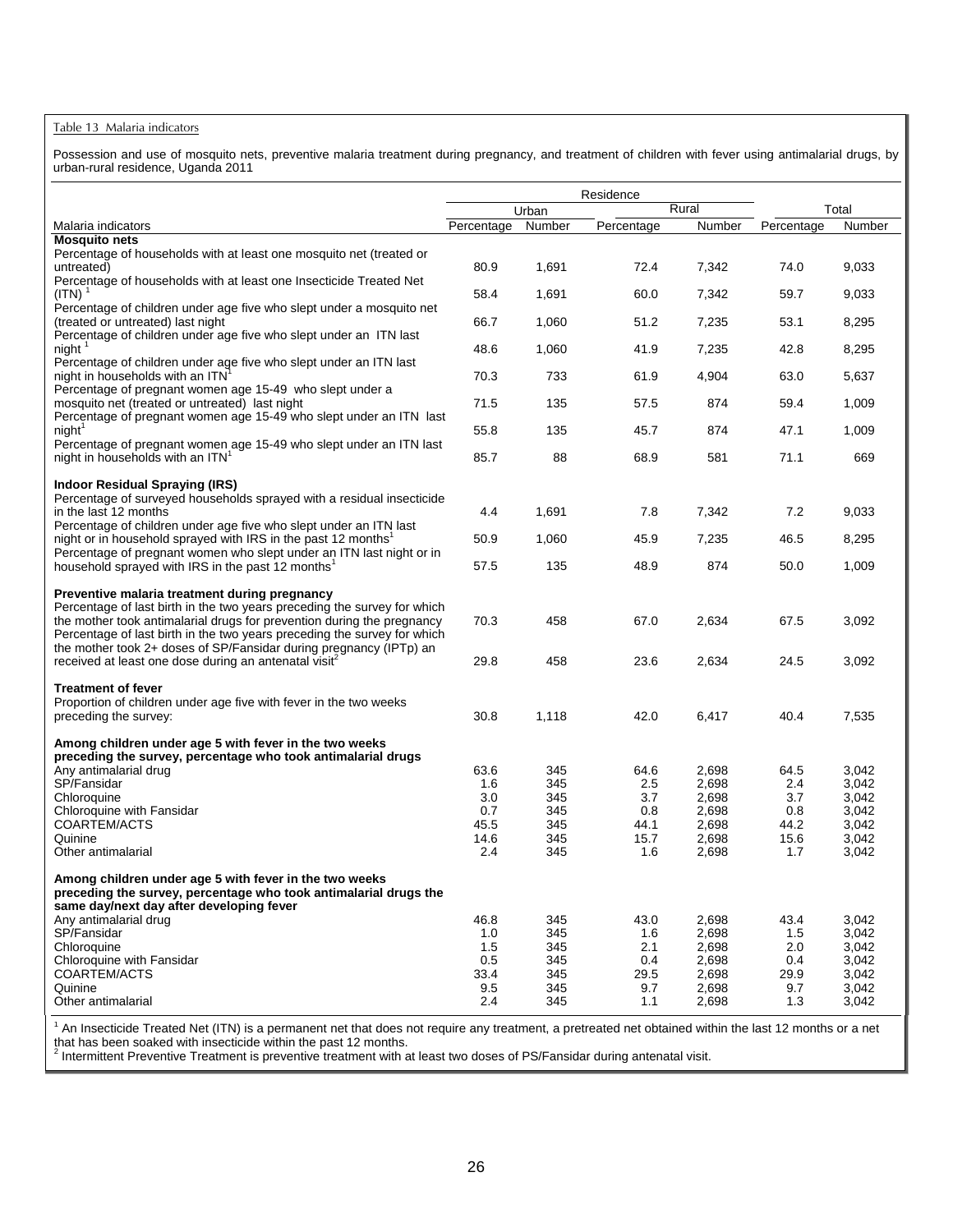#### Table 13 Malaria indicators

Possession and use of mosquito nets, preventive malaria treatment during pregnancy, and treatment of children with fever using antimalarial drugs, by urban-rural residence, Uganda 2011

|                                                                                                                                                                                                                                                                                                                                                                                                                            |                |            | Residence    |                |              |                |
|----------------------------------------------------------------------------------------------------------------------------------------------------------------------------------------------------------------------------------------------------------------------------------------------------------------------------------------------------------------------------------------------------------------------------|----------------|------------|--------------|----------------|--------------|----------------|
|                                                                                                                                                                                                                                                                                                                                                                                                                            |                | Urban      |              | Rural          |              | Total          |
| Malaria indicators                                                                                                                                                                                                                                                                                                                                                                                                         | Percentage     | Number     | Percentage   | Number         | Percentage   | Number         |
| <b>Mosquito nets</b>                                                                                                                                                                                                                                                                                                                                                                                                       |                |            |              |                |              |                |
| Percentage of households with at least one mosquito net (treated or<br>untreated)                                                                                                                                                                                                                                                                                                                                          | 80.9           | 1,691      | 72.4         | 7,342          | 74.0         | 9,033          |
| Percentage of households with at least one Insecticide Treated Net<br>$(ITN)$ <sup>1</sup>                                                                                                                                                                                                                                                                                                                                 | 58.4           | 1,691      | 60.0         | 7,342          | 59.7         | 9,033          |
| Percentage of children under age five who slept under a mosquito net<br>(treated or untreated) last night                                                                                                                                                                                                                                                                                                                  | 66.7           | 1,060      | 51.2         | 7,235          | 53.1         | 8,295          |
| Percentage of children under age five who slept under an ITN last<br>night                                                                                                                                                                                                                                                                                                                                                 | 48.6           | 1,060      | 41.9         | 7,235          | 42.8         | 8,295          |
| Percentage of children under age five who slept under an ITN last<br>night in households with an ITN                                                                                                                                                                                                                                                                                                                       | 70.3           | 733        | 61.9         | 4,904          | 63.0         | 5,637          |
| Percentage of pregnant women age 15-49 who slept under a<br>mosquito net (treated or untreated) last night                                                                                                                                                                                                                                                                                                                 | 71.5           | 135        | 57.5         | 874            | 59.4         | 1,009          |
| Percentage of pregnant women age 15-49 who slept under an ITN last<br>night <sup>1</sup>                                                                                                                                                                                                                                                                                                                                   | 55.8           | 135        | 45.7         | 874            | 47.1         | 1,009          |
| Percentage of pregnant women age 15-49 who slept under an ITN last<br>night in households with an ITN <sup>1</sup>                                                                                                                                                                                                                                                                                                         | 85.7           | 88         | 68.9         | 581            | 71.1         | 669            |
| Indoor Residual Spraying (IRS)                                                                                                                                                                                                                                                                                                                                                                                             |                |            |              |                |              |                |
| Percentage of surveyed households sprayed with a residual insecticide<br>in the last 12 months                                                                                                                                                                                                                                                                                                                             | 4.4            | 1,691      | 7.8          | 7,342          | 7.2          | 9,033          |
| Percentage of children under age five who slept under an ITN last<br>night or in household sprayed with IRS in the past 12 months <sup>1</sup>                                                                                                                                                                                                                                                                             | 50.9           | 1,060      | 45.9         | 7,235          | 46.5         | 8,295          |
| Percentage of pregnant women who slept under an ITN last night or in<br>household sprayed with IRS in the past 12 months <sup>1</sup>                                                                                                                                                                                                                                                                                      | 57.5           | 135        | 48.9         | 874            | 50.0         | 1,009          |
| Preventive malaria treatment during pregnancy<br>Percentage of last birth in the two years preceding the survey for which<br>the mother took antimalarial drugs for prevention during the pregnancy<br>Percentage of last birth in the two years preceding the survey for which<br>the mother took 2+ doses of SP/Fansidar during pregnancy (IPTp) an<br>received at least one dose during an antenatal visit <sup>2</sup> | 70.3<br>29.8   | 458<br>458 | 67.0<br>23.6 | 2,634<br>2,634 | 67.5<br>24.5 | 3,092<br>3,092 |
|                                                                                                                                                                                                                                                                                                                                                                                                                            |                |            |              |                |              |                |
| <b>Treatment of fever</b><br>Proportion of children under age five with fever in the two weeks<br>preceding the survey:                                                                                                                                                                                                                                                                                                    | 30.8           | 1,118      | 42.0         | 6,417          | 40.4         | 7,535          |
| Among children under age 5 with fever in the two weeks<br>preceding the survey, percentage who took antimalarial drugs                                                                                                                                                                                                                                                                                                     |                |            |              |                |              |                |
| Any antimalarial drug<br>SP/Fansidar                                                                                                                                                                                                                                                                                                                                                                                       | 63.6<br>1.6    | 345<br>345 | 64.6<br>2.5  | 2,698<br>2,698 | 64.5<br>2.4  | 3,042<br>3,042 |
| Chloroquine                                                                                                                                                                                                                                                                                                                                                                                                                | 3.0            | 345        | 3.7          | 2,698          | 3.7          | 3,042          |
| Chloroquine with Fansidar                                                                                                                                                                                                                                                                                                                                                                                                  | 0.7            | 345        | 0.8          | 2,698          | 0.8          | 3,042          |
| COARTEM/ACTS                                                                                                                                                                                                                                                                                                                                                                                                               | 45.5           | 345        | 44.1         | 2,698          | 44.2         | 3,042          |
| Quinine<br>Other antimalarial                                                                                                                                                                                                                                                                                                                                                                                              | 14.6<br>2.4    | 345<br>345 | 15.7<br>1.6  | 2,698<br>2,698 | 15.6<br>1.7  | 3,042<br>3,042 |
| Among children under age 5 with fever in the two weeks<br>preceding the survey, percentage who took antimalarial drugs the<br>same day/next day after developing fever                                                                                                                                                                                                                                                     |                |            |              |                |              |                |
| Any antimalarial drug                                                                                                                                                                                                                                                                                                                                                                                                      | 46.8           | 345        | 43.0         | 2,698          | 43.4         | 3,042          |
| SP/Fansidar                                                                                                                                                                                                                                                                                                                                                                                                                | 1.0            | 345        | 1.6          | 2,698          | 1.5          | 3,042          |
| Chloroquine                                                                                                                                                                                                                                                                                                                                                                                                                | 1.5            | 345        | 2.1          | 2,698          | 2.0          | 3,042          |
| Chloroquine with Fansidar                                                                                                                                                                                                                                                                                                                                                                                                  | 0.5            | 345        | 0.4          | 2,698          | 0.4          | 3,042          |
| COARTEM/ACTS                                                                                                                                                                                                                                                                                                                                                                                                               | 33.4           | 345        | 29.5         | 2,698          | 29.9         | 3,042          |
| Quinine<br>Other antimalarial                                                                                                                                                                                                                                                                                                                                                                                              | 9.5<br>$2.4\,$ | 345<br>345 | 9.7<br>1.1   | 2,698<br>2,698 | 9.7<br>1.3   | 3,042<br>3,042 |

<sup>1</sup> An Insecticide Treated Net (ITN) is a permanent net that does not require any treatment, a pretreated net obtained within the last 12 months or a net

that has been soaked with insecticide within the past 12 months.<br><sup>2</sup> Intermittent Preventive Treatment is preventive treatment with at least two doses of PS/Fansidar during antenatal visit.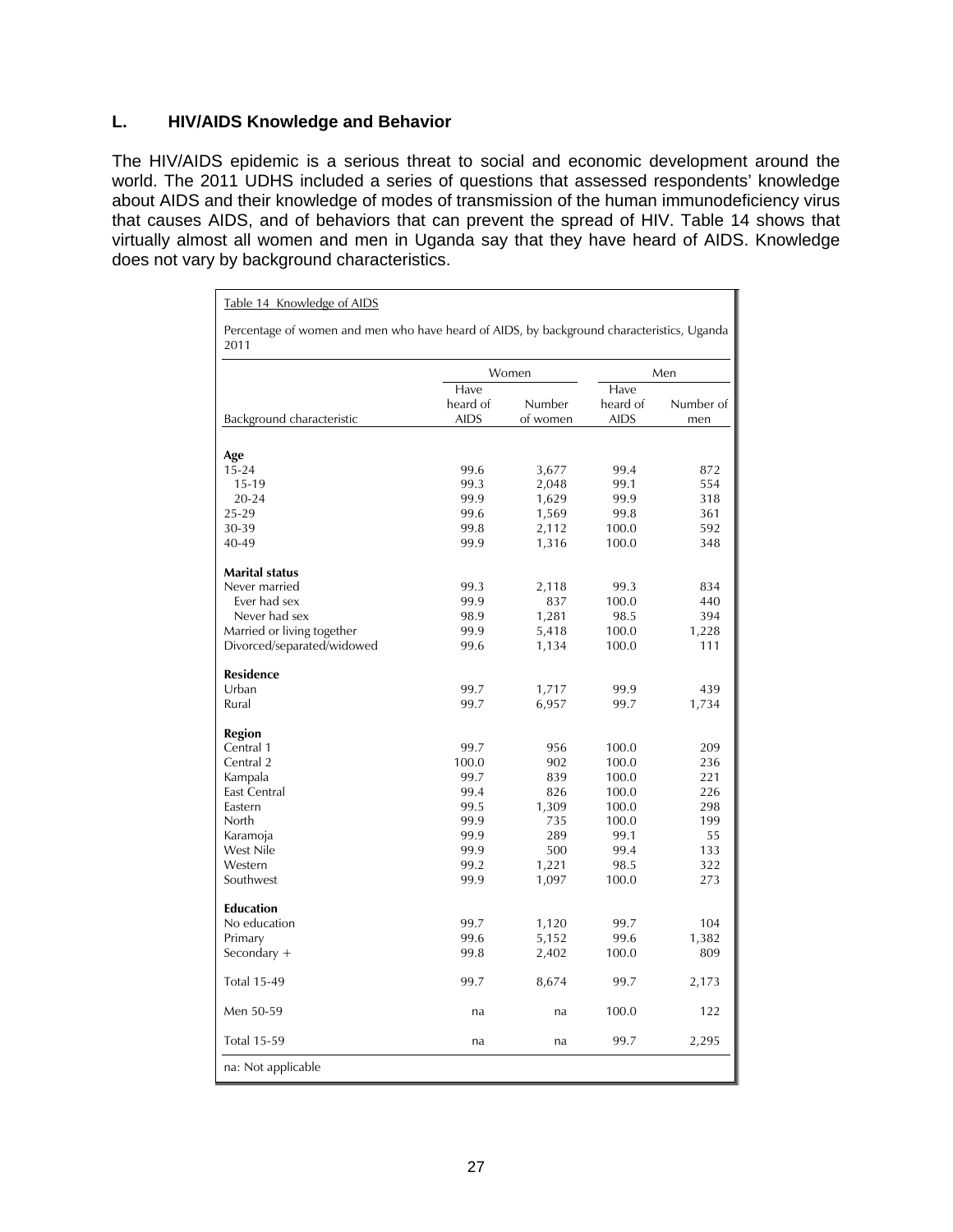## **L. HIV/AIDS Knowledge and Behavior**

The HIV/AIDS epidemic is a serious threat to social and economic development around the world. The 2011 UDHS included a series of questions that assessed respondents' knowledge about AIDS and their knowledge of modes of transmission of the human immunodeficiency virus that causes AIDS, and of behaviors that can prevent the spread of HIV. Table 14 shows that virtually almost all women and men in Uganda say that they have heard of AIDS. Knowledge does not vary by background characteristics.

Table 14 Knowledge of AIDS

Percentage of women and men who have heard of AIDS, by background characteristics, Uganda 2011

|                            |             | Women    |             | Men       |
|----------------------------|-------------|----------|-------------|-----------|
|                            | Have        |          | Have        |           |
|                            | heard of    | Number   | heard of    | Number of |
| Background characteristic  | <b>AIDS</b> | of women | <b>AIDS</b> | men       |
|                            |             |          |             |           |
| Age                        |             |          |             |           |
| $15 - 24$                  | 99.6        | 3,677    | 99.4        | 872       |
| $15 - 19$                  | 99.3        | 2,048    | 99.1        | 554       |
| $20 - 24$                  | 99.9        | 1,629    | 99.9        | 318       |
| 25-29                      | 99.6        | 1,569    | 99.8        | 361       |
| 30-39                      | 99.8        | 2,112    | 100.0       | 592       |
| $40 - 49$                  | 99.9        | 1,316    | 100.0       | 348       |
| <b>Marital status</b>      |             |          |             |           |
| Never married              | 99.3        | 2,118    | 99.3        | 834       |
| Ever had sex               | 99.9        | 837      | 100.0       | 440       |
| Never had sex              | 98.9        | 1,281    | 98.5        | 394       |
| Married or living together | 99.9        | 5,418    | 100.0       | 1,228     |
| Divorced/separated/widowed | 99.6        | 1,134    | 100.0       | 111       |
| <b>Residence</b>           |             |          |             |           |
| Urban                      | 99.7        | 1,717    | 99.9        | 439       |
| Rural                      | 99.7        | 6,957    | 99.7        | 1,734     |
| Region                     |             |          |             |           |
| Central 1                  | 99.7        | 956      | 100.0       | 209       |
| Central 2                  | 100.0       | 902      | 100.0       | 236       |
| Kampala                    | 99.7        | 839      | 100.0       | 221       |
| <b>East Central</b>        | 99.4        | 826      | 100.0       | 226       |
| Eastern                    | 99.5        | 1,309    | 100.0       | 298       |
| <b>North</b>               | 99.9        | 735      | 100.0       | 199       |
|                            | 99.9        | 289      | 99.1        | 55        |
| Karamoja<br>West Nile      | 99.9        | 500      | 99.4        | 133       |
| Western                    | 99.2        | 1,221    | 98.5        | 322       |
| Southwest                  | 99.9        |          | 100.0       | 273       |
|                            |             | 1,097    |             |           |
| <b>Education</b>           |             |          |             |           |
| No education               | 99.7        | 1,120    | 99.7        | 104       |
| Primary                    | 99.6        | 5,152    | 99.6        | 1,382     |
| Secondary $+$              | 99.8        | 2,402    | 100.0       | 809       |
| <b>Total 15-49</b>         | 99.7        | 8,674    | 99.7        | 2,173     |
| Men 50-59                  | na          | na       | 100.0       | 122       |
| <b>Total 15-59</b>         | na          | na       | 99.7        | 2,295     |
| na: Not applicable         |             |          |             |           |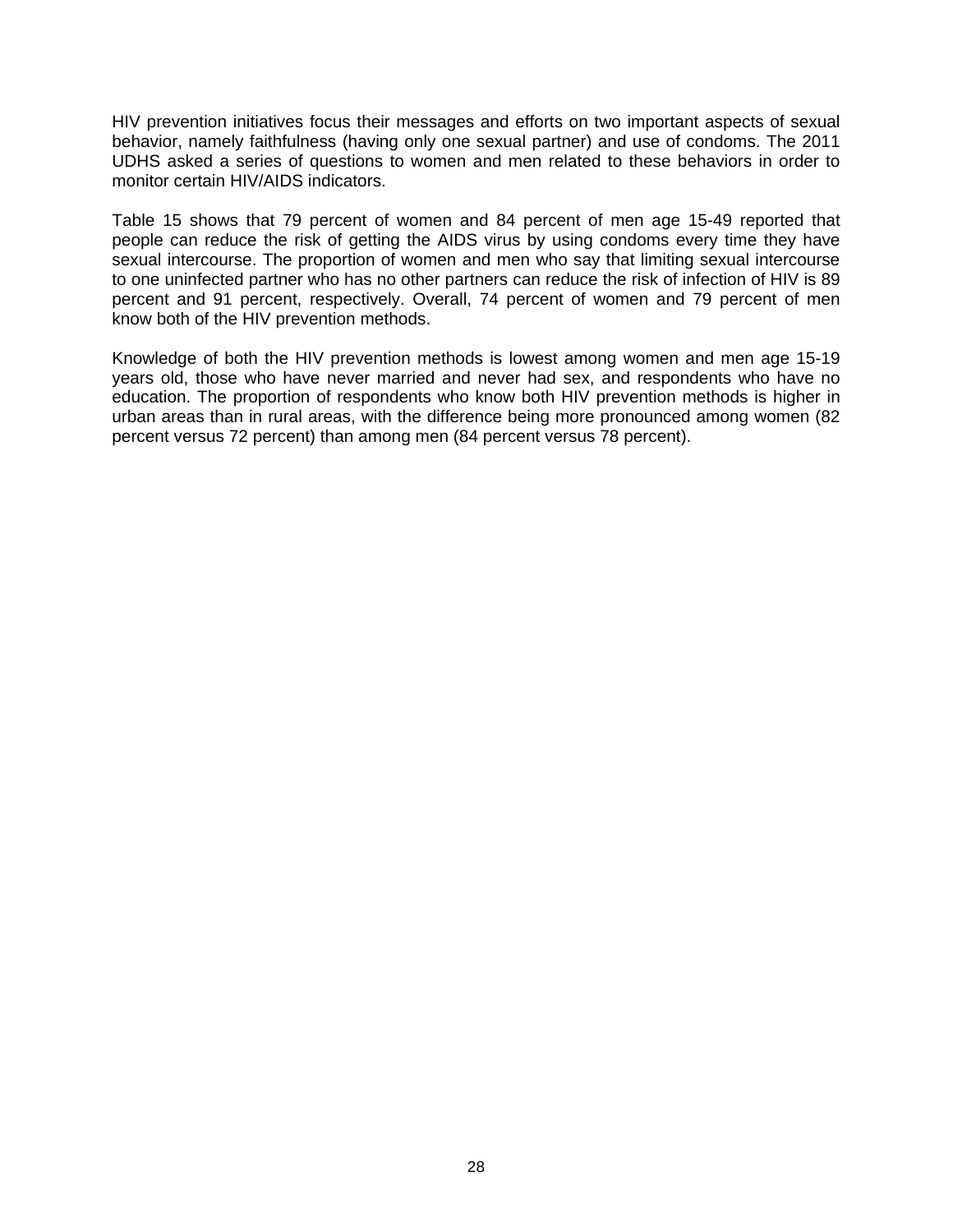HIV prevention initiatives focus their messages and efforts on two important aspects of sexual behavior, namely faithfulness (having only one sexual partner) and use of condoms. The 2011 UDHS asked a series of questions to women and men related to these behaviors in order to monitor certain HIV/AIDS indicators.

Table 15 shows that 79 percent of women and 84 percent of men age 15-49 reported that people can reduce the risk of getting the AIDS virus by using condoms every time they have sexual intercourse. The proportion of women and men who say that limiting sexual intercourse to one uninfected partner who has no other partners can reduce the risk of infection of HIV is 89 percent and 91 percent, respectively. Overall, 74 percent of women and 79 percent of men know both of the HIV prevention methods.

Knowledge of both the HIV prevention methods is lowest among women and men age 15-19 years old, those who have never married and never had sex, and respondents who have no education. The proportion of respondents who know both HIV prevention methods is higher in urban areas than in rural areas, with the difference being more pronounced among women (82 percent versus 72 percent) than among men (84 percent versus 78 percent).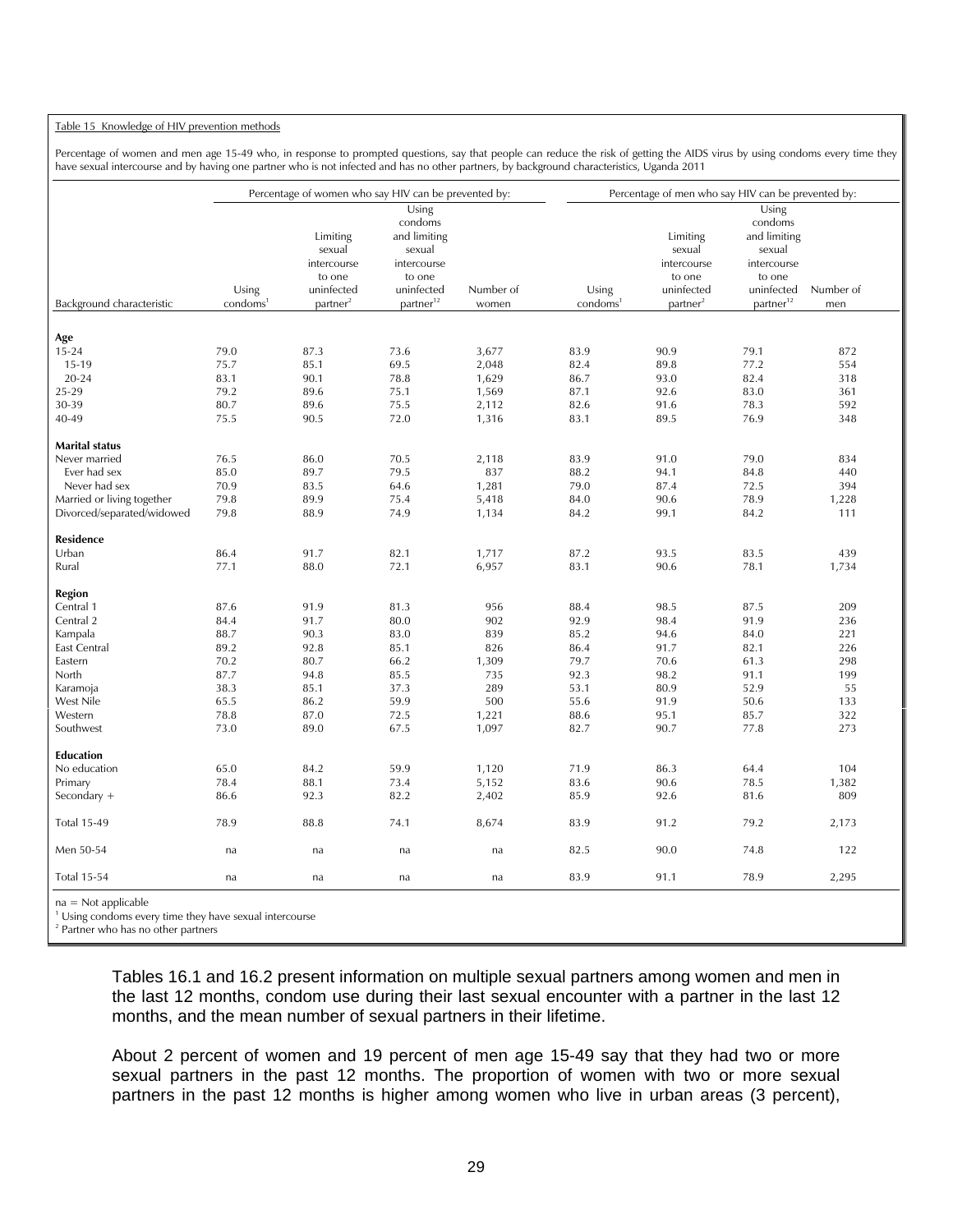#### Table 15 Knowledge of HIV prevention methods

Percentage of women and men age 15-49 who, in response to prompted questions, say that people can reduce the risk of getting the AIDS virus by using condoms every time they have sexual intercourse and by having one partner who is not infected and has no other partners, by background characteristics, Uganda 2011

|                            |                               | Percentage of women who say HIV can be prevented by:                              |                                                                                                            |                    |                               | Percentage of men who say HIV can be prevented by:                                |                                                                                                            |                  |
|----------------------------|-------------------------------|-----------------------------------------------------------------------------------|------------------------------------------------------------------------------------------------------------|--------------------|-------------------------------|-----------------------------------------------------------------------------------|------------------------------------------------------------------------------------------------------------|------------------|
| Background characteristic  | Using<br>condoms <sup>1</sup> | Limiting<br>sexual<br>intercourse<br>to one<br>uninfected<br>partner <sup>2</sup> | Using<br>condoms<br>and limiting<br>sexual<br>intercourse<br>to one<br>uninfected<br>partner <sup>12</sup> | Number of<br>women | Using<br>condoms <sup>1</sup> | Limiting<br>sexual<br>intercourse<br>to one<br>uninfected<br>partner <sup>2</sup> | Using<br>condoms<br>and limiting<br>sexual<br>intercourse<br>to one<br>uninfected<br>partner <sup>12</sup> | Number of<br>men |
|                            |                               |                                                                                   |                                                                                                            |                    |                               |                                                                                   |                                                                                                            |                  |
| Age                        |                               |                                                                                   |                                                                                                            |                    |                               |                                                                                   |                                                                                                            |                  |
| $15 - 24$                  | 79.0                          | 87.3                                                                              | 73.6                                                                                                       | 3,677              | 83.9                          | 90.9                                                                              | 79.1                                                                                                       | 872              |
| $15-19$                    | 75.7                          | 85.1                                                                              | 69.5                                                                                                       | 2,048              | 82.4                          | 89.8                                                                              | 77.2                                                                                                       | 554              |
| 20-24                      | 83.1                          | 90.1                                                                              | 78.8                                                                                                       | 1,629              | 86.7                          | 93.0                                                                              | 82.4                                                                                                       | 318              |
| 25-29<br>30-39             | 79.2<br>80.7                  | 89.6<br>89.6                                                                      | 75.1                                                                                                       | 1,569              | 87.1<br>82.6                  | 92.6                                                                              | 83.0<br>78.3                                                                                               | 361<br>592       |
|                            |                               | 90.5                                                                              | 75.5                                                                                                       | 2,112              |                               | 91.6                                                                              |                                                                                                            |                  |
| 40-49                      | 75.5                          |                                                                                   | 72.0                                                                                                       | 1,316              | 83.1                          | 89.5                                                                              | 76.9                                                                                                       | 348              |
| <b>Marital status</b>      |                               |                                                                                   |                                                                                                            |                    |                               |                                                                                   |                                                                                                            |                  |
| Never married              | 76.5                          | 86.0                                                                              | 70.5                                                                                                       | 2,118              | 83.9                          | 91.0                                                                              | 79.0                                                                                                       | 834              |
| Ever had sex               | 85.0                          | 89.7                                                                              | 79.5                                                                                                       | 837                | 88.2                          | 94.1                                                                              | 84.8                                                                                                       | 440              |
| Never had sex              | 70.9                          | 83.5                                                                              | 64.6                                                                                                       | 1,281              | 79.0                          | 87.4                                                                              | 72.5                                                                                                       | 394              |
| Married or living together | 79.8                          | 89.9                                                                              | 75.4                                                                                                       | 5,418              | 84.0                          | 90.6                                                                              | 78.9                                                                                                       | 1,228            |
| Divorced/separated/widowed | 79.8                          | 88.9                                                                              | 74.9                                                                                                       | 1,134              | 84.2                          | 99.1                                                                              | 84.2                                                                                                       | 111              |
| Residence                  |                               |                                                                                   |                                                                                                            |                    |                               |                                                                                   |                                                                                                            |                  |
| Urban                      | 86.4                          | 91.7                                                                              | 82.1                                                                                                       | 1,717              | 87.2                          | 93.5                                                                              | 83.5                                                                                                       | 439              |
| Rural                      | 77.1                          | 88.0                                                                              | 72.1                                                                                                       | 6,957              | 83.1                          | 90.6                                                                              | 78.1                                                                                                       | 1,734            |
| Region                     |                               |                                                                                   |                                                                                                            |                    |                               |                                                                                   |                                                                                                            |                  |
| Central 1                  | 87.6                          | 91.9                                                                              | 81.3                                                                                                       | 956                | 88.4                          | 98.5                                                                              | 87.5                                                                                                       | 209              |
| Central 2                  | 84.4                          | 91.7                                                                              | 80.0                                                                                                       | 902                | 92.9                          | 98.4                                                                              | 91.9                                                                                                       | 236              |
| Kampala                    | 88.7                          | 90.3                                                                              | 83.0                                                                                                       | 839                | 85.2                          | 94.6                                                                              | 84.0                                                                                                       | 221              |
| East Central               | 89.2                          | 92.8                                                                              | 85.1                                                                                                       | 826                | 86.4                          | 91.7                                                                              | 82.1                                                                                                       | 226              |
| Eastern                    | 70.2                          | 80.7                                                                              | 66.2                                                                                                       | 1,309              | 79.7                          | 70.6                                                                              | 61.3                                                                                                       | 298              |
| North                      | 87.7                          | 94.8                                                                              | 85.5                                                                                                       | 735                | 92.3                          | 98.2                                                                              | 91.1                                                                                                       | 199              |
| Karamoja                   | 38.3                          | 85.1                                                                              | 37.3                                                                                                       | 289                | 53.1                          | 80.9                                                                              | 52.9                                                                                                       | 55               |
| West Nile                  | 65.5                          | 86.2                                                                              | 59.9                                                                                                       | 500                | 55.6                          | 91.9                                                                              | 50.6                                                                                                       | 133              |
| Western                    | 78.8                          | 87.0                                                                              | 72.5                                                                                                       | 1,221              | 88.6                          | 95.1                                                                              | 85.7                                                                                                       | 322              |
| Southwest                  | 73.0                          | 89.0                                                                              | 67.5                                                                                                       | 1,097              | 82.7                          | 90.7                                                                              | 77.8                                                                                                       | 273              |
| <b>Education</b>           |                               |                                                                                   |                                                                                                            |                    |                               |                                                                                   |                                                                                                            |                  |
| No education               | 65.0                          | 84.2                                                                              | 59.9                                                                                                       | 1,120              | 71.9                          | 86.3                                                                              | 64.4                                                                                                       | 104              |
| Primary                    | 78.4                          | 88.1                                                                              | 73.4                                                                                                       | 5,152              | 83.6                          | 90.6                                                                              | 78.5                                                                                                       | 1,382            |
| Secondary +                | 86.6                          | 92.3                                                                              | 82.2                                                                                                       | 2,402              | 85.9                          | 92.6                                                                              | 81.6                                                                                                       | 809              |
| <b>Total 15-49</b>         | 78.9                          | 88.8                                                                              | 74.1                                                                                                       | 8,674              | 83.9                          | 91.2                                                                              | 79.2                                                                                                       | 2,173            |
| Men 50-54                  | na                            | na                                                                                | na                                                                                                         | na                 | 82.5                          | 90.0                                                                              | 74.8                                                                                                       | 122              |
| <b>Total 15-54</b>         | na                            | na                                                                                | na                                                                                                         | na                 | 83.9                          | 91.1                                                                              | 78.9                                                                                                       | 2,295            |
| $na = Not applicable$      |                               |                                                                                   |                                                                                                            |                    |                               |                                                                                   |                                                                                                            |                  |

<sup>1</sup> Using condoms every time they have sexual intercourse

Tables 16.1 and 16.2 present information on multiple sexual partners among women and men in the last 12 months, condom use during their last sexual encounter with a partner in the last 12 months, and the mean number of sexual partners in their lifetime.

About 2 percent of women and 19 percent of men age 15-49 say that they had two or more sexual partners in the past 12 months. The proportion of women with two or more sexual partners in the past 12 months is higher among women who live in urban areas (3 percent),

<sup>2</sup> Partner who has no other partners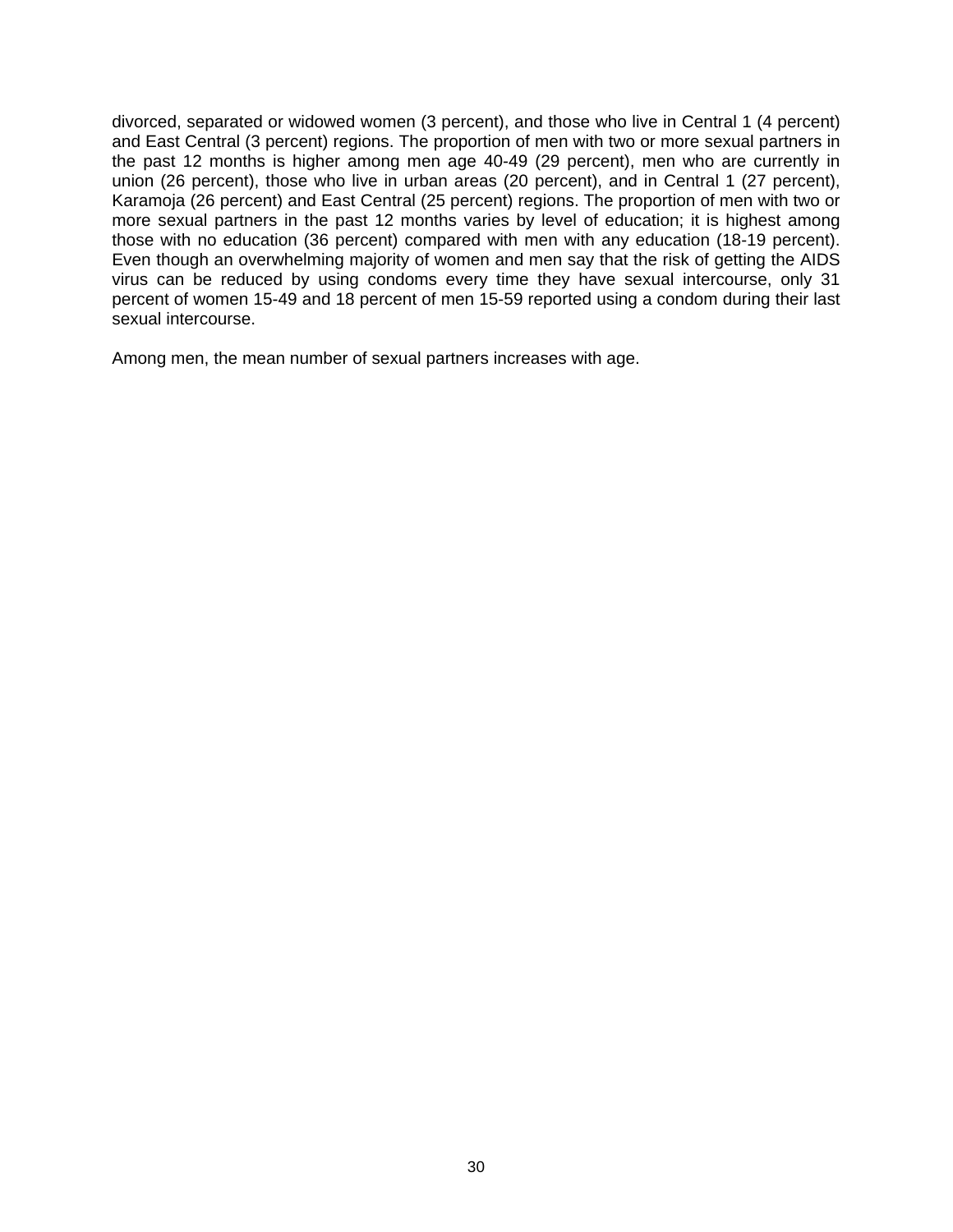divorced, separated or widowed women (3 percent), and those who live in Central 1 (4 percent) and East Central (3 percent) regions. The proportion of men with two or more sexual partners in the past 12 months is higher among men age 40-49 (29 percent), men who are currently in union (26 percent), those who live in urban areas (20 percent), and in Central 1 (27 percent), Karamoja (26 percent) and East Central (25 percent) regions. The proportion of men with two or more sexual partners in the past 12 months varies by level of education; it is highest among those with no education (36 percent) compared with men with any education (18-19 percent). Even though an overwhelming majority of women and men say that the risk of getting the AIDS virus can be reduced by using condoms every time they have sexual intercourse, only 31 percent of women 15-49 and 18 percent of men 15-59 reported using a condom during their last sexual intercourse.

Among men, the mean number of sexual partners increases with age.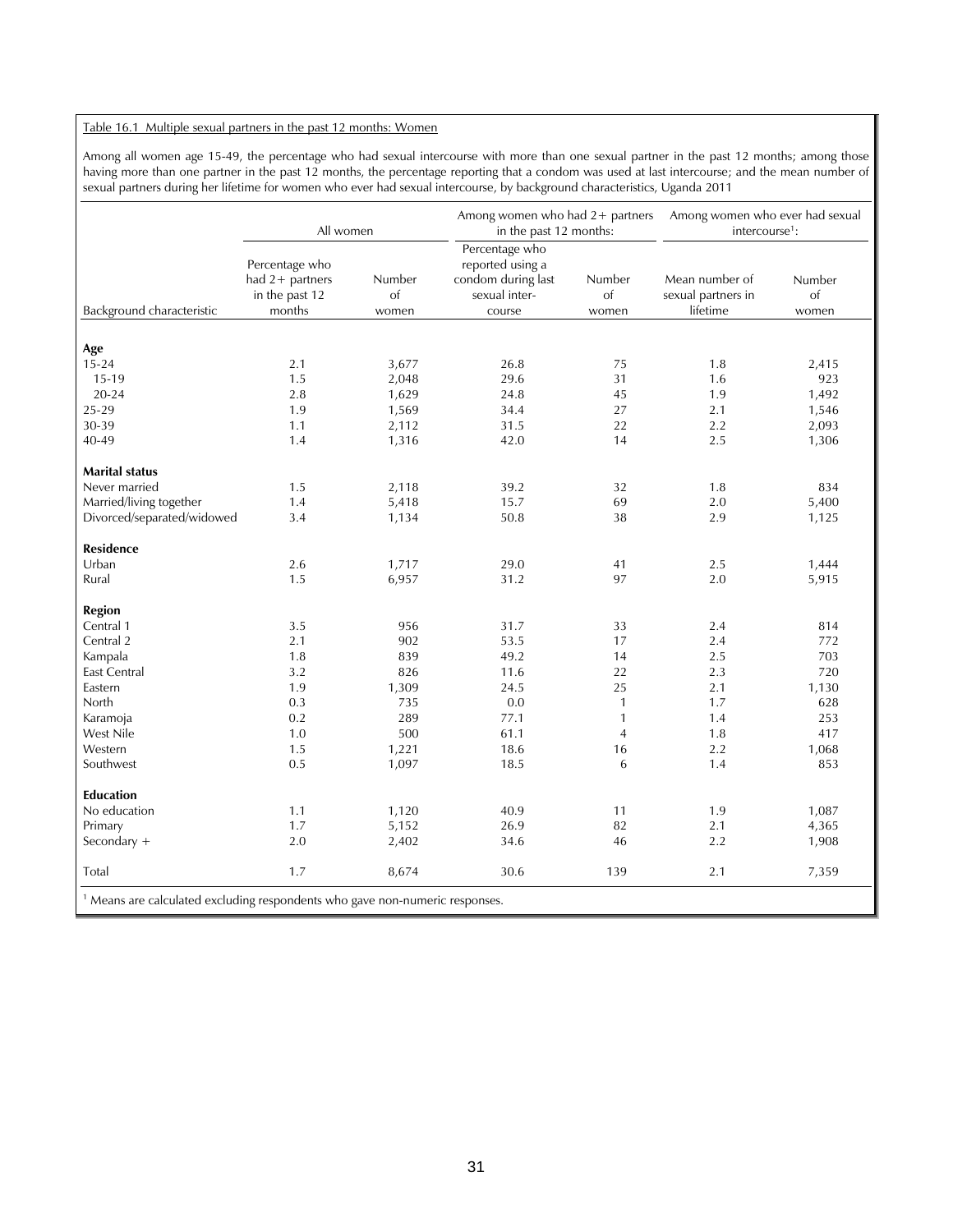#### Table 16.1 Multiple sexual partners in the past 12 months: Women

Among all women age 15-49, the percentage who had sexual intercourse with more than one sexual partner in the past 12 months; among those having more than one partner in the past 12 months, the percentage reporting that a condom was used at last intercourse; and the mean number of sexual partners during her lifetime for women who ever had sexual intercourse, by background characteristics, Uganda 2011

|                            |                                                               | All women             | in the past 12 months:                                                              | Among women who had 2+ partners | intercourse <sup>1</sup> :                       | Among women who ever had sexual |
|----------------------------|---------------------------------------------------------------|-----------------------|-------------------------------------------------------------------------------------|---------------------------------|--------------------------------------------------|---------------------------------|
| Background characteristic  | Percentage who<br>had 2+ partners<br>in the past 12<br>months | Number<br>of<br>women | Percentage who<br>reported using a<br>condom during last<br>sexual inter-<br>course | Number<br>of<br>women           | Mean number of<br>sexual partners in<br>lifetime | Number<br>of<br>women           |
|                            |                                                               |                       |                                                                                     |                                 |                                                  |                                 |
| Age                        |                                                               |                       |                                                                                     |                                 |                                                  |                                 |
| $15 - 24$                  | 2.1                                                           | 3,677                 | 26.8                                                                                | 75                              | 1.8                                              | 2,415                           |
| 15-19                      | 1.5                                                           | 2,048                 | 29.6                                                                                | 31                              | 1.6                                              | 923                             |
| $20 - 24$                  | 2.8                                                           | 1,629                 | 24.8                                                                                | 45                              | 1.9                                              | 1,492                           |
| 25-29                      | 1.9                                                           | 1,569                 | 34.4                                                                                | 27                              | 2.1                                              | 1,546                           |
| 30-39                      | 1.1                                                           | 2,112                 | 31.5                                                                                | 22                              | 2.2                                              | 2,093                           |
| 40-49                      | 1.4                                                           | 1,316                 | 42.0                                                                                | 14                              | 2.5                                              | 1,306                           |
| <b>Marital status</b>      |                                                               |                       |                                                                                     |                                 |                                                  |                                 |
| Never married              | 1.5                                                           | 2,118                 | 39.2                                                                                | 32                              | 1.8                                              | 834                             |
| Married/living together    | 1.4                                                           | 5,418                 | 15.7                                                                                | 69                              | 2.0                                              | 5,400                           |
| Divorced/separated/widowed | 3.4                                                           | 1,134                 | 50.8                                                                                | 38                              | 2.9                                              | 1,125                           |
| <b>Residence</b>           |                                                               |                       |                                                                                     |                                 |                                                  |                                 |
| Urban                      | 2.6                                                           | 1,717                 | 29.0                                                                                | 41                              | 2.5                                              | 1,444                           |
| Rural                      | 1.5                                                           | 6,957                 | 31.2                                                                                | 97                              | 2.0                                              | 5,915                           |
| <b>Region</b>              |                                                               |                       |                                                                                     |                                 |                                                  |                                 |
| Central 1                  | 3.5                                                           | 956                   | 31.7                                                                                | 33                              | 2.4                                              | 814                             |
| Central 2                  | 2.1                                                           | 902                   | 53.5                                                                                | 17                              | 2.4                                              | 772                             |
| Kampala                    | 1.8                                                           | 839                   | 49.2                                                                                | 14                              | 2.5                                              | 703                             |
| East Central               | 3.2                                                           | 826                   | 11.6                                                                                | 22                              | 2.3                                              | 720                             |
| Eastern                    | 1.9                                                           | 1,309                 | 24.5                                                                                | 25                              | 2.1                                              | 1,130                           |
| North                      | 0.3                                                           | 735                   | 0.0                                                                                 | $\mathbf{1}$                    | 1.7                                              | 628                             |
| Karamoja                   | 0.2                                                           | 289                   | 77.1                                                                                | $\mathbf{1}$                    | 1.4                                              | 253                             |
| West Nile                  | 1.0                                                           | 500                   | 61.1                                                                                | $\overline{4}$                  | 1.8                                              | 417                             |
| Western                    | 1.5                                                           | 1,221                 | 18.6                                                                                | 16                              | 2.2                                              | 1,068                           |
| Southwest                  | 0.5                                                           | 1,097                 | 18.5                                                                                | 6                               | 1.4                                              | 853                             |
| <b>Education</b>           |                                                               |                       |                                                                                     |                                 |                                                  |                                 |
| No education               | 1.1                                                           | 1,120                 | 40.9                                                                                | 11                              | 1.9                                              | 1,087                           |
| Primary                    | 1.7                                                           | 5,152                 | 26.9                                                                                | 82                              | 2.1                                              | 4,365                           |
| Secondary +                | 2.0                                                           | 2,402                 | 34.6                                                                                | 46                              | 2.2                                              | 1,908                           |
| Total                      | 1.7                                                           | 8,674                 | 30.6                                                                                | 139                             | 2.1                                              | 7,359                           |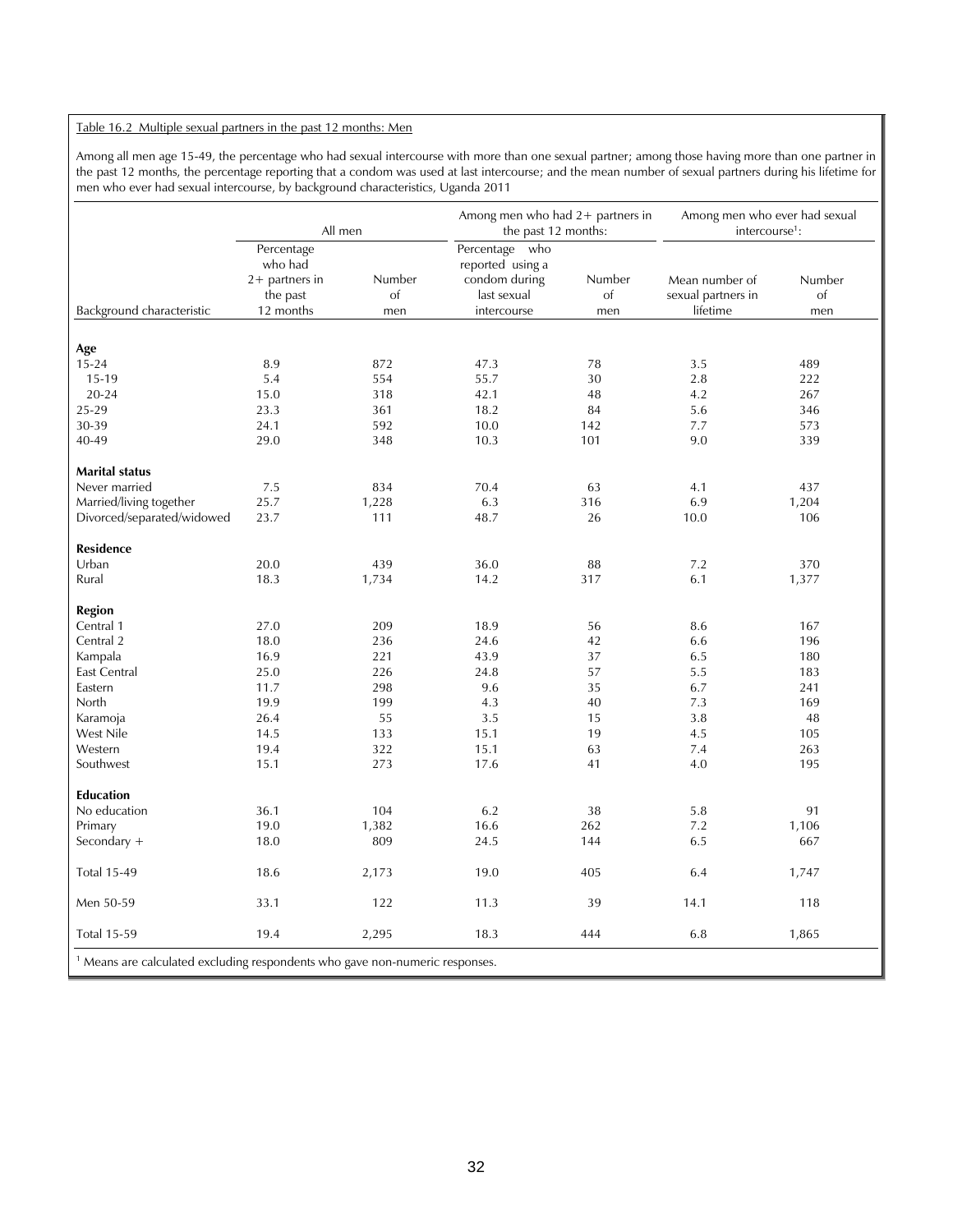#### Table 16.2 Multiple sexual partners in the past 12 months: Men

Among all men age 15-49, the percentage who had sexual intercourse with more than one sexual partner; among those having more than one partner in the past 12 months, the percentage reporting that a condom was used at last intercourse; and the mean number of sexual partners during his lifetime for men who ever had sexual intercourse, by background characteristics, Uganda 2011

|                                                                                         | All men                                                            |                     | Among men who had 2+ partners in<br>the past 12 months:                           |                     | Among men who ever had sexual<br>intercourse <sup>1</sup> : |                     |
|-----------------------------------------------------------------------------------------|--------------------------------------------------------------------|---------------------|-----------------------------------------------------------------------------------|---------------------|-------------------------------------------------------------|---------------------|
| Background characteristic                                                               | Percentage<br>who had<br>$2+$ partners in<br>the past<br>12 months | Number<br>of<br>men | Percentage who<br>reported using a<br>condom during<br>last sexual<br>intercourse | Number<br>of<br>men | Mean number of<br>sexual partners in<br>lifetime            | Number<br>of<br>men |
|                                                                                         |                                                                    |                     |                                                                                   |                     |                                                             |                     |
| Age                                                                                     |                                                                    |                     |                                                                                   |                     |                                                             |                     |
| $15 - 24$                                                                               | 8.9                                                                | 872                 | 47.3                                                                              | 78                  | 3.5                                                         | 489                 |
| 15-19                                                                                   | 5.4                                                                | 554                 | 55.7                                                                              | 30                  | 2.8                                                         | 222                 |
| $20 - 24$                                                                               | 15.0                                                               | 318                 | 42.1                                                                              | 48                  | 4.2                                                         | 267                 |
| 25-29                                                                                   | 23.3                                                               | 361                 | 18.2                                                                              | 84                  | 5.6                                                         | 346                 |
| 30-39                                                                                   | 24.1                                                               | 592                 | 10.0                                                                              | 142                 | 7.7                                                         | 573                 |
| 40-49                                                                                   | 29.0                                                               | 348                 | 10.3                                                                              | 101                 | 9.0                                                         | 339                 |
| <b>Marital status</b>                                                                   |                                                                    |                     |                                                                                   |                     |                                                             |                     |
| Never married                                                                           | 7.5                                                                | 834                 | 70.4                                                                              | 63                  | 4.1                                                         | 437                 |
|                                                                                         |                                                                    |                     |                                                                                   |                     | 6.9                                                         |                     |
| Married/living together<br>Divorced/separated/widowed                                   | 25.7<br>23.7                                                       | 1,228<br>111        | 6.3<br>48.7                                                                       | 316<br>26           | 10.0                                                        | 1,204<br>106        |
|                                                                                         |                                                                    |                     |                                                                                   |                     |                                                             |                     |
| <b>Residence</b>                                                                        |                                                                    |                     |                                                                                   |                     |                                                             |                     |
| Urban                                                                                   | 20.0                                                               | 439                 | 36.0                                                                              | 88                  | 7.2                                                         | 370                 |
| Rural                                                                                   | 18.3                                                               | 1,734               | 14.2                                                                              | 317                 | 6.1                                                         | 1,377               |
| <b>Region</b>                                                                           |                                                                    |                     |                                                                                   |                     |                                                             |                     |
| Central 1                                                                               | 27.0                                                               | 209                 | 18.9                                                                              | 56                  | 8.6                                                         | 167                 |
| Central 2                                                                               | 18.0                                                               | 236                 | 24.6                                                                              | 42                  | 6.6                                                         | 196                 |
| Kampala                                                                                 | 16.9                                                               | 221                 | 43.9                                                                              | 37                  | 6.5                                                         | 180                 |
| <b>East Central</b>                                                                     | 25.0                                                               | 226                 | 24.8                                                                              | 57                  | 5.5                                                         | 183                 |
| Eastern                                                                                 | 11.7                                                               | 298                 | 9.6                                                                               | 35                  | 6.7                                                         | 241                 |
| North                                                                                   | 19.9                                                               | 199                 | 4.3                                                                               | 40                  | 7.3                                                         | 169                 |
| Karamoja                                                                                | 26.4                                                               | 55                  | 3.5                                                                               | 15                  | 3.8                                                         | 48                  |
| West Nile                                                                               | 14.5                                                               | 133                 | 15.1                                                                              | 19                  | 4.5                                                         | 105                 |
| Western                                                                                 | 19.4                                                               | 322                 | 15.1                                                                              | 63                  | 7.4                                                         | 263                 |
| Southwest                                                                               | 15.1                                                               | 273                 | 17.6                                                                              | 41                  | 4.0                                                         | 195                 |
| <b>Education</b>                                                                        |                                                                    |                     |                                                                                   |                     |                                                             |                     |
| No education                                                                            | 36.1                                                               | 104                 | 6.2                                                                               | 38                  | 5.8                                                         | 91                  |
| Primary                                                                                 | 19.0                                                               | 1,382               | 16.6                                                                              | 262                 | 7.2                                                         | 1,106               |
| Secondary +                                                                             | 18.0                                                               | 809                 | 24.5                                                                              | 144                 | 6.5                                                         | 667                 |
|                                                                                         |                                                                    |                     |                                                                                   |                     |                                                             |                     |
| <b>Total 15-49</b>                                                                      | 18.6                                                               | 2,173               | 19.0                                                                              | 405                 | 6.4                                                         | 1,747               |
| Men 50-59                                                                               | 33.1                                                               | 122                 | 11.3                                                                              | 39                  | 14.1                                                        | 118                 |
| <b>Total 15-59</b>                                                                      | 19.4                                                               | 2,295               | 18.3                                                                              | 444                 | 6.8                                                         | 1,865               |
| <sup>1</sup> Means are calculated excluding respondents who gave non-numeric responses. |                                                                    |                     |                                                                                   |                     |                                                             |                     |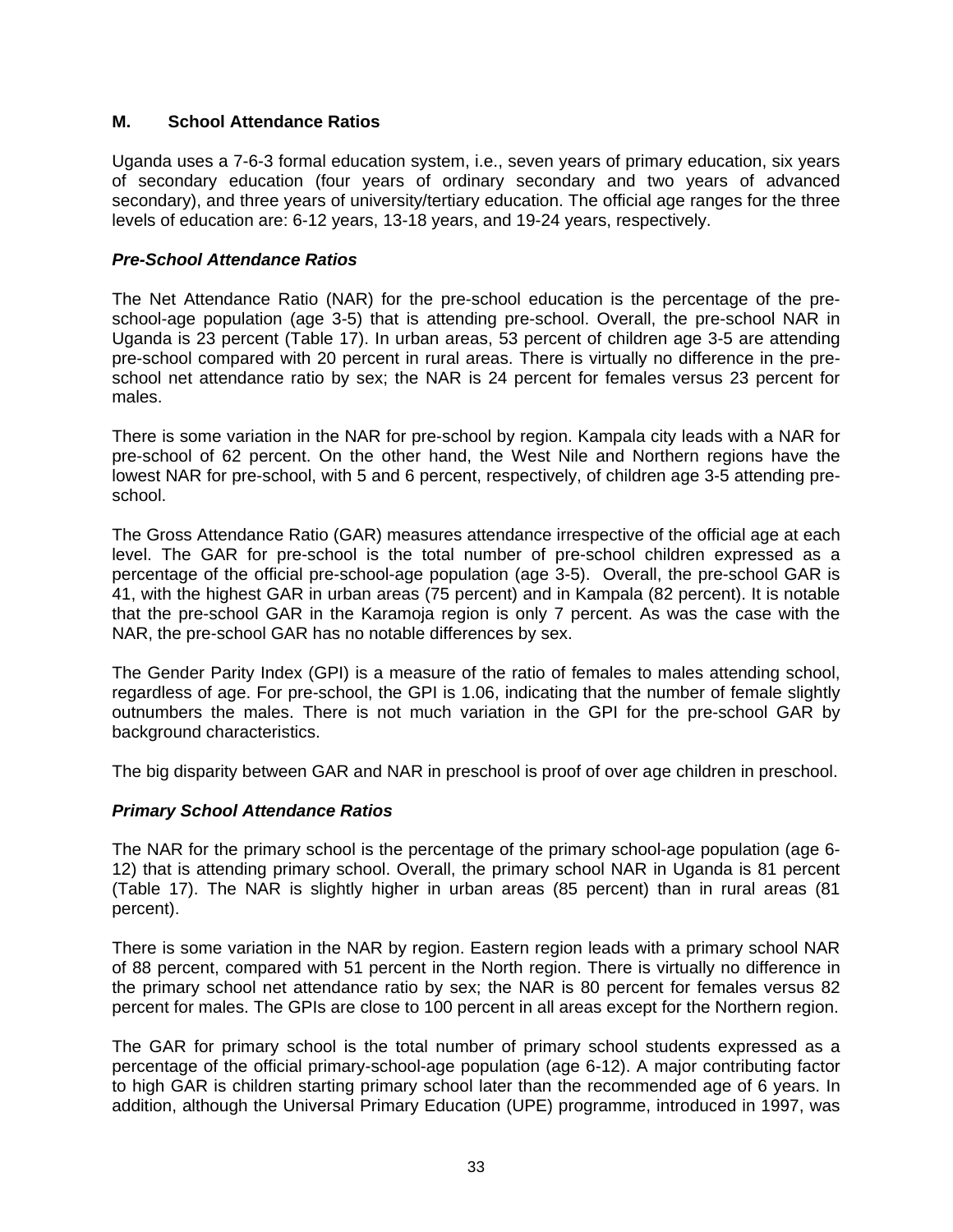## **M. School Attendance Ratios**

Uganda uses a 7-6-3 formal education system, i.e., seven years of primary education, six years of secondary education (four years of ordinary secondary and two years of advanced secondary), and three years of university/tertiary education. The official age ranges for the three levels of education are: 6-12 years, 13-18 years, and 19-24 years, respectively.

## *Pre-School Attendance Ratios*

The Net Attendance Ratio (NAR) for the pre-school education is the percentage of the preschool-age population (age 3-5) that is attending pre-school. Overall, the pre-school NAR in Uganda is 23 percent (Table 17). In urban areas, 53 percent of children age 3-5 are attending pre-school compared with 20 percent in rural areas. There is virtually no difference in the preschool net attendance ratio by sex; the NAR is 24 percent for females versus 23 percent for males.

There is some variation in the NAR for pre-school by region. Kampala city leads with a NAR for pre-school of 62 percent. On the other hand, the West Nile and Northern regions have the lowest NAR for pre-school, with 5 and 6 percent, respectively, of children age 3-5 attending preschool.

The Gross Attendance Ratio (GAR) measures attendance irrespective of the official age at each level. The GAR for pre-school is the total number of pre-school children expressed as a percentage of the official pre-school-age population (age 3-5). Overall, the pre-school GAR is 41, with the highest GAR in urban areas (75 percent) and in Kampala (82 percent). It is notable that the pre-school GAR in the Karamoja region is only 7 percent. As was the case with the NAR, the pre-school GAR has no notable differences by sex.

The Gender Parity Index (GPI) is a measure of the ratio of females to males attending school, regardless of age. For pre-school, the GPI is 1.06, indicating that the number of female slightly outnumbers the males. There is not much variation in the GPI for the pre-school GAR by background characteristics.

The big disparity between GAR and NAR in preschool is proof of over age children in preschool.

## *Primary School Attendance Ratios*

The NAR for the primary school is the percentage of the primary school-age population (age 6- 12) that is attending primary school. Overall, the primary school NAR in Uganda is 81 percent (Table 17). The NAR is slightly higher in urban areas (85 percent) than in rural areas (81 percent).

There is some variation in the NAR by region. Eastern region leads with a primary school NAR of 88 percent, compared with 51 percent in the North region. There is virtually no difference in the primary school net attendance ratio by sex; the NAR is 80 percent for females versus 82 percent for males. The GPIs are close to 100 percent in all areas except for the Northern region.

The GAR for primary school is the total number of primary school students expressed as a percentage of the official primary-school-age population (age 6-12). A major contributing factor to high GAR is children starting primary school later than the recommended age of 6 years. In addition, although the Universal Primary Education (UPE) programme, introduced in 1997, was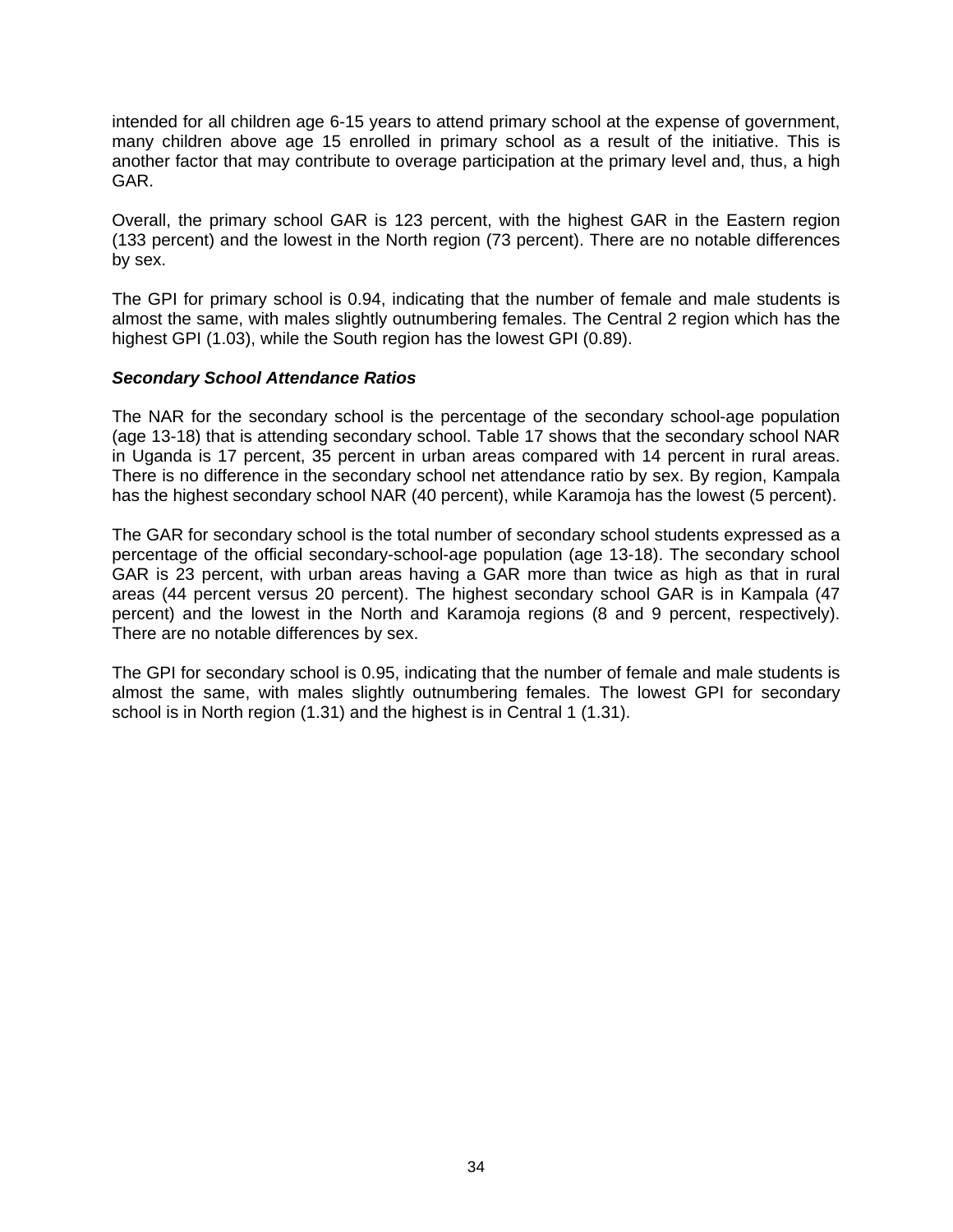intended for all children age 6-15 years to attend primary school at the expense of government, many children above age 15 enrolled in primary school as a result of the initiative. This is another factor that may contribute to overage participation at the primary level and, thus, a high GAR.

Overall, the primary school GAR is 123 percent, with the highest GAR in the Eastern region (133 percent) and the lowest in the North region (73 percent). There are no notable differences by sex.

The GPI for primary school is 0.94, indicating that the number of female and male students is almost the same, with males slightly outnumbering females. The Central 2 region which has the highest GPI (1.03), while the South region has the lowest GPI (0.89).

## *Secondary School Attendance Ratios*

The NAR for the secondary school is the percentage of the secondary school-age population (age 13-18) that is attending secondary school. Table 17 shows that the secondary school NAR in Uganda is 17 percent, 35 percent in urban areas compared with 14 percent in rural areas. There is no difference in the secondary school net attendance ratio by sex. By region, Kampala has the highest secondary school NAR (40 percent), while Karamoja has the lowest (5 percent).

The GAR for secondary school is the total number of secondary school students expressed as a percentage of the official secondary-school-age population (age 13-18). The secondary school GAR is 23 percent, with urban areas having a GAR more than twice as high as that in rural areas (44 percent versus 20 percent). The highest secondary school GAR is in Kampala (47 percent) and the lowest in the North and Karamoja regions (8 and 9 percent, respectively). There are no notable differences by sex.

The GPI for secondary school is 0.95, indicating that the number of female and male students is almost the same, with males slightly outnumbering females. The lowest GPI for secondary school is in North region (1.31) and the highest is in Central 1 (1.31).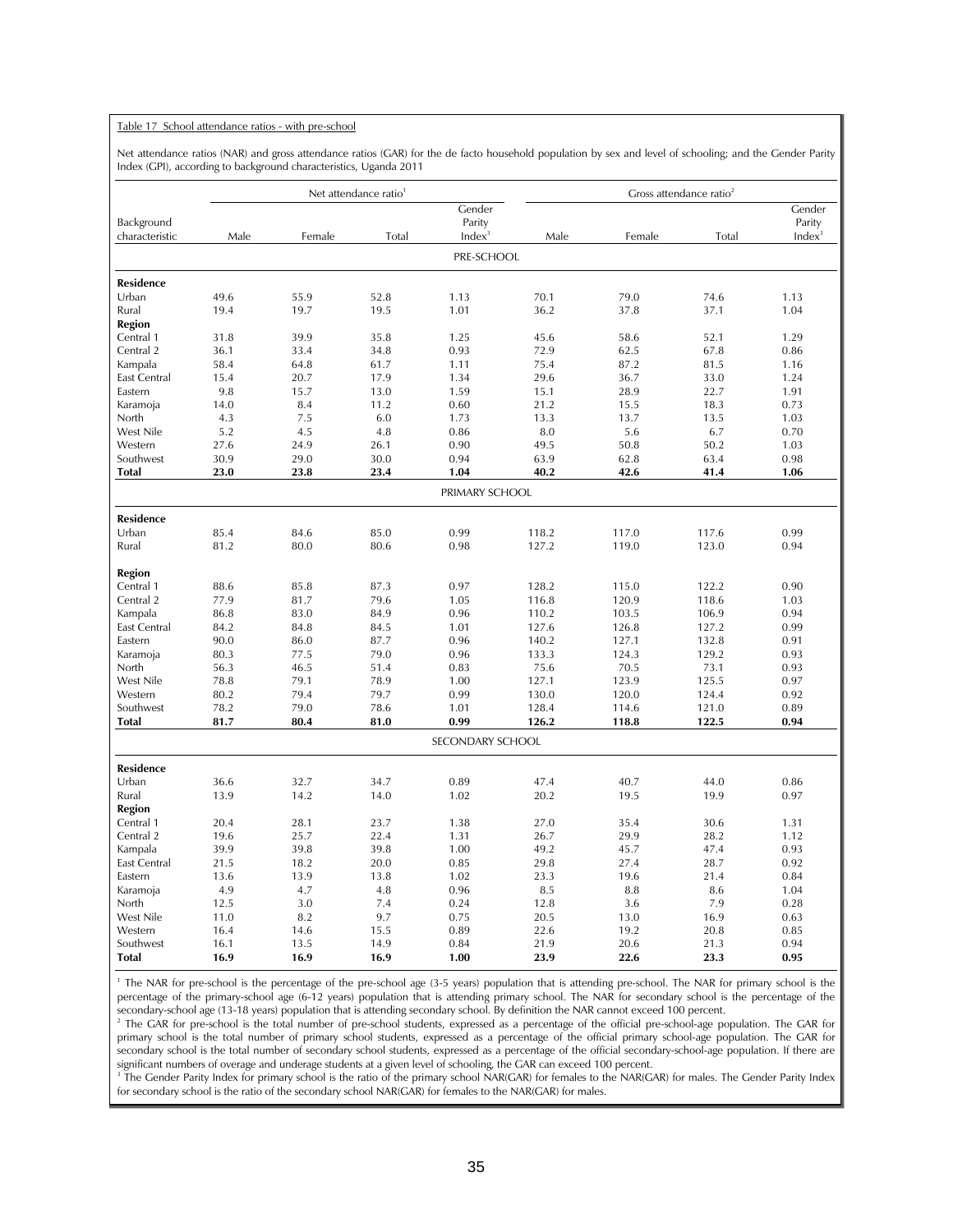#### Table 17 School attendance ratios - with pre-school

Net attendance ratios (NAR) and gross attendance ratios (GAR) for the de facto household population by sex and level of schooling; and the Gender Parity Index (GPI), according to background characteristics, Uganda 2011

|                     |              |              | Net attendance ratio <sup>1</sup> |                    |              |              | Gross attendance ratio <sup>2</sup> |                    |
|---------------------|--------------|--------------|-----------------------------------|--------------------|--------------|--------------|-------------------------------------|--------------------|
|                     |              |              |                                   | Gender             |              |              |                                     | Gender             |
| Background          |              |              |                                   | Parity             |              |              |                                     | Parity             |
| characteristic      | Male         | Female       | Total                             | Index <sup>3</sup> | Male         | Female       | Total                               | Index <sup>3</sup> |
|                     |              |              |                                   | PRE-SCHOOL         |              |              |                                     |                    |
| <b>Residence</b>    |              |              |                                   |                    |              |              |                                     |                    |
| Urban               | 49.6         | 55.9         | 52.8                              | 1.13               | 70.1         | 79.0         | 74.6                                | 1.13               |
| Rural               | 19.4         | 19.7         | 19.5                              | 1.01               | 36.2         | 37.8         | 37.1                                | 1.04               |
| Region              |              |              |                                   |                    |              |              |                                     |                    |
| Central 1           | 31.8         | 39.9         | 35.8                              | 1.25               | 45.6         | 58.6         | 52.1                                | 1.29               |
| Central 2           | 36.1         | 33.4         | 34.8                              | 0.93               | 72.9         | 62.5         | 67.8                                | 0.86               |
| Kampala             | 58.4         | 64.8         | 61.7                              | 1.11               | 75.4         | 87.2         | 81.5                                | 1.16               |
| East Central        | 15.4         | 20.7         | 17.9                              | 1.34               | 29.6         | 36.7         | 33.0                                | 1.24               |
| Eastern             | 9.8          | 15.7         | 13.0                              | 1.59               | 15.1         | 28.9         | 22.7                                | 1.91               |
| Karamoja            | 14.0         | 8.4          | 11.2                              | 0.60               | 21.2         | 15.5         | 18.3                                | 0.73               |
| North               | 4.3          | 7.5          | 6.0                               | 1.73               | 13.3         | 13.7         | 13.5                                | 1.03               |
| West Nile           | 5.2          | 4.5          | 4.8                               | 0.86               | 8.0          | 5.6          | 6.7                                 | 0.70               |
| Western             | 27.6         | 24.9         | 26.1                              | 0.90               | 49.5         | 50.8         | 50.2                                | 1.03               |
| Southwest           | 30.9         | 29.0         | 30.0                              | 0.94               | 63.9         | 62.8         | 63.4                                | 0.98               |
| <b>Total</b>        | 23.0         | 23.8         | 23.4                              | 1.04               | 40.2         | 42.6         | 41.4                                | 1.06               |
|                     |              |              |                                   | PRIMARY SCHOOL     |              |              |                                     |                    |
| <b>Residence</b>    |              |              |                                   |                    |              |              |                                     |                    |
| Urban               | 85.4         | 84.6         | 85.0                              | 0.99               | 118.2        | 117.0        | 117.6                               | 0.99               |
| Rural               | 81.2         | 80.0         | 80.6                              | 0.98               | 127.2        | 119.0        | 123.0                               | 0.94               |
| Region              |              |              |                                   |                    |              |              |                                     |                    |
| Central 1           | 88.6         | 85.8         | 87.3                              | 0.97               | 128.2        | 115.0        | 122.2                               | 0.90               |
| Central 2           | 77.9         | 81.7         | 79.6                              | 1.05               | 116.8        | 120.9        | 118.6                               | 1.03               |
| Kampala             | 86.8         | 83.0         | 84.9                              | 0.96               | 110.2        | 103.5        | 106.9                               | 0.94               |
| East Central        | 84.2         | 84.8         | 84.5                              | 1.01               | 127.6        | 126.8        | 127.2                               | 0.99               |
| Eastern             | 90.0         | 86.0         | 87.7                              | 0.96               | 140.2        | 127.1        | 132.8                               | 0.91               |
| Karamoja            | 80.3         | 77.5         | 79.0                              | 0.96               | 133.3        | 124.3        | 129.2                               | 0.93               |
| North               | 56.3         | 46.5         | 51.4                              | 0.83               | 75.6         | 70.5         | 73.1                                | 0.93               |
| West Nile           | 78.8         | 79.1         | 78.9                              | 1.00               | 127.1        | 123.9        | 125.5                               | 0.97               |
| Western             | 80.2         | 79.4         | 79.7                              | 0.99               | 130.0        | 120.0        | 124.4                               | 0.92               |
| Southwest           | 78.2         | 79.0         | 78.6                              | 1.01               | 128.4        | 114.6        | 121.0                               | 0.89               |
| <b>Total</b>        | 81.7         | 80.4         | 81.0                              | 0.99               | 126.2        | 118.8        | 122.5                               | 0.94               |
|                     |              |              |                                   | SECONDARY SCHOOL   |              |              |                                     |                    |
|                     |              |              |                                   |                    |              |              |                                     |                    |
| <b>Residence</b>    |              |              |                                   |                    |              |              |                                     |                    |
| Urban               | 36.6         | 32.7         | 34.7                              | 0.89               | 47.4         | 40.7         | 44.0                                | 0.86               |
| Rural               | 13.9         | 14.2         | 14.0                              | 1.02               | 20.2         | 19.5         | 19.9                                | 0.97               |
| Region              |              |              |                                   |                    |              |              |                                     |                    |
| Central 1           | 20.4         | 28.1         | 23.7                              | 1.38               | 27.0         | 35.4<br>29.9 | 30.6                                | 1.31               |
| Central 2           | 19.6         | 25.7         | 22.4                              | 1.31               | 26.7         |              | 28.2                                | 1.12               |
| Kampala             | 39.9         | 39.8         | 39.8<br>20.0                      | 1.00               | 49.2         | 45.7         | 47.4<br>28.7                        | 0.93               |
| <b>East Central</b> | 21.5         | 18.2<br>13.9 |                                   | 0.85<br>1.02       | 29.8<br>23.3 | 27.4<br>19.6 | 21.4                                | 0.92<br>0.84       |
| Eastern             | 13.6<br>4.9  | 4.7          | 13.8<br>4.8                       | 0.96               | 8.5          | 8.8          | 8.6                                 | 1.04               |
| Karamoja<br>North   | 12.5         | 3.0          | 7.4                               | 0.24               | 12.8         | 3.6          | 7.9                                 | 0.28               |
| West Nile           | 11.0         | 8.2          | 9.7                               |                    |              |              |                                     |                    |
| Western             |              |              |                                   | 0.75<br>0.89       | 20.5         | 13.0<br>19.2 | 16.9<br>20.8                        | 0.63<br>0.85       |
| Southwest           | 16.4         | 14.6         | 15.5<br>14.9                      |                    | 22.6         | 20.6         | 21.3                                | 0.94               |
| <b>Total</b>        | 16.1<br>16.9 | 13.5<br>16.9 | 16.9                              | 0.84<br>1.00       | 21.9<br>23.9 | 22.6         | 23.3                                | 0.95               |
|                     |              |              |                                   |                    |              |              |                                     |                    |

<sup>1</sup> The NAR for pre-school is the percentage of the pre-school age (3-5 years) population that is attending pre-school. The NAR for primary school is the percentage of the primary-school age (6-12 years) population that is attending primary school. The NAR for secondary school is the percentage of the secondary-school age (13-18 years) population that is attending secondary school. By definition the NAR cannot exceed 100 percent. 2

<sup>2</sup> The GAR for pre-school is the total number of pre-school students, expressed as a percentage of the official pre-school-age population. The GAR for primary school is the total number of primary school students, expressed as a percentage of the official primary school-age population. The GAR for secondary school is the total number of secondary school students, expressed as a percentage of the official secondary-school-age population. If there are significant numbers of overage and underage students at a given level of schooling, the GAR can exceed 100 percent.

<sup>3</sup> The Gender Parity Index for primary school is the ratio of the primary school NAR(GAR) for females to the NAR(GAR) for males. The Gender Parity Index for secondary school is the ratio of the secondary school NAR(GAR) for females to the NAR(GAR) for males.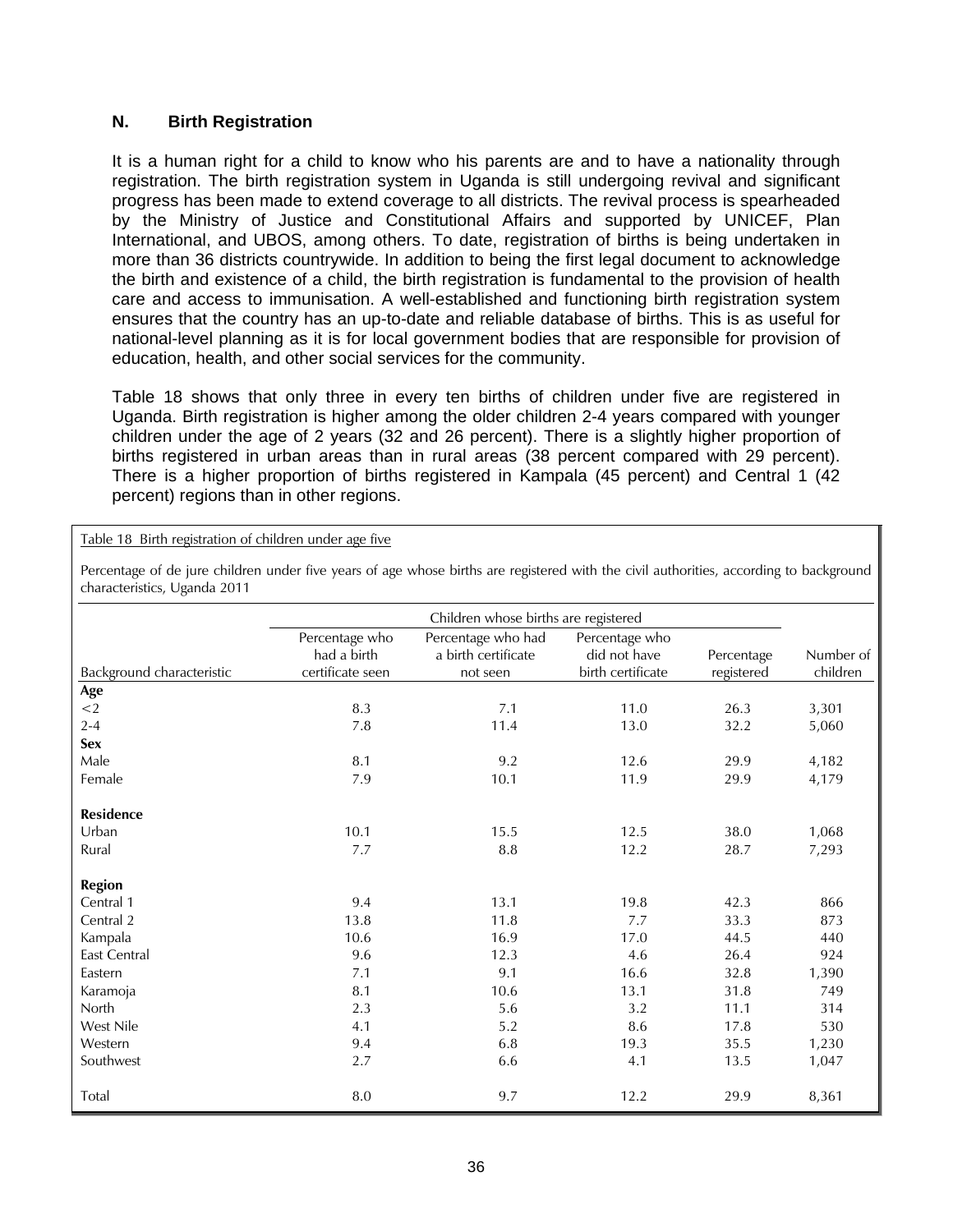## **N. Birth Registration**

It is a human right for a child to know who his parents are and to have a nationality through registration. The birth registration system in Uganda is still undergoing revival and significant progress has been made to extend coverage to all districts. The revival process is spearheaded by the Ministry of Justice and Constitutional Affairs and supported by UNICEF, Plan International, and UBOS, among others. To date, registration of births is being undertaken in more than 36 districts countrywide. In addition to being the first legal document to acknowledge the birth and existence of a child, the birth registration is fundamental to the provision of health care and access to immunisation. A well-established and functioning birth registration system ensures that the country has an up-to-date and reliable database of births. This is as useful for national-level planning as it is for local government bodies that are responsible for provision of education, health, and other social services for the community.

Table 18 shows that only three in every ten births of children under five are registered in Uganda. Birth registration is higher among the older children 2-4 years compared with younger children under the age of 2 years (32 and 26 percent). There is a slightly higher proportion of births registered in urban areas than in rural areas (38 percent compared with 29 percent). There is a higher proportion of births registered in Kampala (45 percent) and Central 1 (42 percent) regions than in other regions.

### Table 18 Birth registration of children under age five

|                           |                                                   | Children whose births are registered                  |                                                     |                          |                       |
|---------------------------|---------------------------------------------------|-------------------------------------------------------|-----------------------------------------------------|--------------------------|-----------------------|
| Background characteristic | Percentage who<br>had a birth<br>certificate seen | Percentage who had<br>a birth certificate<br>not seen | Percentage who<br>did not have<br>birth certificate | Percentage<br>registered | Number of<br>children |
| Age                       |                                                   |                                                       |                                                     |                          |                       |
| ${<}2$                    | 8.3                                               | 7.1                                                   | 11.0                                                | 26.3                     | 3,301                 |
| $2 - 4$                   | 7.8                                               | 11.4                                                  | 13.0                                                | 32.2                     | 5,060                 |
| <b>Sex</b>                |                                                   |                                                       |                                                     |                          |                       |
| Male                      | 8.1                                               | 9.2                                                   | 12.6                                                | 29.9                     | 4,182                 |
| Female                    | 7.9                                               | 10.1                                                  | 11.9                                                | 29.9                     | 4,179                 |
| <b>Residence</b>          |                                                   |                                                       |                                                     |                          |                       |
| Urban                     | 10.1                                              | 15.5                                                  | 12.5                                                | 38.0                     | 1,068                 |
| Rural                     | 7.7                                               | 8.8                                                   | 12.2                                                | 28.7                     | 7,293                 |
| <b>Region</b>             |                                                   |                                                       |                                                     |                          |                       |
| Central 1                 | 9.4                                               | 13.1                                                  | 19.8                                                | 42.3                     | 866                   |
| Central 2                 | 13.8                                              | 11.8                                                  | 7.7                                                 | 33.3                     | 873                   |
| Kampala                   | 10.6                                              | 16.9                                                  | 17.0                                                | 44.5                     | 440                   |
| East Central              | 9.6                                               | 12.3                                                  | 4.6                                                 | 26.4                     | 924                   |
| Eastern                   | 7.1                                               | 9.1                                                   | 16.6                                                | 32.8                     | 1,390                 |
| Karamoja                  | 8.1                                               | 10.6                                                  | 13.1                                                | 31.8                     | 749                   |
| North                     | 2.3                                               | 5.6                                                   | 3.2                                                 | 11.1                     | 314                   |
| West Nile                 | 4.1                                               | 5.2                                                   | 8.6                                                 | 17.8                     | 530                   |
| Western                   | 9.4                                               | 6.8                                                   | 19.3                                                | 35.5                     | 1,230                 |
| Southwest                 | 2.7                                               | 6.6                                                   | 4.1                                                 | 13.5                     | 1,047                 |
| Total                     | 8.0                                               | 9.7                                                   | 12.2                                                | 29.9                     | 8,361                 |

Percentage of de jure children under five years of age whose births are registered with the civil authorities, according to background characteristics, Uganda 2011